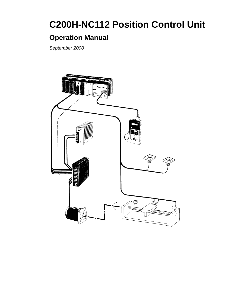# **C200H-NC112 Position Control Unit**

# **Operation Manual**

September 2000

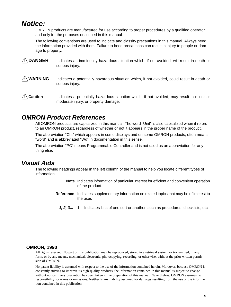### **Notice:**

OMRON products are manufactured for use according to proper procedures by a qualified operator and only for the purposes described in this manual.

The following conventions are used to indicate and classify precautions in this manual. Always heed the information provided with them. Failure to heed precautions can result in injury to people or damage to property.

- **/!\DANGER DANGER** Indicates an imminently hazardous situation which, if not avoided, will result in death or serious injury.
- **! WARNING** Indicates a potentially hazardous situation which, if not avoided, could result in death or serious injury.
- $\bigwedge$ **!** Caution **Caution** Indicates a potentially hazardous situation which, if not avoided, may result in minor or moderate injury, or property damage.

### **OMRON Product References**

All OMRON products are capitalized in this manual. The word "Unit" is also capitalized when it refers to an OMRON product, regardless of whether or not it appears in the proper name of the product.

The abbreviation "Ch," which appears in some displays and on some OMRON products, often means "word" and is abbreviated "Wd" in documentation in this sense.

The abbreviation "PC" means Programmable Controller and is not used as an abbreviation for anything else.

### **Visual Aids**

The following headings appear in the left column of the manual to help you locate different types of information.

- **Note** Indicates information of particular interest for efficient and convenient operation of the product.
- **Reference** Indicates supplementary information on related topics that may be of interest to the user.
	- **1, 2, 3...** 1. Indicates lists of one sort or another, such as procedures, checklists, etc.

#### **OMRON, 1990**

All rights reserved. No part of this publication may be reproduced, stored in a retrieval system, or transmitted, in any form, or by any means, mechanical, electronic, photocopying, recording, or otherwise, without the prior written permission of OMRON.

No patent liability is assumed with respect to the use of the information contained herein. Moreover, because OMRON is constantly striving to improve its high-quality products, the information contained in this manual is subject to change without notice. Every precaution has been taken in the preparation of this manual. Nevertheless, OMRON assumes no responsibility for errors or omissions. Neither is any liability assumed for damages resulting from the use of the information contained in this publication.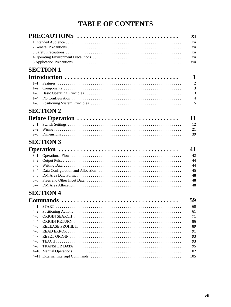# **TABLE OF CONTENTS**

|         | PRECAUTIONS      |
|---------|------------------|
|         |                  |
|         |                  |
|         |                  |
|         |                  |
|         |                  |
|         | <b>SECTION 1</b> |
|         |                  |
|         |                  |
| $1 - 1$ |                  |
| $1 - 2$ |                  |
| $1 - 3$ |                  |
| $1 - 4$ |                  |
| $1 - 5$ |                  |
|         | <b>SECTION 2</b> |
|         | Before Operation |
| $2 - 1$ |                  |
| $2 - 2$ |                  |
| $2 - 3$ |                  |
|         | <b>SECTION 3</b> |
|         |                  |
|         |                  |
| $3 - 1$ |                  |
| $3 - 2$ |                  |
| $3 - 3$ |                  |
| $3 - 4$ |                  |
| $3 - 5$ |                  |
| $3 - 6$ |                  |
| $3 - 7$ |                  |
|         | <b>SECTION 4</b> |
|         |                  |
|         | 4-1 START        |
| $4 - 2$ |                  |
| $4 - 3$ |                  |
| $4 - 4$ |                  |
| $4 - 5$ |                  |
| $4 - 6$ |                  |
| $4 - 7$ |                  |
| $4 - 8$ |                  |
| $4 - 9$ |                  |
|         |                  |
|         |                  |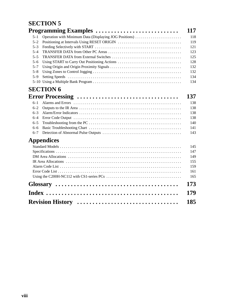### **SECTION 5**

|         | <b>117</b><br>Programming Examples                         |     |  |  |
|---------|------------------------------------------------------------|-----|--|--|
|         | 5–1 Operation with Minimum Data (Displaying JOG Positions) | 118 |  |  |
|         | 5–2 Positioning at Intervals Using RESET ORIGIN            | 119 |  |  |
|         |                                                            | 121 |  |  |
|         |                                                            | 123 |  |  |
|         |                                                            | 125 |  |  |
|         | 5–6 Using START to Carry Out Positioning Actions           | 128 |  |  |
|         | 5–7 Using Origin and Origin Proximity Signals              | 132 |  |  |
|         |                                                            | 132 |  |  |
| $5 - 9$ |                                                            | 134 |  |  |
|         |                                                            | 134 |  |  |

# **SECTION 6**<br>**Error Processi**

| Error Processing $\ldots \ldots \ldots \ldots \ldots \ldots \ldots \ldots \ldots \ldots \ldots \qquad 137$ |  |
|------------------------------------------------------------------------------------------------------------|--|
|                                                                                                            |  |
|                                                                                                            |  |
|                                                                                                            |  |
|                                                                                                            |  |
|                                                                                                            |  |
|                                                                                                            |  |
|                                                                                                            |  |

# **Appendices**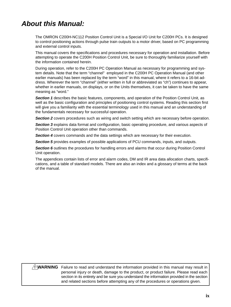### **About this Manual:**

The OMRON C200H-NC112 Position Control Unit is a Special I/O Unit for C200H PCs. It is designed to control positioning actions through pulse train outputs to a motor driver, based on PC programming and external control inputs.

This manual covers the specifications and procedures necessary for operation and installation. Before attempting to operate the C200H Position Control Unit, be sure to thoroughly familiarize yourself with the information contained herein.

During operation, refer to the C200H PC Operation Manual as necessary for programming and system details. Note that the term "channel" employed in the C200H PC Operation Manual (and other earlier manuals) has been replaced by the term "word" in this manual, where it refers to a 16-bit address. Wherever the term "channel" (either written in full or abbreviated as "ch") continues to appear, whether in earlier manuals, on displays, or on the Units themselves, it can be taken to have the same meaning as "word."

**Section 1** describes the basic features, components, and operation of the Position Control Unit, as well as the basic configuration and principles of positioning control systems. Reading this section first will give you a familiarity with the essential terminology used in this manual and an understanding of the fundamentals necessary for successful operation.

**Section 2** covers procedures such as wiring and switch setting which are necessary before operation.

**Section 3** explains data format and configuration, basic operating procedure, and various aspects of Position Control Unit operation other than commands.

**Section 4** covers commands and the data settings which are necessary for their execution.

**Section 5** provides examples of possible applications of PCU commands, inputs, and outputs.

**Section 6** outlines the procedures for handling errors and alarms that occur during Position Control Unit operation.

The appendices contain lists of error and alarm codes, DM and IR area data allocation charts, specifications, and a table of standard models. There are also an index and a glossary of terms at the back of the manual.

#### **WARNING** Failure to read and understand the information provided in this manual may result in **!**personal injury or death, damage to the product, or product failure. Please read each section in its entirety and be sure you understand the information provided in the section and related sections before attempting any of the procedures or operations given.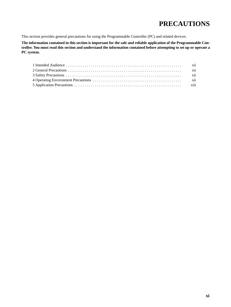## **PRECAUTIONS**

This section provides general precautions for using the Programmable Controller (PC) and related devices.

**The information contained in this section is important for the safe and reliable application of the Programmable Controller. You must read this section and understand the information contained before attempting to set up or operate a PC system.**

| xii |
|-----|
| xii |
| xii |
| xii |
|     |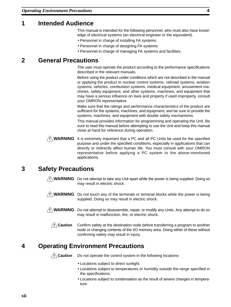### **1 Intended Audience**

This manual is intended for the following personnel, who must also have knowledge of electrical systems (an electrical engineer or the equivalent).

- Personnel in charge of installing FA systems.
- Personnel in charge of designing FA systems.
- Personnel in charge of managing FA systems and facilities.

### **2 General Precautions**

The user must operate the product according to the performance specifications described in the relevant manuals.

Before using the product under conditions which are not described in the manual or applying the product to nuclear control systems, railroad systems, aviation systems, vehicles, combustion systems, medical equipment, amusement machines, safety equipment, and other systems, machines, and equipment that may have a serious influence on lives and property if used improperly, consult your OMRON representative.

Make sure that the ratings and performance characteristics of the product are sufficient for the systems, machines, and equipment, and be sure to provide the systems, machines, and equipment with double safety mechanisms.

This manual provides information for programming and operating the Unit. Be sure to read this manual before attempting to use the Unit and keep this manual close at hand for reference during operation.

**! WARNING** It is extremely important that a PC and all PC Units be used for the specified purpose and under the specified conditions, especially in applications that can directly or indirectly affect human life. You must consult with your OMRON representative before applying a PC system to the above-mentioned applications.

### **3 Safety Precautions**

- **! WARNING** Do not attempt to take any Unit apart while the power is being supplied. Doing so may result in electric shock.
- **! WARNING** Do not touch any of the terminals or terminal blocks while the power is being supplied. Doing so may result in electric shock.
- **! WARNING** Do not attempt to disassemble, repair, or modify any Units. Any attempt to do so may result in malfunction, fire, or electric shock.

/**!**∖ Caution

**Caution** Confirm safety at the destination node before transferring a program to another node or changing contents of the I/O memory area. Doing either of these without confirming safety may result in injury.

### **4 Operating Environment Precautions**

/**!** Caution

Do not operate the control system in the following locations:

- Locations subject to direct sunlight.
- Locations subject to temperatures or humidity outside the range specified in the specifications.
- Locations subject to condensation as the result of severe changes in temperature.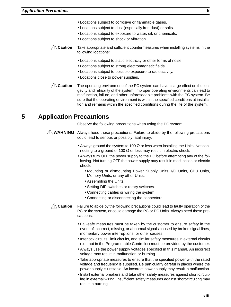- Locations subject to dust (especially iron dust) or salts.
- Locations subject to exposure to water, oil, or chemicals.
- Locations subject to shock or vibration.

**/!**∖Caution Take appropriate and sufficient countermeasures when installing systems in the following locations:

- Locations subject to static electricity or other forms of noise.
- Locations subject to strong electromagnetic fields.
- Locations subject to possible exposure to radioactivity.
- Locations close to power supplies.

**/!∖** Caution The operating environment of the PC system can have a large effect on the longevity and reliability of the system. Improper operating environments can lead to malfunction, failure, and other unforeseeable problems with the PC system. Be sure that the operating environment is within the specified conditions at installation and remains within the specified conditions during the life of the system.

### **5 Application Precautions**

Observe the following precautions when using the PC system.

**! WARNING** Always heed these precautions. Failure to abide by the following precautions could lead to serious or possibly fatal injury.

- Always ground the system to 100  $\Omega$  or less when installing the Units. Not connecting to a ground of 100  $\Omega$  or less may result in electric shock.
- Always turn OFF the power supply to the PC before attempting any of the following. Not turning OFF the power supply may result in malfunction or electric shock.
	- Mounting or dismounting Power Supply Units, I/O Units, CPU Units, Memory Units, or any other Units.
	- Assembling the Units.
	- Setting DIP switches or rotary switches.
	- Connecting cables or wiring the system.
	- Connecting or disconnecting the connectors.



Failure to abide by the following precautions could lead to faulty operation of the PC or the system, or could damage the PC or PC Units. Always heed these precautions.

- Fail-safe measures must be taken by the customer to ensure safety in the event of incorrect, missing, or abnormal signals caused by broken signal lines, momentary power interruptions, or other causes.
- Interlock circuits, limit circuits, and similar safety measures in external circuits (i.e., not in the Programmable Controller) must be provided by the customer.
- Always use the power supply voltages specified in this manual. An incorrect voltage may result in malfunction or burning.
- Take appropriate measures to ensure that the specified power with the rated voltage and frequency is supplied. Be particularly careful in places where the power supply is unstable. An incorrect power supply may result in malfunction.
- Install external breakers and take other safety measures against short-circuiting in external wiring. Insufficient safety measures against short-circuiting may result in burning.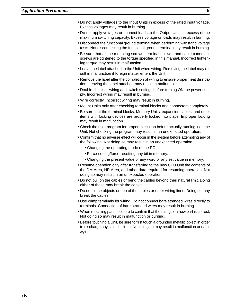- Do not apply voltages to the Input Units in excess of the rated input voltage. Excess voltages may result in burning.
- Do not apply voltages or connect loads to the Output Units in excess of the maximum switching capacity. Excess voltage or loads may result in burning.
- Disconnect the functional ground terminal when performing withstand voltage tests. Not disconnecting the functional ground terminal may result in burning.
- Be sure that all the mounting screws, terminal screws, and cable connector screws are tightened to the torque specified in this manual. Incorrect tightening torque may result in malfunction.
- Leave the label attached to the Unit when wiring. Removing the label may result in malfunction if foreign matter enters the Unit.
- Remove the label after the completion of wiring to ensure proper heat dissipation. Leaving the label attached may result in malfunction.
- Double-check all wiring and switch settings before turning ON the power supply. Incorrect wiring may result in burning.
- Wire correctly. Incorrect wiring may result in burning.
- Mount Units only after checking terminal blocks and connectors completely.
- Be sure that the terminal blocks, Memory Units, expansion cables, and other items with locking devices are properly locked into place. Improper locking may result in malfunction.
- Check the user program for proper execution before actually running it on the Unit. Not checking the program may result in an unexpected operation.
- Confirm that no adverse effect will occur in the system before attempting any of the following. Not doing so may result in an unexpected operation.
	- Changing the operating mode of the PC.
	- Force-setting/force-resetting any bit in memory.
	- Changing the present value of any word or any set value in memory.
- Resume operation only after transferring to the new CPU Unit the contents of the DM Area, HR Area, and other data required for resuming operation. Not doing so may result in an unexpected operation.
- Do not pull on the cables or bend the cables beyond their natural limit. Doing either of these may break the cables.
- Do not place objects on top of the cables or other wiring lines. Doing so may break the cables.
- Use crimp terminals for wiring. Do not connect bare stranded wires directly to terminals. Connection of bare stranded wires may result in burning.
- When replacing parts, be sure to confirm that the rating of a new part is correct. Not doing so may result in malfunction or burning.
- Before touching a Unit, be sure to first touch a grounded metallic object in order to discharge any static built-up. Not doing so may result in malfunction or damage.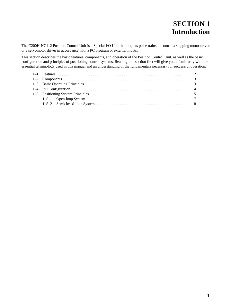## **SECTION 1 Introduction**

The C200H-NC112 Position Control Unit is a Special I/O Unit that outputs pulse trains to control a stepping motor driver or a servomotor driver in accordance with a PC program or external inputs.

This section describes the basic features, components, and operation of the Position Control Unit, as well as the basic configuration and principles of positioning control systems. Reading this section first will give you a familiarity with the essential terminology used in this manual and an understanding of the fundamentals necessary for successful operation.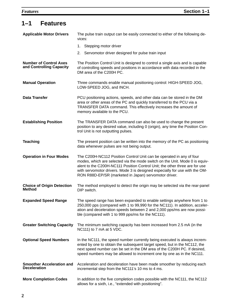### **1–1 Features**

| <b>Applicable Motor Drivers</b>                           | The pulse train output can be easily connected to either of the following de-<br>vices:                                                                                                                                                                                                                                                                                    |  |  |
|-----------------------------------------------------------|----------------------------------------------------------------------------------------------------------------------------------------------------------------------------------------------------------------------------------------------------------------------------------------------------------------------------------------------------------------------------|--|--|
|                                                           | Stepping motor driver<br>1.                                                                                                                                                                                                                                                                                                                                                |  |  |
|                                                           | 2. Servomotor driver designed for pulse train input                                                                                                                                                                                                                                                                                                                        |  |  |
| <b>Number of Control Axes</b><br>and Controlling Capacity | The Position Control Unit is designed to control a single axis and is capable<br>of controlling speeds and positions in accordance with data recorded in the<br>DM area of the C200H PC.                                                                                                                                                                                   |  |  |
| <b>Manual Operation</b>                                   | Three commands enable manual positioning control: HIGH-SPEED JOG,<br>LOW-SPEED JOG, and INCH.                                                                                                                                                                                                                                                                              |  |  |
| <b>Data Transfer</b>                                      | PCU positioning actions, speeds, and other data can be stored in the DM<br>area or other areas of the PC and quickly transferred to the PCU via a<br>TRANSFER DATA command. This effectively increases the amount of<br>memory available to the PCU.                                                                                                                       |  |  |
| <b>Establishing Position</b>                              | The TRANSFER DATA command can also be used to change the present<br>position to any desired value, including 0 (origin), any time the Position Con-<br>trol Unit is not outputting pulses.                                                                                                                                                                                 |  |  |
| <b>Teaching</b>                                           | The present position can be written into the memory of the PC as positioning<br>data whenever pulses are not being output.                                                                                                                                                                                                                                                 |  |  |
| <b>Operation in Four Modes</b>                            | The C200H-NC112 Position Control Unit can be operated in any of four<br>modes, which are selected via the mode switch on the Unit. Mode 0 is equiv-<br>alent to the C200H-NC111 Position Control Unit; the other three are for use<br>with servomotor drivers. Mode 3 is designed especially for use with the OM-<br>RON R88D-EP/SR (marketed in Japan) servomotor driver. |  |  |
| <b>Choice of Origin Detection</b><br><b>Method</b>        | The method employed to detect the origin may be selected via the rear-panel<br>DIP switch.                                                                                                                                                                                                                                                                                 |  |  |
| <b>Expanded Speed Range</b>                               | The speed range has been expanded to enable settings anywhere from 1 to<br>250,000 pps (compared with 1 to 99,990 for the NC111). In addition, acceler-<br>ation and deceleration speeds between 2 and 2,000 pps/ms are now possi-<br>ble (compared with 1 to 999 pps/ms for the NC111).                                                                                   |  |  |
| <b>Greater Switching Capacity</b>                         | The minimum switching capacity has been increased from 2.5 mA (in the<br>NC111) to 7 mA at 5 VDC.                                                                                                                                                                                                                                                                          |  |  |
| <b>Optional Speed Numbers</b>                             | In the NC111, the speed number currently being executed is always increm-<br>ented by one to obtain the subsequent target speed, but in the NC112, the<br>next speed number can be set in the DM area of the C200H PC. If desired,<br>speed numbers may be allowed to increment one by one as in the NC111.                                                                |  |  |
| <b>Smoother Acceleration and</b><br><b>Deceleration</b>   | Acceleration and deceleration have been made smoother by reducing each<br>incremental step from the NC111's 10 ms to 4 ms.                                                                                                                                                                                                                                                 |  |  |
| <b>More Completion Codes</b>                              | In addition to the five completion codes possible with the NC111, the NC112<br>allows for a sixth, i.e., "extended with positioning".                                                                                                                                                                                                                                      |  |  |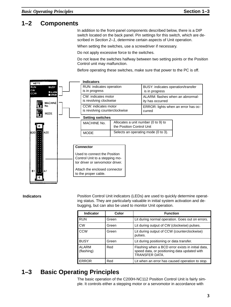### **1–2 Components**

In addition to the front-panel components described below, there is a DIP switch located on the back panel. Pin settings for this switch, which are described in Section 2-1, determine certain aspects of Unit operation.

When setting the switches, use a screwdriver if necessary.

Do not apply excessive force to the switches.

Do not leave the switches halfway between two setting points or the Position Control unit may malfunction.

Before operating these switches, make sure that power to the PC is off.



#### **Indicators**

Position Control Unit indicators (LEDs) are used to quickly determine operating status. They are particularly valuable in initial system activation and debugging, but can also be used to monitor Unit operation.

| <b>Indicator</b>     | Color | <b>Function</b>                                                                                                            |
|----------------------|-------|----------------------------------------------------------------------------------------------------------------------------|
| <b>RUN</b>           | Green | Lit during normal operation. Goes out on errors.                                                                           |
| <b>CW</b>            | Green | Lit during output of CW (clockwise) pulses.                                                                                |
| <b>CCW</b>           | Green | Lit during output of CCW (counterclockwise)<br>pulses.                                                                     |
| <b>BUSY</b>          | Green | Lit during positioning or data transfer.                                                                                   |
| AL ARM<br>(flashing) | Red   | Flashing when a BCD error exists in initial data,<br>speed data, or positioning data updated with<br><b>TRANSFER DATA.</b> |
| <b>ERROR</b>         | Red   | Lit when an error has caused operation to stop.                                                                            |

### **1–3 Basic Operating Principles**

The basic operation of the C200H-NC112 Position Control Unit is fairly simple. It controls either a stepping motor or a servomotor in accordance with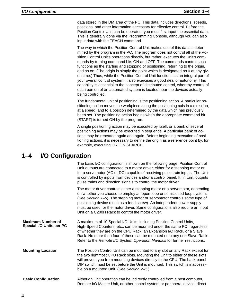data stored in the DM area of the PC. This data includes directions, speeds, positions, and other information necessary for effective control. Before the Position Control Unit can be operated, you must first input the essential data. This is generally done via the Programming Console, although you can also input data with the TEACH command.

The way in which the Position Control Unit makes use of this data is determined by the program in the PC. The program does not control all of the Position Control Unit's operations directly, but rather, executes the Unit's commands by turning command bits ON and OFF. The commands control such functions as the starting and stopping of positioning, returning to the origin, and so on. (The origin is simply the point which is designated as 0 at any given time.) Thus, while the Position Control Unit functions as an integral part of your overall control system, it also exercises a good deal of autonomy. This capability is essential to the concept of distributed control, whereby control of each portion of an automated system is located near the devices actually being controlled.

The fundamental unit of positioning is the positioning action. A particular positioning action moves the workpiece along the positioning axis in a direction, at a speed, and to a position determined by the data which has previously been set. The positioning action begins when the appropriate command bit (START) is turned ON by the program.

A single positioning action may be executed by itself, or a bank of several positioning actions may be executed in sequence. A particular bank of actions may be repeated again and again. Before beginning execution of positioning actions, it is necessary to define the origin as a reference point by, for example, executing ORIGIN SEARCH.

### **1–4 I/O Configuration**

|                                                             | The basic I/O configuration is shown on the following page. Position Control<br>Unit outputs are connected to a motor driver, either for a stepping motor or<br>for a servomotor (AC or DC) capable of receiving pulse train inputs. The Unit<br>is controlled by inputs from devices and/or a control panel. It, in turn, outputs<br>pulse trains and direction signals to control the motor driver.                                               |
|-------------------------------------------------------------|-----------------------------------------------------------------------------------------------------------------------------------------------------------------------------------------------------------------------------------------------------------------------------------------------------------------------------------------------------------------------------------------------------------------------------------------------------|
|                                                             | The motor driver controls either a stepping motor or a servomotor, depending<br>on whether you choose to employ an open-loop or semiclosed-loop system.<br>(See Section 1-5). The stepping motor or servomotor controls some type of<br>positioning device (such as a feed screw). An independent power supply<br>must be used for the motor driver. Some configurations also require an Input<br>Unit on a C200H Rack to control the motor driver. |
| <b>Maximum Number of</b><br><b>Special I/O Units per PC</b> | A maximum of 10 Special I/O Units, including Position Control Units,<br>High-Speed Counters, etc., can be mounted under the same PC, regardless<br>of whether they are on the CPU Rack, an Expansion I/O Rack, or a Slave<br>Rack. No more than four of these can be mounted onto any one Slave Rack.<br>Refer to the Remote I/O System Operation Manuals for further restrictions.                                                                 |
| <b>Mounting Location</b>                                    | The Position Control Unit can be mounted to any slot on any Rack except for<br>the two rightmost CPU Rack slots. Mounting the Unit to either of these slots<br>will prevent you from mounting devices directly to the CPU. The back-panel<br>DIP switch must be set before the Unit is mounted. This switch is inaccessi-<br>ble on a mounted Unit. (See Section 2-1.)                                                                              |
| <b>Basic Configuration</b>                                  | Although Unit operation can be indirectly controlled from a host computer,<br>Remote I/O Master Unit, or other control system or peripheral device, direct                                                                                                                                                                                                                                                                                          |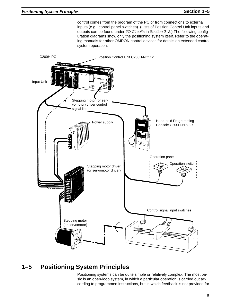control comes from the program of the PC or from connections to external inputs (e.g., control panel switches). (Lists of Position Control Unit inputs and outputs can be found under I/O Circuits in Section 2-2.) The following configuration diagrams show only the positioning system itself. Refer to the operating manuals for other OMRON control devices for details on extended control system operation.



### **1–5 Positioning System Principles**

Positioning systems can be quite simple or relatively complex. The most basic is an open-loop system, in which a particular operation is carried out according to programmed instructions, but in which feedback is not provided for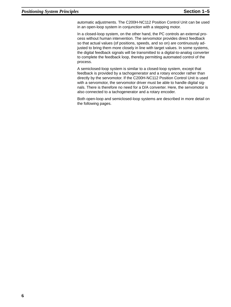automatic adjustments. The C200H-NC112 Position Control Unit can be used in an open-loop system in conjunction with a stepping motor.

In a closed-loop system, on the other hand, the PC controls an external process without human intervention. The servomotor provides direct feedback so that actual values (of positions, speeds, and so on) are continuously adjusted to bring them more closely in line with target values. In some systems, the digital feedback signals will be transmitted to a digital-to-analog converter to complete the feedback loop, thereby permitting automated control of the process.

A semiclosed-loop system is similar to a closed-loop system, except that feedback is provided by a tachogenerator and a rotary encoder rather than directly by the servomotor. If the C200H-NC112 Position Control Unit is used with a servomotor, the servomotor driver must be able to handle digital signals. There is therefore no need for a D/A converter. Here, the servomotor is also connected to a tachogenerator and a rotary encoder.

Both open-loop and semiclosed-loop systems are described in more detail on the following pages.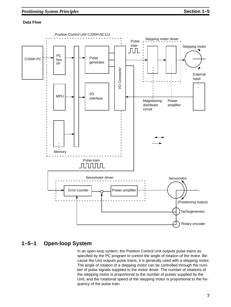#### **Data Flow**



### **1–5–1 Open-loop System**

In an open-loop system, the Position Control Unit outputs pulse trains as specified by the PC program to control the angle of rotation of the motor. Because the Unit outputs pulse trains, it is generally used with a stepping motor. The angle of rotation of a stepping motor can be controlled through the number of pulse signals supplied to the motor driver. The number of rotations of the stepping motor is proportional to the number of pulses supplied by the Unit, and the rotational speed of the stepping motor is proportional to the frequency of the pulse train.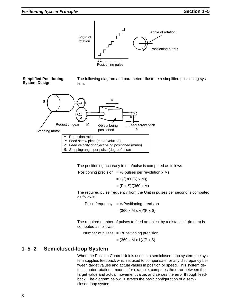

#### **Simplified Positioning System Design**

The following diagram and parameters illustrate a simplified positioning system.



The positioning accuracy in mm/pulse is computed as follows:

Positioning precision =  $P/(p$ ulses per revolution x M)

$$
= P/((360/S) \times M))
$$

$$
= (P \times S)/(360 \times M)
$$

The required pulse frequency from the Unit in pulses per second is computed as follows:

Pulse frequency = V/Positioning precision  $= (360 \times M \times V)/(P \times S)$ 

The required number of pulses to feed an object by a distance L (in mm) is computed as follows:

Number of pulses  $= L/Positioning precision$ 

 $= (360 \times M \times L)/(P \times S)$ 

### **1–5–2 Semiclosed-loop System**

When the Position Control Unit is used in a semiclosed-loop system, the system supplies feedback which is used to compensate for any discrepancy between target values and actual values in position or speed. This system detects motor rotation amounts, for example, computes the error between the target value and actual movement value, and zeroes the error through feedback. The diagram below illustrates the basic configuration of a semiclosed-loop system.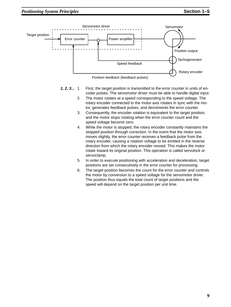



- **1, 2, 3...** 1. First, the target position is transmitted to the error counter in units of encoder pulses. The servomotor driver must be able to handle digital input.
	- 2. The motor rotates at a speed corresponding to the speed voltage. The rotary encoder connected to the motor axis rotates in sync with the motor, generates feedback pulses, and decrements the error counter.
	- 3. Consequently, the encoder rotation is equivalent to the target position, and the motor stops rotating when the error counter count and the speed voltage become zero.
	- 4. While the motor is stopped, the rotary encoder constantly maintains the stopped position through correction. In the event that the motor axis moves slightly, the error counter receives a feedback pulse from the rotary encoder, causing a rotation voltage to be emitted in the reverse direction from which the rotary encoder moved. This makes the motor rotate toward its original position. This operation is called servolock or servoclamp.
	- 5. In order to execute positioning with acceleration and deceleration, target positions are set consecutively in the error counter for processing.
	- 6. The target position becomes the count for the error counter and controls the motor by conversion to a speed voltage for the servomotor driver. The position thus equals the total count of target positions and the speed will depend on the target position per unit time.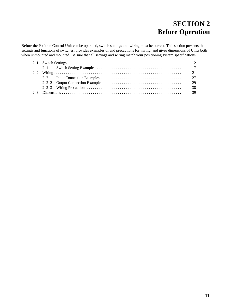### **SECTION 2 Before Operation**

Before the Position Control Unit can be operated, switch settings and wiring must be correct. This section presents the settings and functions of switches, provides examples of and precautions for wiring, and gives dimensions of Units both when unmounted and mounted. Be sure that all settings and wiring match your positioning system specifications.

|  | - 17 |  |  |
|--|------|--|--|
|  | - 21 |  |  |
|  |      |  |  |
|  | - 29 |  |  |
|  | -38  |  |  |
|  | - 39 |  |  |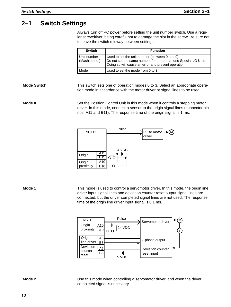### **2–1 Switch Settings**

Always turn off PC power before setting the unit number switch. Use a regular screwdriver, being careful not to damage the slot in the screw. Be sure not to leave the switch midway between settings.

| <b>Switch</b>                             | <b>Function</b>                                                                                                                                                         |  |
|-------------------------------------------|-------------------------------------------------------------------------------------------------------------------------------------------------------------------------|--|
| Unit number<br>(Machine no.)              | Used to set the unit number (between 0 and 9).<br>Do not set the same number for more than one Special I/O Unit.<br>Doing so will cause an error and prevent operation. |  |
| Used to set the mode from 0 to 3.<br>Mode |                                                                                                                                                                         |  |

This switch sets one of operation modes 0 to 3. Select an appropriate operation mode in accordance with the motor driver or signal lines to be used. **Mode Switch**

> Set the Position Control Unit in this mode when it controls a stepping motor driver. In this mode, connect a sensor to the origin signal lines (connector pin nos. A11 and B11). The response time of the origin signal is 1 ms.



**Mode 1**

**Mode 0**

This mode is used to control a servomotor driver. In this mode, the origin line driver input signal lines and deviation counter reset output signal lines are connected, but the driver completed signal lines are not used. The response time of the origin line driver input signal is 0.1 ms.



**Mode 2**

Use this mode when controlling a servomotor driver, and when the driver completed signal is necessary.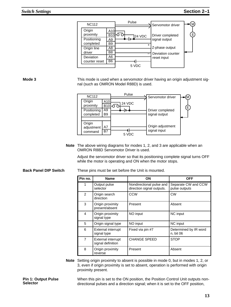

#### This mode is used when a servomotor driver having an origin adjustment signal (such as OMRON Model R88D) is used. **Mode 3**



#### **Note** The above wiring diagrams for modes 1, 2, and 3 are applicable when an OMRON R88D Servomotor Driver is used.

Adjust the servomotor driver so that its positioning complete signal turns OFF while the motor is operating and ON when the motor stops.

#### These pins must be set before the Unit is mounted. **Back Panel DIP Switch**

| Pin no. | <b>Name</b>                                    | ΟN                                                    | <b>OFF</b>                           |
|---------|------------------------------------------------|-------------------------------------------------------|--------------------------------------|
|         | Output pulse<br>selector                       | Nondirectional pulse and<br>direction signal outputs. | Separate CW and CCW<br>pulse outputs |
| 2       | Origin search<br>direction                     | CCW                                                   | <b>CW</b>                            |
| 3       | Origin proximity<br>present/absent             | Present                                               | Absent                               |
| 4       | Origin proximity<br>signal type                | NO input                                              | NC input                             |
| 5       | Origin signal type                             | NO input                                              | NC input                             |
| 6       | <b>External interrupt</b><br>signal type       | Fixed via pin #7                                      | Determined by IR word<br>n, bit 06   |
| 7       | <b>External interrupt</b><br>signal definition | <b>CHANGE SPEED</b>                                   | <b>STOP</b>                          |
| 8       | Origin proximity<br>reverse                    | Present                                               | Absent                               |

**Note** Setting origin proximity to absent is possible in mode 0, but in modes 1, 2, or 3, even if origin proximity is set to absent, operation is performed with origin proximity present.

**Pin 1: Output Pulse Selector**

When this pin is set to the ON position, the Position Control Unit outputs nondirectional pulses and a direction signal; when it is set to the OFF position,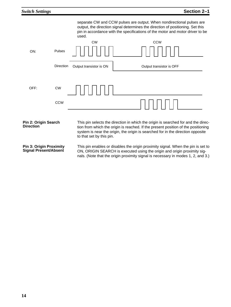separate CW and CCW pulses are output. When nondirectional pulses are output, the direction signal determines the direction of positioning. Set this pin in accordance with the specifications of the motor and motor driver to be used. ON: Pulses Direction **CW** Output transistor is ON **CCW** Output transistor is OFF **CW CCW** OFF: This pin selects the direction in which the origin is searched for and the direction from which the origin is reached. If the present position of the positioning system is near the origin, the origin is searched for in the direction opposite to that set by this pin. **Pin 2: Origin Search Direction**

This pin enables or disables the origin proximity signal. When the pin is set to ON, ORIGIN SEARCH is executed using the origin and origin proximity signals. (Note that the origin proximity signal is necessary in modes 1, 2, and 3.) **Pin 3: Origin Proximity Signal Present/Absent**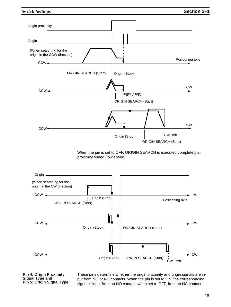### **Switch Settings Section 2–1**



**Pin 4: Origin Proximity Signal Type and Pin 5: Origin Signal Type** These pins determine whether the origin proximity and origin signals are input from NO or NC contacts. When the pin is set to ON, the corresponding signal is input from an NO contact; when set to OFF, from an NC contact.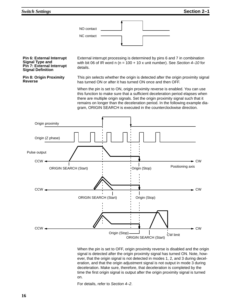

**Pin 6: External Interrupt Signal Type and Pin 7: External Interrupt Signal Definition**

**Pin 8: Origin Proximity Reverse**

with bit 06 of IR word n (n =  $100 + 10$  x unit number). See Section 4-10 for details.

External interrupt processing is determined by pins 6 and 7 in combination

This pin selects whether the origin is detected after the origin proximity signal has turned ON or after it has turned ON once and then OFF.

When the pin is set to ON, origin proximity reverse is enabled. You can use this function to make sure that a sufficient deceleration period elapses when there are multiple origin signals. Set the origin proximity signal such that it remains on longer than the deceleration period. In the following example diagram, ORIGIN SEARCH is executed in the counterclockwise direction.



When the pin is set to OFF, origin proximity reverse is disabled and the origin signal is detected after the origin proximity signal has turned ON. Note, however, that the origin signal is not detected in modes 1, 2, and 3 during deceleration, and that the origin adjustment signal is not output in mode 3 during deceleration. Make sure, therefore, that deceleration is completed by the time the first origin signal is output after the origin proximity signal is turned on.

For details, refer to Section 4–2.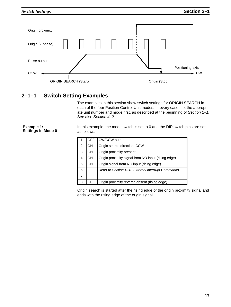

### **2–1–1 Switch Setting Examples**

The examples in this section show switch settings for ORIGIN SEARCH in each of the four Position Control Unit modes. In every case, set the appropriate unit number and mode first, as described at the beginning of Section 2–1. See also Section 4–2.

In this example, the mode switch is set to 0 and the DIP switch pins are set as follows: **Example 1: Settings in Mode 0**

|              | <b>OFF</b> | <b>CW/CCW output</b>                                |  |
|--------------|------------|-----------------------------------------------------|--|
| $\mathsf{L}$ | <b>ON</b>  | Origin search direction: CCW                        |  |
| -3           | ON         | Origin proximity present                            |  |
|              | <b>ON</b>  | Origin proximity signal from NO input (rising edge) |  |
| .5           | ON         | Origin signal from NO input (rising edge)           |  |
| 6            |            | Refer to Section 4-10 External Interrupt Commands.  |  |
|              |            |                                                     |  |
| 8            | OFF        | Origin proximity reverse absent (rising edge)       |  |

Origin search is started after the rising edge of the origin proximity signal and ends with the rising edge of the origin signal.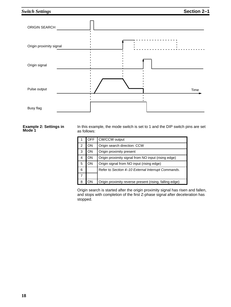

#### **Example 2: Settings in Mode 1**

In this example, the mode switch is set to 1 and the DIP switch pins are set as follows:

|   | <b>OFF</b> | <b>CW/CCW output</b>                                    |  |
|---|------------|---------------------------------------------------------|--|
| 2 | ON         | Origin search direction: CCW                            |  |
| 3 | ON         | Origin proximity present                                |  |
| 4 | ON         | Origin proximity signal from NO input (rising edge)     |  |
| 5 | ON         | Origin signal from NO input (rising edge)               |  |
| 6 |            | Refer to Section 4-10 External Interrupt Commands.      |  |
|   |            |                                                         |  |
| 8 |            | Origin proximity reverse present (rising, falling edge) |  |

Origin search is started after the origin proximity signal has risen and fallen, and stops with completion of the first Z-phase signal after deceleration has stopped.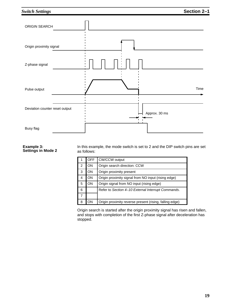

**Example 3: Settings in Mode 2** In this example, the mode switch is set to 2 and the DIP switch pins are set as follows:

|   | <b>OFF</b> | CW/CCW output                                           |  |
|---|------------|---------------------------------------------------------|--|
| 2 | ON         | Origin search direction: CCW                            |  |
| 3 | ON         | Origin proximity present                                |  |
| 4 | ON         | Origin proximity signal from NO input (rising edge)     |  |
| 5 | ON         | Origin signal from NO input (rising edge)               |  |
| 6 |            | Refer to Section 4-10 External Interrupt Commands.      |  |
| 7 |            |                                                         |  |
| 8 | nΝ         | Origin proximity reverse present (rising, falling edge) |  |

Origin search is started after the origin proximity signal has risen and fallen, and stops with completion of the first Z-phase signal after deceleration has stopped.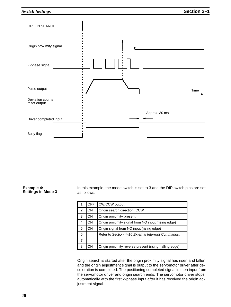

#### **Example 4: Settings in Mode 3**

In this example, the mode switch is set to 3 and the DIP switch pins are set as follows:

|                | <b>OFF</b> | CW/CCW output                                           |  |
|----------------|------------|---------------------------------------------------------|--|
| $\overline{2}$ | ON         | Origin search direction: CCW                            |  |
| l 3            | ON         | Origin proximity present                                |  |
|                | ON         | Origin proximity signal from NO input (rising edge)     |  |
| -5             | ON         | Origin signal from NO input (rising edge)               |  |
| - 6            |            | Refer to Section 4-10 External Interrupt Commands.      |  |
|                |            |                                                         |  |
| я              | NΩ         | Origin proximity reverse present (rising, falling edge) |  |

Origin search is started after the origin proximity signal has risen and fallen, and the origin adjustment signal is output to the servomotor driver after deceleration is completed. The positioning completed signal is then input from the servomotor driver and origin search ends. The servomotor driver stops automatically with the first Z-phase input after it has received the origin adjustment signal.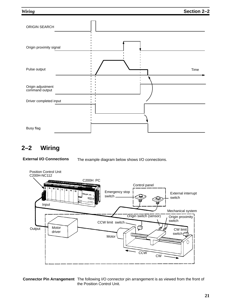

### **2–2 Wiring**

The example diagram below shows I/O connections. **External I/O Connections**



**Connector Pin Arrangement** The following I/O connector pin arrangement is as viewed from the front of the Position Control Unit.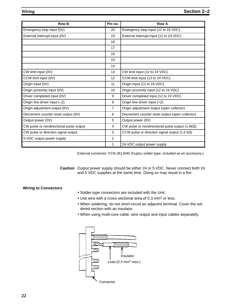| <b>Row B</b>                            | Pin no.        | <b>Row A</b>                                           |
|-----------------------------------------|----------------|--------------------------------------------------------|
| Emergency stop input (0V)               |                | Emergency stop input (12 to 24 VDC)                    |
| External interrupt input (0V)           |                | External interrupt input (12 to 24 VDC)                |
|                                         | 18             |                                                        |
|                                         | 17             |                                                        |
|                                         | 16             |                                                        |
|                                         | 15             |                                                        |
|                                         | 14             |                                                        |
| CW limit input (0V)                     | 13             | CW limit input (12 to 24 VDC)                          |
| CCW limit input (0V)                    | 12             | CCW limit input (12 to 24 VDC)                         |
| Origin input (0V)                       | 11             | Origin input (12 to 24 VDC)                            |
| Origin proximity input (0V)             | 10             | Origin proximity input (12 to 24 VDC)                  |
| Driver completed input (0V)             |                | Driver completed input (12 to 24 VDC)                  |
| Origin line driver input (-Z)           | 8              | Origin line driver input (+Z)                          |
| Origin adjustment output (0V)           | $\overline{7}$ | Origin adjustment output (open collector)              |
| Decrement counter reset output (0V)     | 6              | Decrement counter reset output (open collector)        |
| Output power (0V)                       | 5              | Output power (0V)                                      |
| CW pulse or nondirectional pulse output | 4              | CW pulse or nondirectional pulse output $(1.6k\Omega)$ |
| CW pulse or direction signal output     | 3              | CCW pulse or direction signal output (1.6 $k\Omega$ )  |
| 5-VDC output power supply               | $\overline{2}$ |                                                        |
|                                         | 1              | 24-VDC output power supply                             |

External connector: FCN-361J040 (Fujitsu solder-type; included as an accessory.)

**Caution** Output power supply should be either 24 or 5 VDC. Never connect both 24 and 5 VDC supplies at the same time. Doing so may result in a fire.

#### **Wiring to Connectors**

- Solder-type connectors are included with the Unit.
- Use wire with a cross-sectional area of 0.3 mm2 or less.
- When soldering, do not short-circuit an adjacent terminal. Cover the soldered section with an insulator.
- When using multi-core cable, wire output and input cables separately.

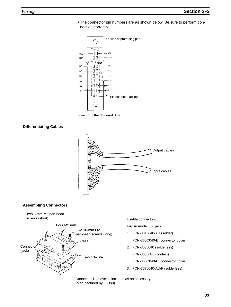• The connector pin numbers are as shown below. Be sure to perform connection correctly.



**View from the Soldered Side**





#### **Assembling Connectors**



Connector 1, above, is included as an accessory. (Manufactured by Fujitsu)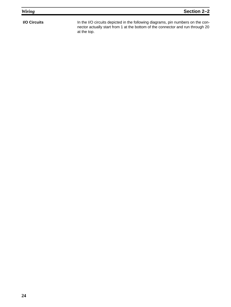**I/O Circuits** In the I/O circuits depicted in the following diagrams, pin numbers on the connector actually start from 1 at the bottom of the connector and run through 20 at the top.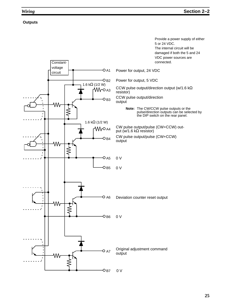### **Outputs**

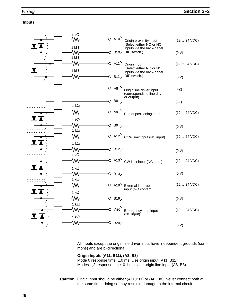### *Wiring* **Section 2–2**

#### **Inputs**



All inputs except the origin line driver input have independent grounds (commons) and are bi-directional.

#### **Origin Inputs (A11, B11), (A8, B8)**

Mode 0 response time: 1.0 ms. Use origin input (A11, B11). Modes 1,2 response time: 0.1 ms. Use origin line input (A8, B8).

**Caution** Origin input should be either (A11,B11) or (A8, B8). Never connect both at the same time; doing so may result in damage to the internal circuit.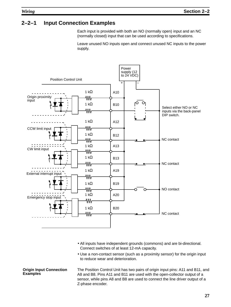### **2–2–1 Input Connection Examples**

Each input is provided with both an NO (normally open) input and an NC (normally closed) input that can be used according to specifications.

Leave unused NO inputs open and connect unused NC inputs to the power supply.



- All inputs have independent grounds (commons) and are bi-directional. Connect switches of at least 12-mA capacity.
- Use a non-contact sensor (such as a proximity sensor) for the origin input to reduce wear and deterioration.

#### **Origin Input Connection Examples**

The Position Control Unit has two pairs of origin input pins: A11 and B11, and A8 and B8. Pins A11 and B11 are used with the open-collector output of a sensor, while pins A8 and B8 are used to connect the line driver output of a Z-phase encoder.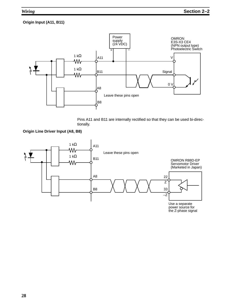### **Origin Input (A11, B11)**



Pins A11 and B11 are internally rectified so that they can be used bi-directionally.

**Origin Line Driver Input (A8, B8)**

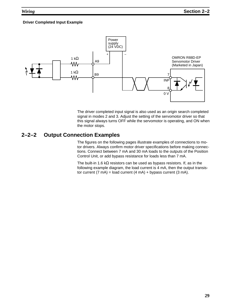# **Driver Completed Input Example**



The driver completed input signal is also used as an origin search completed signal in modes 2 and 3. Adjust the setting of the servomotor driver so that this signal always turns OFF while the servomotor is operating, and ON when the motor stops.

# **2–2–2 Output Connection Examples**

The figures on the following pages illustrate examples of connections to motor drivers. Always confirm motor driver specifications before making connections. Connect between 7 mA and 30 mA loads to the outputs of the Position Control Unit, or add bypass resistance for loads less than 7 mA.

The built-in 1.6 k $\Omega$  resistors can be used as bypass resistors. If, as in the following example diagram, the load current is 4 mA, then the output transistor current  $(7 \text{ mA})$  = load current  $(4 \text{ mA})$  + bypass current  $(3 \text{ mA})$ .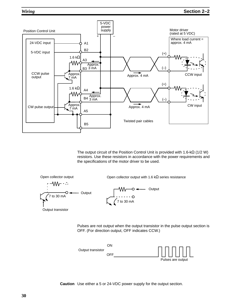

The output circuit of the Position Control Unit is provided with 1.6-kΩ (1/2 W) resistors. Use these resistors in accordance with the power requirements and the specifications of the motor driver to be used.



Open collector output Open collector output with 1.6 kΩ series resistance



Output

7 to 30 mA

Pulses are not output when the output transistor in the pulse output section is OFF. (For direction output, OFF indicates CCW.)



**Caution** Use either a 5 or 24-VDC power supply for the output section.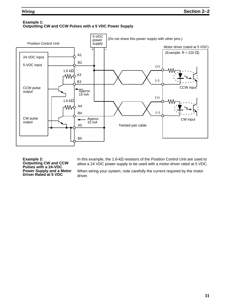# **Example 1: Outputting CW and CCW Pulses with a 5 VDC Power Supply**



**Example 2: Outputting CW and CCW Pulses with a 24-VDC Power Supply and a Motor Driver Rated at 5 VDC**

In this example, the 1.6-kΩ resistors of the Position Control Unit are used to allow a 24 VDC power supply to be used with a motor driver rated at 5 VDC.

When wiring your system, note carefully the current required by the motor driver.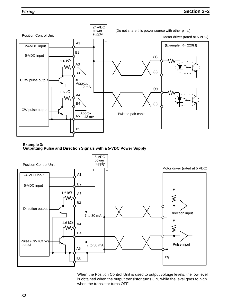# *Wiring* **Section 2–2**



**Example 3: Outputting Pulse and Direction Signals with a 5-VDC Power Supply**



When the Position Control Unit is used to output voltage levels, the low level is obtained when the output transistor turns ON, while the level goes to high when the transistor turns OFF.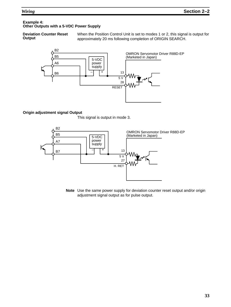# **Example 4: Other Outputs with a 5-VDC Power Supply**

**Deviation Counter Reset Output**

When the Position Control Unit is set to modes 1 or 2, this signal is output for approximately 20 ms following completion of ORIGIN SEARCH.



# **Origin adjustment signal Output**

This signal is output in mode 3.



**Note** Use the same power supply for deviation counter reset output and/or origin adjustment signal output as for pulse output.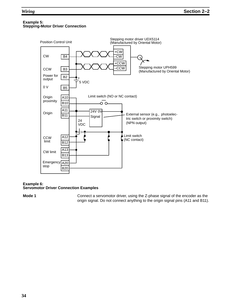# **Example 5: Stepping-Motor Driver Connection**



### **Example 6: Servomotor Driver Connection Examples**

**Mode 1** Connect a servomotor driver, using the Z-phase signal of the encoder as the origin signal. Do not connect anything to the origin signal pins (A11 and B11).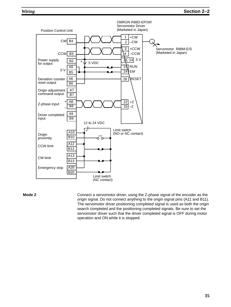

**Mode 2** Connect a servomotor driver, using the Z-phase signal of the encoder as the origin signal. Do not connect anything to the origin signal pins (A11 and B11). The servomotor driver positioning completed signal is used as both the origin search completed and the positioning completed signals. Be sure to set the servomotor driver such that the driver completed signal is OFF during motor operation and ON while it is stopped.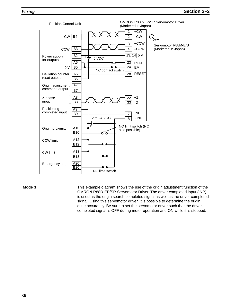

**Mode 3**

This example diagram shows the use of the origin adjustment function of the OMRON R88D-EP/SR Servomotor Driver. The driver completed input (INP) is used as the origin search completed signal as well as the driver completed signal. Using this servomotor driver, it is possible to determine the origin quite accurately. Be sure to set the servomotor driver such that the driver completed signal is OFF during motor operation and ON while it is stopped.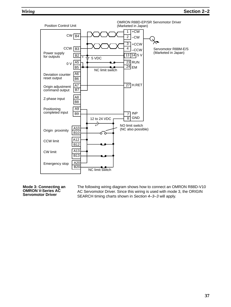

**Mode 3: Connecting an OMRON V-Series AC Servomotor Driver**

The following wiring diagram shows how to connect an OMRON R88D-V10 AC Servomotor Driver. Since this wiring is used with mode 3, the ORIGIN SEARCH timing charts shown in Section 4–3–3 will apply.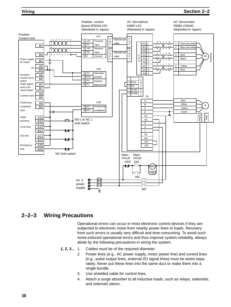# *Wiring* **Section 2–2**



# **2–2–3 Wiring Precautions**

Operational errors can occur in most electronic control devices if they are subjected to electronic noise from nearby power lines or loads. Recovery from such errors is usually very difficult and time-consuming. To avoid such noise-induced operational errors and thus improve system reliability, always abide by the following precautions in wiring the system.

- **1, 2, 3...** 1. Cables must be of the required diameter.
	- 2. Power lines (e.g., AC power supply, motor power line) and control lines (e.g., pulse output lines, external I/O signal lines) must be wired separately. Never put these lines into the same duct or make them into a single bundle.
	- 3. Use shielded cable for control lines.
	- 4. Attach a surge absorber to all inductive loads, such as relays, solenoids, and solenoid valves.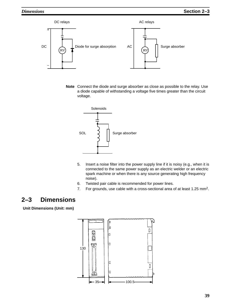

**Note** Connect the diode and surge absorber as close as possible to the relay. Use a diode capable of withstanding a voltage five times greater than the circuit voltage.



- 5. Insert a noise filter into the power supply line if it is noisy (e.g., when it is connected to the same power supply as an electric welder or an electric spark machine or when there is any source generating high frequency noise).
- 6. Twisted pair cable is recommended for power lines.
- 7. For grounds, use cable with a cross-sectional area of at least 1.25 mm<sup>2</sup>.

# **2–3 Dimensions**

**Unit Dimensions (Unit: mm)**

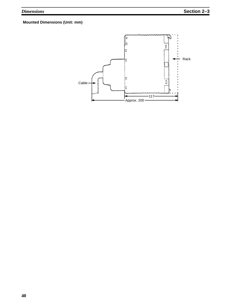# **Mounted Dimensions (Unit: mm)**

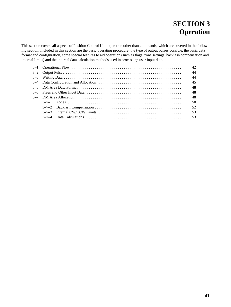# **SECTION 3 Operation**

This section covers all aspects of Position Control Unit operation other than commands, which are covered in the following section. Included in this section are the basic operating procedure, the type of output pulses possible, the basic data format and configuration, some special features to aid operation (such as flags, zone settings, backlash compensation and internal limits) and the internal data calculation methods used in processing user-input data.

|                                                                                                                        | 42  |
|------------------------------------------------------------------------------------------------------------------------|-----|
|                                                                                                                        | 44  |
|                                                                                                                        | 44  |
|                                                                                                                        | 45  |
|                                                                                                                        | 48  |
| $3-6$ Flags and Other Input Data $\dots \dots \dots \dots \dots \dots \dots \dots \dots \dots \dots \dots \dots \dots$ | 48  |
|                                                                                                                        | 48  |
|                                                                                                                        | 50  |
|                                                                                                                        | 52  |
|                                                                                                                        | .53 |
|                                                                                                                        | 53  |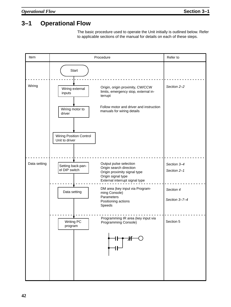# **3–1 Operational Flow**

The basic procedure used to operate the Unit initially is outlined below. Refer to applicable sections of the manual for details on each of these steps.

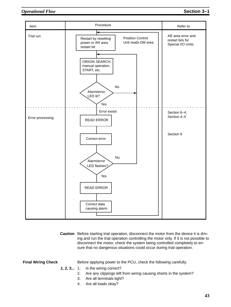

**Caution** Before starting trial operation, disconnect the motor from the device it is driving and run the trial operation controlling the motor only. If it is not possible to disconnect the motor, check the system being controlled completely to ensure that no dangerous situations could occur during trial operation.

**Final Wiring Check** Before applying power to the PCU, check the following carefully.

- **1, 2, 3...** 1. Is the wiring correct?
	- 2. Are any clippings left from wiring causing shorts in the system?
	- 3. Are all terminals tight?
	- 4. Are all loads okay?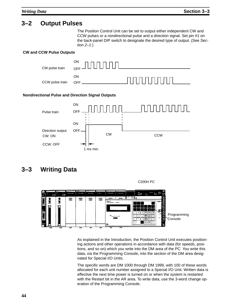# **3–2 Output Pulses**

The Position Control Unit can be set to output either independent CW and CCW pulses or a nondirectional pulse and a direction signal. Set pin #1 on the back-panel DIP switch to designate the desired type of output. (See Section  $2-1$ .)

# **CW and CCW Pulse Outputs**



# **Nondirectional Pulse and Direction Signal Outputs**

 $\equiv$ 

in 19

÷

亭

屋

臣

 $PRO15$ 



# **3–3 Writing Data**

C200H PC

Programming Console



 $\frac{1}{2}$ 

The specific words are DM 1000 through DM 1999, with 100 of these words allocated for each unit number assigned to a Special I/O Unit. Written data is effective the next time power is turned on or when the system is restarted with the Restart bit in the AR area. To write data, use the 3-word change operation of the Programming Console.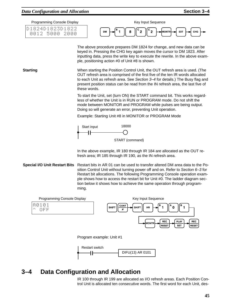| <b>Data Configuration and Allocation</b> | Section 3-4                                                                                                                                                                                                                                                                                                                                                                                                      |
|------------------------------------------|------------------------------------------------------------------------------------------------------------------------------------------------------------------------------------------------------------------------------------------------------------------------------------------------------------------------------------------------------------------------------------------------------------------|
| Programming Console Display              | Key Input Sequence                                                                                                                                                                                                                                                                                                                                                                                               |
| D1824D1823D1822<br>0012<br>5000<br>2000  | $\overline{\mathbf{2}}$<br>$\overline{\mathbf{2}}$<br>8<br><b>EXT</b><br>CHG<br>DM<br><b>MONTR</b>                                                                                                                                                                                                                                                                                                               |
|                                          | The above procedure prepares DM 1824 for change, and new data can be<br>keyed in. Pressing the CHG key again moves the cursor to DM 1823. After<br>inputting data, press the write key to execute the rewrite. In the above exam-<br>ple, positioning action #0 of Unit #8 is shown.                                                                                                                             |
| <b>Starting</b>                          | When starting the Position Control Unit, the OUT refresh area is used. (The<br>OUT refresh area is comprised of the first five of the ten IR words allocated<br>to each Unit as refresh area. See Section 3-4 for details.) The Busy flag and<br>present position status can be read from the IN refresh area, the last five of<br>these words.                                                                  |
|                                          | To start the Unit, set (turn ON) the START command bit. This works regard-<br>less of whether the Unit is in RUN or PROGRAM mode. Do not shift the<br>mode between MONITOR and PROGRAM while pulses are being output.<br>Doing so will generate an error, preventing Unit operation.                                                                                                                             |
|                                          | Example: Starting Unit #8 in MONITOR or PROGRAM Mode                                                                                                                                                                                                                                                                                                                                                             |
|                                          | 18000<br>Start input<br>START (command)                                                                                                                                                                                                                                                                                                                                                                          |
|                                          | In the above example, IR 180 through IR 184 are allocated as the OUT re-<br>fresh area; IR 185 through IR 190, as the IN refresh area.                                                                                                                                                                                                                                                                           |
| <b>Special I/O Unit Restart Bits</b>     | Restart bits in AR 01 can be used to transfer altered DM area data to the Po-<br>sition Control Unit without turning power off and on. Refer to Section 6-3 for<br>Restart bit allocations. The following Programming Console operation exam-<br>ple shows how to access the restart bit for Unit #0. The ladder diagram sec-<br>tion below it shows how to achieve the same operation through program-<br>ming. |



# **3–4 Data Configuration and Allocation**

IR 100 through IR 199 are allocated as I/O refresh areas. Each Position Control Unit is allocated ten consecutive words. The first word for each Unit, des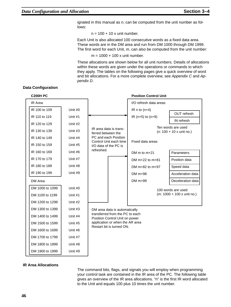ignated in this manual as  $n$ , can be computed from the unit number as follows:

 $n = 100 + 10x$  unit number.

Each Unit is also allocated 100 consecutive words as a fixed data area. These words are in the DM area and run from DM 1000 through DM 1999. The first word for each Unit,  $m$ , can also be computed from the unit number:

 $m = 1000 + 100x$  unit number.

These allocations are shown below for all unit numbers. Details of allocations within these words are given under the operations or commands to which they apply. The tables on the following pages give a quick overview of word and bit allocations. For a more complete overview, see Appendix C and Appendix D.

# **Data Configuration**

| <b>C200H PC</b> |           |                                              |                                                                   | <b>Position Control Unit</b> |                                                          |
|-----------------|-----------|----------------------------------------------|-------------------------------------------------------------------|------------------------------|----------------------------------------------------------|
| IR Area         |           |                                              |                                                                   | I/O refresh data areas       |                                                          |
| IR 100 to 109   | Unit #0   |                                              |                                                                   | IR $n$ to $(n+4)$            |                                                          |
| IR 110 to 119   | Unit #1   |                                              |                                                                   | $IR(n+5)$ to $(n+9)$         | OUT refresh                                              |
| IR 120 to 129   | Unit #2   |                                              |                                                                   |                              | IN refresh                                               |
| IR 130 to 139   | Unit $#3$ | IR area data is trans-<br>ferred between the |                                                                   |                              | Ten words are used<br>$(n: 100 + 10 x \text{ unit no.})$ |
| IR 140 to 149   | Unit #4   |                                              | PC and each Position                                              |                              |                                                          |
| IR 150 to 159   | Unit #5   | I/O data of the PC is                        | Control Unit each time                                            | Fixed data areas             |                                                          |
| IR 160 to 169   | Unit #6   | refreshed.                                   |                                                                   | DM $m$ to $m+21$             | Parameters                                               |
| IR 170 to 179   | Unit #7   |                                              |                                                                   | DM m+22 to m+81              | Position data                                            |
| IR 180 to 189   | Unit #8   |                                              |                                                                   | DM $m+82$ to $m+97$          | Speed data                                               |
| IR 190 to 199   | Unit #9   |                                              |                                                                   | DM m+98                      | Acceleration data                                        |
| DM Area         |           |                                              |                                                                   | DM m+99                      | Deceleration data                                        |
| DM 1000 to 1099 | Unit #0   |                                              |                                                                   |                              | 100 words are used                                       |
| DM 1100 to 1199 | Unit #1   |                                              |                                                                   |                              | (m: 1000 + 100 x unit no.)                               |
| DM 1200 to 1299 | Unit #2   |                                              |                                                                   |                              |                                                          |
| DM 1300 to 1399 | Unit $#3$ |                                              | DM area data is automatically                                     |                              |                                                          |
| DM 1400 to 1499 | Unit #4   |                                              | transferred from the PC to each<br>Position Control Unit on power |                              |                                                          |
| DM 1500 to 1599 | Unit #5   |                                              | application or when the AR area<br>Restart bit is turned ON.      |                              |                                                          |
| DM 1600 to 1699 | Unit #6   |                                              |                                                                   |                              |                                                          |
| DM 1700 to 1799 | Unit #7   |                                              |                                                                   |                              |                                                          |
| DM 1800 to 1899 | Unit #8   |                                              |                                                                   |                              |                                                          |
| DM 1900 to 1999 | Unit #9   |                                              |                                                                   |                              |                                                          |

### **IR Area Allocations**

The command bits, flags, and signals you will employ when programming your control task are contained in the IR area of the PC. The following table gives an overview of the IR area allocations. "n" is the first IR word allocated to the Unit and equals 100 plus 10 times the unit number.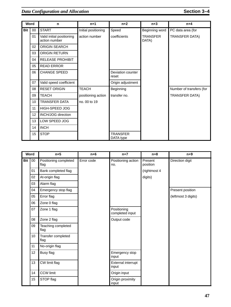|            | Word | n                                          | $n+1$              | $n+2$                        | $n+3$                    | $n+4$                    |
|------------|------|--------------------------------------------|--------------------|------------------------------|--------------------------|--------------------------|
| <b>Bit</b> | 00   | <b>START</b><br>Initial positioning        |                    | Speed                        | Beginning word           | PC data area (for        |
|            | 01   | Valid initial positioning<br>action number | action number      | coefficients                 | <b>TRANSFER</b><br>DATA) | TRANSFER DATA)           |
|            | 02   | <b>ORIGIN SEARCH</b>                       |                    |                              |                          |                          |
|            | 03   | <b>ORIGIN RETURN</b>                       |                    |                              |                          |                          |
|            | 04   | RELEASE PROHIBIT                           |                    |                              |                          |                          |
|            | 05   | <b>READ ERROR</b>                          |                    |                              |                          |                          |
|            | 06   | CHANGE SPEED                               |                    | Deviation counter<br>reset   |                          |                          |
|            | 07   | Valid speed coefficient                    |                    | Origin adjustment            |                          |                          |
|            | 08   | <b>RESET ORIGIN</b>                        | <b>TEACH</b>       | Beginning                    |                          | Number of transfers (for |
|            | 09   | <b>TEACH</b>                               | positioning action | transfer no.                 |                          | TRANSFER DATA)           |
|            | 10   | TRANSFER DATA                              | no. 00 to 19       |                              |                          |                          |
|            | 11   | HIGH-SPEED JOG                             |                    |                              |                          |                          |
|            | 12   | INCH/JOG direction                         |                    |                              |                          |                          |
|            | 13   | LOW SPEED JOG                              |                    |                              |                          |                          |
|            | 14   | <b>INCH</b>                                |                    |                              |                          |                          |
|            | 15   | <b>STOP</b>                                |                    | <b>TRANSFER</b><br>DATA type |                          |                          |

| Word       |        | $n+5$                                              | $n+6$ | $n+7$                          | $n+8$               | $n+9$               |
|------------|--------|----------------------------------------------------|-------|--------------------------------|---------------------|---------------------|
| <b>Bit</b> | $00\,$ | Positioning completed<br>Error code<br>flag<br>no. |       | Positioning action             | Present<br>position | Direction digit     |
|            | 01     | Bank completed flag                                |       |                                | (rightmost 4        |                     |
|            | 02     | At-origin flag                                     |       |                                | digits)             |                     |
|            | 03     | Alarm flag                                         |       |                                |                     |                     |
|            | 04     | Emergency stop flag                                |       |                                |                     | Present position    |
|            | 05     | Error flag                                         |       |                                |                     | (leftmost 3 digits) |
|            | 06     | Zone 0 flag                                        |       |                                |                     |                     |
|            | 07     | Zone 1 flag                                        |       | Positioning<br>completed input |                     |                     |
|            | 08     | Zone 2 flag                                        |       | Output code                    |                     |                     |
|            | 09     | Teaching completed<br>flag                         |       |                                |                     |                     |
|            | 10     | Transfer completed<br>flag                         |       |                                |                     |                     |
|            | 11     | No-origin flag                                     |       |                                |                     |                     |
|            | 12     | <b>Busy flag</b>                                   |       | Emergency stop<br>input        |                     |                     |
|            | 13     | CW limit flag                                      |       | External interrupt<br>input    |                     |                     |
|            | 14     | <b>CCW limit</b>                                   |       | Origin input                   |                     |                     |
|            | 15     | STOP flag                                          |       | Origin proximity<br>input      |                     |                     |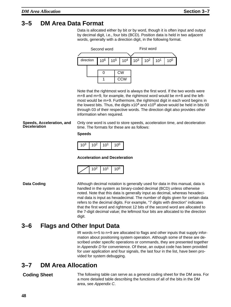# **3–5 DM Area Data Format**

Data is allocated either by bit or by word, though it is often input and output by decimal digit, i.e., four bits (BCD). Position data is held in two adjacent words, generally with a direction digit, in the following format.



Note that the rightmost word is always the first word. If the two words were m+8 and m+9, for example, the rightmost word would be m+8 and the leftmost would be m+9. Furthermore, the rightmost digit in each word begins in the lowest bits. Thus, the digits  $x10^4$  and  $x10^0$  above would be held in bits 00 through 03 of their respective words. The direction digit also provides other information when required.

**Speeds, Acceleration, and Deceleration**

Only one word is used to store speeds, acceleration time, and deceleration time. The formats for these are as follows:

## **Speeds**

| 10 <sub>3</sub> |  | ็ก1 | ገ0 |
|-----------------|--|-----|----|
|-----------------|--|-----|----|

# **Acceleration and Deceleration**

**Data Coding**

Although decimal notation is generally used for data in this manual, data is handled in the system as binary-coded decimal (BCD) unless otherwise noted. Note that this data is generally input as decimal, whereas hexadecimal data is input as hexadecimal. The number of digits given for certain data refers to the decimal digits. For example, "7 digits with direction" indicates that the first word and rightmost 12 bits of the second word are allocated to the 7-digit decimal value; the leftmost four bits are allocated to the direction digit.

# **3–6 Flags and Other Input Data**

IR words n+5 to n+9 are allocated to flags and other inputs that supply information about positioning system operation. Although some of these are described under specific operations or commands, they are presented together in Appendix D for convenience. Of these, an output code has been provided for user application and four signals, the last four in the list, have been provided for system debugging.

# **3–7 DM Area Allocation**

# **Coding Sheet**

The following table can serve as a general coding sheet for the DM area. For a more detailed table describing the functions of all of the bits in the DM area, see Appendix C.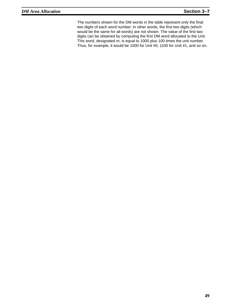The numbers shown for the DM words in the table represent only the final two digits of each word number. In other words, the first two digits (which would be the same for all words) are not shown. The value of the first two digits can be obtained by computing the first DM word allocated to the Unit. This word, designated m, is equal to 1000 plus 100 times the unit number. Thus, for example, it would be 1000 for Unit #0, 1100 for Unit #1, and so on.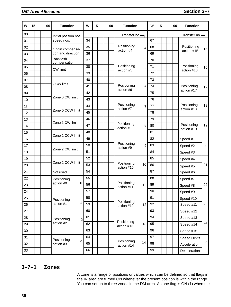# *DM Area Allocation* **Section 3–7**

| W  | 15 | 00 | <b>Function</b>                 |                | W  | 15 | 00 | <b>Function</b>           |                | W  | 15 | 00 | <b>Function</b>     |    |
|----|----|----|---------------------------------|----------------|----|----|----|---------------------------|----------------|----|----|----|---------------------|----|
| 00 |    |    | Initial position nos.;          |                |    |    |    | Transfer <sub>no.</sub> - |                |    |    |    | Transfer no.-       |    |
| 01 |    |    | speed nos.                      |                | 34 |    |    |                           |                | 67 |    |    |                     |    |
| 02 |    |    | Origin compensa-                |                | 35 |    |    | Positioning               | $\overline{4}$ | 68 |    |    | Positioning         | 15 |
| 03 |    |    | tion and direction              |                | 36 |    |    | action #4                 |                | 69 |    |    | action #15          |    |
| 04 |    |    | <b>Backlash</b><br>compensation |                | 37 |    |    |                           |                | 70 |    |    |                     |    |
| 05 |    |    | <b>CW limit</b>                 |                | 38 |    |    | Positioning               | 5              | 71 |    |    | Positioning         | 16 |
| 06 |    |    |                                 |                | 39 |    |    | action #5                 |                | 72 |    |    | action #16          |    |
| 07 |    |    |                                 |                | 40 |    |    |                           |                | 73 |    |    |                     |    |
| 08 |    |    | <b>CCW limit</b>                |                | 41 |    |    | Positioning               | 6              | 74 |    |    | Positioning         | 17 |
| 09 |    |    |                                 |                | 42 |    |    | action #6                 |                | 75 |    |    | action #17          |    |
| 10 |    |    | Zone 0 CW limit                 |                | 43 |    |    |                           |                | 76 |    |    |                     |    |
| 11 |    |    |                                 |                | 44 |    |    | Positioning<br>action #7  | 7              | 77 |    |    | Positioning         | 18 |
| 12 |    |    | Zone 0 CCW limit                |                | 45 |    |    |                           |                | 78 |    |    | action #18          |    |
| 13 |    |    |                                 |                | 46 |    |    |                           |                | 79 |    |    |                     |    |
| 14 |    |    | Zone 1 CW limit                 |                | 47 |    |    | Positioning<br>action #8  | 8              | 80 |    |    | Positioning         | 19 |
| 15 |    |    |                                 |                | 48 |    |    |                           |                | 81 |    |    | action #19          |    |
| 16 |    |    | Zone 1 CCW limit                |                | 49 |    |    |                           |                | 82 |    |    | Speed #1            |    |
| 17 |    |    |                                 |                | 50 |    |    | Positioning<br>action #9  | 9              | 83 |    |    | Speed #2            | 20 |
| 18 |    |    | Zone 2 CW limit                 |                | 51 |    |    |                           |                | 84 |    |    | Speed #3            |    |
| 19 |    |    |                                 |                | 52 |    |    |                           |                | 85 |    |    | Speed #4            |    |
| 20 |    |    | Zone 2 CCW limit                |                | 53 |    |    | Positioning<br>action #10 | 10             | 86 |    |    | Speed #5            | 21 |
| 21 |    |    | Not used                        |                | 54 |    |    |                           |                | 87 |    |    | Speed #6            |    |
| 22 |    |    | Positioning                     |                | 55 |    |    |                           |                | 88 |    |    | Speed #7            |    |
| 23 |    |    | action #0                       | 0              | 56 |    |    | Positioning<br>action #11 | 11             | 89 |    |    | Speed #8            | 22 |
| 24 |    |    |                                 |                | 57 |    |    |                           |                | 90 |    |    | Speed #9            |    |
| 25 |    |    | Positioning                     |                | 58 |    |    |                           |                | 91 |    |    | Speed #10           |    |
| 26 |    |    | action #1                       | 1              | 59 |    |    | Positioning<br>action #12 | 12             | 92 |    |    | Speed #11           | 23 |
| 27 |    |    |                                 |                | 60 |    |    |                           |                | 93 |    |    | Speed #12           |    |
| 28 |    |    | Positioning                     | $\overline{c}$ | 61 |    |    |                           |                | 94 |    |    | Speed #13           |    |
| 29 |    |    | action #2                       |                | 62 |    |    | Positioning<br>action #13 | 13             | 95 |    |    | Speed #14           | 24 |
| 30 |    |    |                                 |                | 63 |    |    |                           |                | 96 |    |    | Speed #15           |    |
| 31 |    |    | Positioning                     |                | 64 |    |    |                           |                | 97 |    |    | <b>Speed Ulnits</b> |    |
| 32 |    |    | action #3                       | 3              | 65 |    |    | Positioning<br>action #14 | 14             | 98 |    |    | Acceleration        | 25 |
| 33 |    |    |                                 |                | 66 |    |    |                           |                | 99 |    |    | Deceleration        |    |

# **3–7–1 Zones**

A zone is a range of positions or values which can be defined so that flags in the IR area are turned ON whenever the present position is within the range. You can set up to three zones in the DM area. A zone flag is ON (1) when the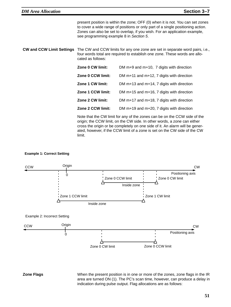present position is within the zone; OFF (0) when it is not. You can set zones to cover a wide range of positions or only part of a single positioning action. Zones can also be set to overlap, if you wish. For an application example, see programming example 8 in Section 5.

**CW and CCW Limit Settings** The CW and CCW limits for any one zone are set in separate word pairs, i.e., four words total are required to establish one zone. These words are allocated as follows:

| Zone 0 CW limit:  | DM m+9 and m+10, 7 digits with direction  |
|-------------------|-------------------------------------------|
| Zone 0 CCW limit: | DM m+11 and m+12, 7 digits with direction |
| Zone 1 CW limit:  | DM m+13 and m+14, 7 digits with direction |
| Zone 1 CCW limit: | DM m+15 and m+16, 7 digits with direction |
| Zone 2 CW limit:  | DM m+17 and m+18, 7 digits with direction |
| Zone 2 CCW limit: | DM m+19 and m+20, 7 digits with direction |

Note that the CW limit for any of the zones can be on the CCW side of the origin; the CCW limit, on the CW side. In other words, a zone can either cross the origin or be completely on one side of it. An alarm will be generated, however, if the CCW limit of a zone is set on the CW side of the CW limit.

## **Example 1: Correct Setting**



**Zone Flags**

When the present position is in one or more of the zones, zone flags in the IR area are turned ON (1). The PC's scan time, however, can produce a delay in indication during pulse output. Flag allocations are as follows: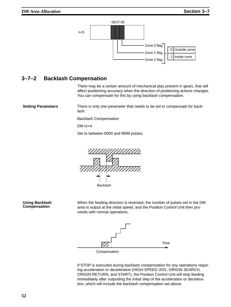

# **3–7–2 Backlash Compensation**

There may be a certain amount of mechanical play present in gears, that will affect positioning accuracy when the direction of positioning actions changes. You can compensate for this by using backlash compensation.

**Setting Parameters**

There is only one parameter that needs to be set to compensate for backlash:

Backlash Compensation

DM m+4

Set to between 0000 and 9999 pulses.



# **Using Backlash**

When the feeding direction is reversed, the number of pulses set in the DM area is output at the initial speed, and the Position Control Unit then proceeds with normal operations.



If STOP is executed during backlash compensation for any operations requiring acceleration or deceleration (HIGH-SPEED JOG, ORIGIN SEARCH, ORIGIN RETURN, and START), the Position Control Unit will stop feeding immediately after outputting the initial step of the acceleration or deceleration, which will include the backlash compensation set above.

**Compensation**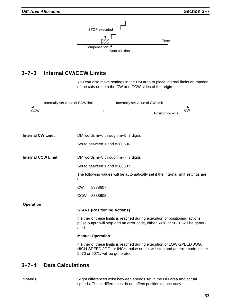

# **3–7–3 Internal CW/CCW Limits**

You can also make settings in the DM area to place internal limits on rotation of the axis on both the CW and CCW sides of the origin.



# **3–7–4 Data Calculations**

# **Speeds**

Slight differences exist between speeds set in the DM area and actual speeds. These differences do not affect positioning accuracy.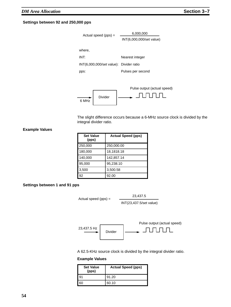# **Settings between 92 and 250,000 pps**

| Actual speed (pps) $=$                  | 6,000,000                |  |  |  |  |
|-----------------------------------------|--------------------------|--|--|--|--|
|                                         | INT(6,000,000/set value) |  |  |  |  |
| where,                                  |                          |  |  |  |  |
| INT:                                    | Nearest integer          |  |  |  |  |
| INT(6,000,000/set value): Divider ratio |                          |  |  |  |  |
| pps:                                    | Pulses per second        |  |  |  |  |
|                                         |                          |  |  |  |  |



The slight difference occurs because a 6-MHz source clock is divided by the integral divider ratio.

## **Example Values**

| <b>Set Value</b><br>(pps) | <b>Actual Speed (pps)</b> |
|---------------------------|---------------------------|
| 250,000                   | 250,000.00                |
| 180,000                   | 18,1818.18                |
| 140,000                   | 142,857.14                |
| 95,000                    | 95,238.10                 |
| 3,500                     | 3,500.58                  |
| 92                        | 92.00                     |

# **Settings between 1 and 91 pps**



INT(23,437.5/set value)



A 62.5-KHz source clock is divided by the integral divider ratio.

### **Example Values**

| <b>Set Value</b><br>(pps) | <b>Actual Speed (pps)</b> |
|---------------------------|---------------------------|
| 91                        | 91.20                     |
| 60                        | 60.10                     |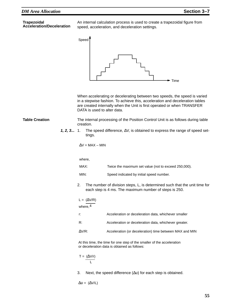#### **Trapezoidal Acceleration/Deceleration**

An internal calculation process is used to create a trapezoidal figure from speed, acceleration, and deceleration settings.



When accelerating or decelerating between two speeds, the speed is varied in a stepwise fashion. To achieve this, acceleration and deceleration tables are created internally when the Unit is first operated or when TRANSFER DATA is used to alter data.

#### The internal processing of the Position Control Unit is as follows during table creation. **Table Creation**

**1, 2, 3...** 1. The speed difference, ∆V, is obtained to express the range of speed settings.

 $\Delta V = MAX - MIN$ 

where,

| MAX: | Twice the maximum set value (not to exceed 250,000). |
|------|------------------------------------------------------|
| MIN: | Speed indicated by initial speed number.             |

2. The number of division steps, L, is determined such that the unit time for each step is 4 ms. The maximum number of steps is 250.

|    | $L = (\Delta V/R)$ |
|----|--------------------|
|    | where, 4           |
| r: |                    |

- Acceleration or deceleration data, whichever smaller
- R: Acceleration or deceleration data, whichever greater.
- ∆V/R: Acceleration (or deceleration) time between MAX and MIN

At this time, the time for one step of the smaller of the acceleration or deceleration data is obtained as follows:

$$
T = \frac{(\Delta V/r)}{L}
$$

3. Next, the speed difference (∆υ) for each step is obtained.

 $Δυ = (ΔV/L)$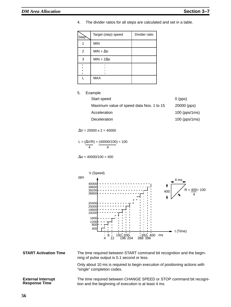| Step | Target (step) speed | Divider ratio |
|------|---------------------|---------------|
|      | <b>MIN</b>          |               |
| 2    | $MIN + \Delta v$    |               |
| з    | $MIN + 2\Delta v$   |               |
|      |                     |               |
|      | <b>MAX</b>          |               |

4. The divider ratios for all steps are calculated and set in a table.

5. Example

| Start speed                              | $0$ (pps)       |
|------------------------------------------|-----------------|
| Maximum value of speed data Nos. 1 to 15 | 20000 (pps)     |
| Acceleration                             | $100$ (pps/1ms) |
| Deceleration                             | $100$ (pps/1ms) |

 $\Delta V = 20000 \times 2 = 40000$ 

L =  $(\Delta V/R)$  =  $(40000/100)$  = 100 4 4

 $Δυ = 40000/100 = 400$ 



| <b>START Activation Time</b> | The time required between START command bit recognition and the begin-<br>ning of pulse output is 0.1 second or less. |
|------------------------------|-----------------------------------------------------------------------------------------------------------------------|
|                              | Only about 10 ms is required to begin execution of positioning actions with<br>"single" completion codes.             |

**External Interrupt Response Time**

The time required between CHANGE SPEED or STOP command bit recognition and the beginning of execution is at least 4 ms.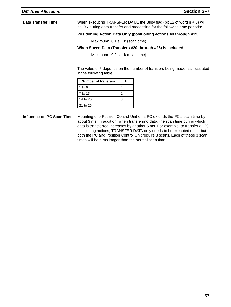# **Data Transfer Time**

When executing TRANSFER DATA, the Busy flag (bit 12 of word n + 5) will be ON during data transfer and processing for the following time periods:

# **Positioning Action Data Only (positioning actions #0 through #19):**

Maximum:  $0.1 s + k$  (scan time)

### **When Speed Data (Transfers #20 through #25) Is Included:**

Maximum:  $0.2 s + k$  (scan time)

The value of k depends on the number of transfers being made, as illustrated in the following table.

| <b>Number of transfers</b> |   |
|----------------------------|---|
| 1 to 6                     |   |
| 7 to 13                    | 2 |
| 14 to 20                   | 3 |
| 21 to 26                   |   |

Mounting one Position Control Unit on a PC extends the PC's scan time by about 3 ms. In addition, when transferring data, the scan time during which data is transferred increases by another 5 ms. For example, to transfer all 20 positioning actions, TRANSFER DATA only needs to be executed once, but both the PC and Position Control Unit require 3 scans. Each of these 3 scan times will be 5 ms longer than the normal scan time. **Influence on PC Scan Time**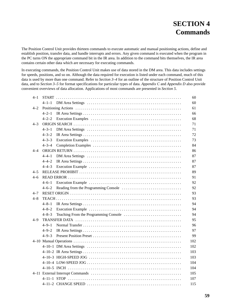# **SECTION 4 Commands**

The Position Control Unit provides thirteen commands to execute automatic and manual positioning actions, define and establish position, transfer data, and handle interrupts and errors. Any given command is executed when the program in the PC turns ON the appropriate command bit in the IR area. In addition to the command bits themselves, the IR area contains certain other data which are necessary for executing commands.

In executing commands, the Position Control Unit makes use of data stored in the DM area. This data includes settings for speeds, positions, and so on. Although the data required for execution is listed under each command, much of this data is used by more than one command. Refer to *Section 3–4* for an outline of the structure of Position Control Unit data, and to *Section 3–5* for format specifications for particular types of data. *Appendix C* and *Appendix D* also provide convenient overviews of data allocation. Applications of most commands are presented in *Section 5*.

| $4 - 1$ |             |  | 60  |
|---------|-------------|--|-----|
|         | $4 - 1 - 1$ |  | 60  |
| $4 - 2$ |             |  | 61  |
|         | $4 - 2 - 1$ |  | 66  |
|         | $4 - 2 - 2$ |  | 68  |
| $4 - 3$ |             |  | 71  |
|         | $4 - 3 - 1$ |  | 71  |
|         | $4 - 3 - 2$ |  | 72  |
|         | $4 - 3 - 3$ |  | 73  |
|         | $4 - 3 - 4$ |  | 84  |
| 4–4     |             |  | 86  |
|         | $4 - 4 - 1$ |  | 87  |
|         | $4 - 4 - 2$ |  | 87  |
|         | $4 - 4 - 3$ |  | 87  |
| $4 - 5$ |             |  | 89  |
| $4 - 6$ |             |  | 91  |
|         | $4 - 6 - 1$ |  | 92  |
|         | $4 - 6 - 2$ |  | 92  |
| $4 - 7$ |             |  | 93  |
| $4 - 8$ |             |  | 93  |
|         | $4 - 8 - 1$ |  | 94  |
|         | $4 - 8 - 2$ |  | 94  |
|         | $4 - 8 - 3$ |  | 94  |
| 4–9     |             |  | 95  |
|         | $4 - 9 - 1$ |  | 96  |
|         | $4 - 9 - 2$ |  | 97  |
|         | $4 - 9 - 3$ |  | 99  |
|         |             |  | 102 |
|         |             |  | 102 |
|         |             |  | 103 |
|         |             |  | 103 |
|         |             |  | 104 |
|         |             |  | 104 |
|         |             |  | 105 |
|         |             |  | 107 |
|         |             |  | 115 |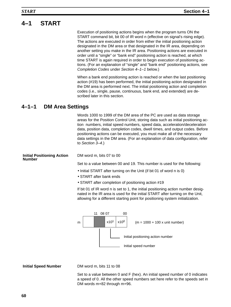# **4–1 START**

Execution of positioning actions begins when the program turns ON the START command bit, bit 00 of IR word n (effective on signal's rising edge). The actions are executed in order from either the initial positioning action designated in the DM area or that designated in the IR area, depending on another setting you make in the IR area. Positioning actions are executed in order until a "single" or "bank end" positioning action is reached, at which time START is again required in order to begin execution of positioning actions. (For an explanation of "single" and "bank end" positioning actions, see Completion Codes under Section 4–1–1 below.)

When a bank end positioning action is reached or when the last positioning action (#19) has been performed, the initial positioning action designated in the DM area is performed next. The initial positioning action and completion codes (i.e., single, pause, continuous, bank end, and extended) are described later in this section.

# **4–1–1 DM Area Settings**

Words 1000 to 1999 of the DM area of the PC are used as data storage areas for the Position Control Unit, storing data such as initial positioning action numbers, initial speed numbers, speed data, acceleration/deceleration data, position data, completion codes, dwell times, and output codes. Before positioning actions can be executed, you must make all of the necessary data settings in the DM area. (For an explanation of data configuration, refer to Section 3–4.)

DM word m, bits 07 to 00 **Initial Positioning Action Number**

Set to a value between 00 and 19. This number is used for the following:

- Initial START after turning on the Unit (if bit 01 of word n is 0)
- START after bank ends
- START after completion of positioning action #19

If bit 01 of IR word n is set to 1, the initial positioning action number designated in the IR area is used for the initial START after turning on the Unit, allowing for a different starting point for positioning system initialization.



**Initial Speed Number**

DM word m, bits 11 to 08

Set to a value between 0 and F (hex). An initial speed number of 0 indicates a speed of 0. All the other speed numbers set here refer to the speeds set in DM words m+82 through m+96.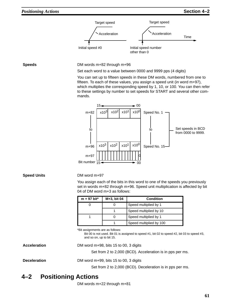

**Speeds**

DM words m+82 through m+96

Set each word to a value between 0000 and 9999 pps (4 digits)

You can set up to fifteen speeds in these DM words, numbered from one to fifteen. To each of these values, you assign a speed unit (in word m+97), which multiplies the corresponding speed by 1, 10, or 100. You can then refer to these settings by number to set speeds for START and several other commands.



**Speed Units**

### DM word m+97

You assign each of the bits in this word to one of the speeds you previously set in words m+82 through m+96. Speed unit multiplication is affected by bit 04 of DM word m+3 as follows:

| $m + 97$ bit <sup>*</sup> | M+3, bit 04 | <b>Condition</b>        |
|---------------------------|-------------|-------------------------|
|                           |             | Speed multiplied by 1   |
|                           |             | Speed multiplied by 10  |
|                           |             | Speed multiplied by 1   |
|                           |             | Speed multiplied by 100 |

\*Bit assignments are as follows:

Bit 00 is not used. Bit 01 is assigned to speed #1, bit 02 to speed #2, bit 03 to speed #3, and so on, up to bit 15.

**Acceleration**

DM word m+98, bits 15 to 00, 3 digits

Set from 2 to 2,000 (BCD). Acceleration is in pps per ms.

**Deceleration**

DM word m+99, bits 15 to 00, 3 digits

Set from 2 to 2,000 (BCD). Deceleration is in pps per ms.

# **4–2 Positioning Actions**

DM words m+22 through m+81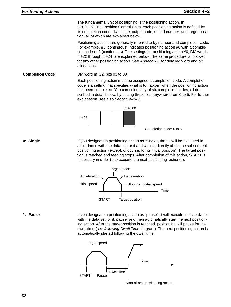The fundamental unit of positioning is the positioning action. In C200H-NC112 Position Control Units, each positioning action is defined by its completion code, dwell time, output code, speed number, and target position, all of which are explained below.

Positioning actions are generally referred to by number and completion code. For example,"#6, continuous" indicates positioning action #6 with a completion code of 2 (continuous). The settings for positioning action #0, DM words m+22 through m+24, are explained below. The same procedure is followed for any other positioning action. See Appendix C for detailed word and bit allocations.

DM word m+22, bits 03 to 00 **Completion Code**

> Each positioning action must be assigned a completion code. A completion code is a setting that specifies what is to happen when the positioning action has been completed. You can select any of six completion codes, all described in detail below, by setting these bits anywhere from 0 to 5. For further explanation, see also Section 4–1–3.



If you designate a positioning action as "single", then it will be executed in accordance with the data set for it and will not directly affect the subsequent positioning action (except, of course, for its initial position). The target position is reached and feeding stops. After completion of this action, START is necessary in order to to execute the next positioning action(s). **0: Single**



### **1: Pause**

If you designate a positioning action as "pause", it will execute in accordance with the data set for it, pause, and then automatically start the next positioning action. After the target position is reached, positioning will pause for the dwell time (see following Dwell Time diagram). The next positioning action is automatically started following the dwell time.



Start of next positioning action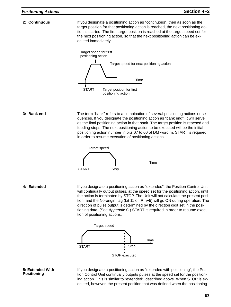### **2: Continuous**

If you designate a positioning action as "continuous", then as soon as the target position for that positioning action is reached, the next positioning action is started. The first target position is reached at the target speed set for the next positioning action, so that the next positioning action can be executed immediately.



#### **3: Bank end**

The term "bank" refers to a combination of several positioning actions or sequences. If you designate the positioning action as "bank end", it will serve as the final positioning action in that bank. The target position is reached and feeding stops. The next positioning action to be executed will be the initial positioning action number in bits 07 to 00 of DM word m. START is required in order to resume execution of positioning actions.



If you designate a positioning action as "extended", the Position Control Unit will continually output pulses, at the speed set for the positioning action, until the action is terminated by STOP. The Unit will not calculate the present position, and the No-origin flag (bit 11 of IR n+5) will go ON during operation. The direction of pulse output is determined by the direction digit set in the positioning data. (See Appendix C.) START is required in order to resume execution of positioning actions. **4: Extended**



**5: Extended With Positioning**

If you designate a positioning action as "extended with positioning", the Position Control Unit continually outputs pulses at the speed set for the positioning action. This is similar to "extended", described above. When STOP is executed, however, the present position that was defined when the positioning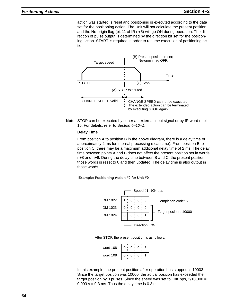action was started is reset and positioning is executed according to the data set for the positioning action. The Unit will not calculate the present position, and the No-origin flag (bit 11 of IR n+5) will go ON during operation. The direction of pulse output is determined by the direction bit set for the positioning action. START is required in order to resume execution of positioning actions.



**Note** STOP can be executed by either an external input signal or by IR word n, bit 15. For details, refer to Section 4–10–1.

#### **Delay Time**

From position A to position B in the above diagram, there is a delay time of approximately 2 ms for internal processing (scan time). From position B to position C, there may be a maximum additional delay time of 2 ms. The delay time between points A and B does not affect the present position set in words n+8 and n+9. During the delay time between B and C, the present position in those words is reset to 0 and then updated. The delay time is also output in those words.

#### **Example: Positioning Action #0 for Unit #0**



After STOP, the present position is as follows:



In this example, the present position after operation has stopped is 10003. Since the target position was 10000, the actual position has exceeded the target position by 3 pulses. Since the speed was set to 10K pps, 3/10,000 =  $0.003$  s = 0.3 ms. Thus the delay time is 0.3 ms.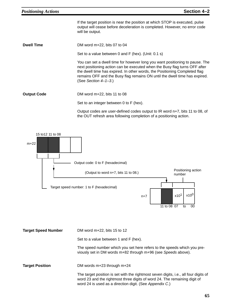If the target position is near the position at which STOP is executed, pulse output will cease before deceleration is completed. However, no error code will be output.

DM word m+22, bits 07 to 04 **Dwell Time**

Set to a value between 0 and F (hex). (Unit: 0.1 s)

You can set a dwell time for however long you want positioning to pause. The next positioning action can be executed when the Busy flag turns OFF after the dwell time has expired. In other words, the Positioning Completed flag remains OFF and the Busy flag remains ON until the dwell time has expired. (See Section 4–1–3.)

DM word m+22, bits 11 to 08 **Output Code**

Set to an integer between 0 to F (hex).

Output codes are user-defined codes output to IR word n+7, bits 11 to 08, of the OUT refresh area following completion of a positioning action.



DM word m+22, bits 15 to 12 Set to a value between 1 and F (hex). The speed number which you set here refers to the speeds which you previously set in DM words m+82 through m+96 (see Speeds above). DM words m+23 through m+24 The target position is set with the rightmost seven digits, i.e., all four digits of word 23 and the rightmost three digits of word 24. The remaining digit of word 24 is used as a direction digit. (See Appendix C.) **Target Speed Number Target Position**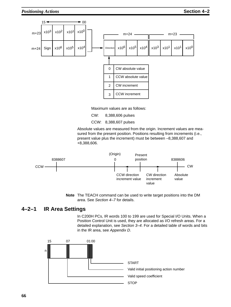

Maximum values are as follows:

CW: 8,388,606 pulses

CCW: 8,388,607 pulses

Absolute values are measured from the origin. Increment values are measured from the present position. Positions resulting from increments (i.e., present value plus the increment) must be between –8,388,607 and +8,388,606.



**Note** The TEACH command can be used to write target positions into the DM area. See Section 4–7 for details.

## **4–2–1 IR Area Settings**

In C200H PCs, IR words 100 to 199 are used for Special I/O Units. When a Position Control Unit is used, they are allocated as I/O refresh areas. For a detailed explanation, see Section 3–4. For a detailed table of words and bits in the IR area, see Appendix D.

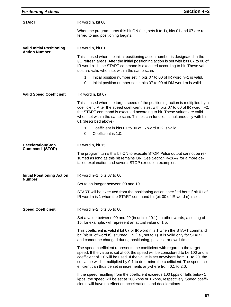| <b>START</b>                                             | IR word n, bit 00                                                                                                                                                                                                                                                                                                                                                                                        |  |
|----------------------------------------------------------|----------------------------------------------------------------------------------------------------------------------------------------------------------------------------------------------------------------------------------------------------------------------------------------------------------------------------------------------------------------------------------------------------------|--|
|                                                          | When the program turns this bit ON (i.e., sets it to 1), bits 01 and 07 are re-<br>ferred to and positioning begins.                                                                                                                                                                                                                                                                                     |  |
| <b>Valid Initial Positioning</b><br><b>Action Number</b> | IR word n, bit 01                                                                                                                                                                                                                                                                                                                                                                                        |  |
|                                                          | This is used when the initial positioning action number is designated in the<br>I/O refresh areas. After the initial positioning action is set with bits 07 to 00 of<br>IR word n+1, the START command is executed according to bit. These val-<br>ues are valid when set within the same scan.                                                                                                          |  |
|                                                          | Initial position number set in bits 07 to 00 of IR word n+1 is valid.<br>1:<br>Initial position number set in bits 07 to 00 of DM word m is valid.<br>0:                                                                                                                                                                                                                                                 |  |
| <b>Valid Speed Coefficient</b>                           | IR word n, bit 07                                                                                                                                                                                                                                                                                                                                                                                        |  |
|                                                          | This is used when the target speed of the positioning action is multiplied by a<br>coefficient. After the speed coefficient is set with bits 07 to 00 of IR word n+2,<br>the START command is executed according to bit. These values are valid<br>when set within the same scan. This bit can function simultaneously with bit<br>01 (described above).                                                 |  |
|                                                          | Coefficient in bits 07 to 00 of IR word n+2 is valid.<br>1:<br>Coefficient is 1.0.<br>0:                                                                                                                                                                                                                                                                                                                 |  |
| <b>Deceleration/Stop</b><br>Command (STOP)               | IR word n, bit 15                                                                                                                                                                                                                                                                                                                                                                                        |  |
|                                                          | The program turns this bit ON to execute STOP. Pulse output cannot be re-<br>sumed as long as this bit remains ON. See Section 4-10-1 for a more de-<br>tailed explanation and several STOP execution examples.                                                                                                                                                                                          |  |
| <b>Initial Positioning Action</b><br><b>Number</b>       | IR word n+1, bits 07 to 00                                                                                                                                                                                                                                                                                                                                                                               |  |
|                                                          | Set to an integer between 00 and 19.                                                                                                                                                                                                                                                                                                                                                                     |  |
|                                                          | START will be executed from the positioning action specified here if bit 01 of<br>IR word n is 1 when the START command bit (bit 00 of IR word n) is set.                                                                                                                                                                                                                                                |  |
| <b>Speed Coefficient</b>                                 | IR word n+2, bits 05 to 00                                                                                                                                                                                                                                                                                                                                                                               |  |
|                                                          | Set a value between 00 and 20 (in units of 0.1). In other words, a setting of<br>15, for example, will represent an actual value of 1.5.                                                                                                                                                                                                                                                                 |  |
|                                                          | This coefficient is valid if bit 07 of IR word n is 1 when the START command<br>bit (bit 00 of word n) is turned ON (i.e., set to 1). It is valid only for START<br>and cannot be changed during positioning, passes,. or dwell time.                                                                                                                                                                    |  |
|                                                          | The speed coefficient represents the coefficient with regard to the target<br>speed. If the value is set at 00, the speed will be considered to be 100 and a<br>coefficient of 1.0 will be used. If the value is set anywhere from 01 to 20, the<br>set value will be multiplied by 0.1 to determine the coefficient. The speed co-<br>efficient can thus be set in increments anywhere from 0.1 to 2.0. |  |
|                                                          | If the speed resulting from the coefficient exceeds 100 kpps or falls below 1<br>kpps, the speed will be set at 100 kpps or 1 kpps, respectively. Speed coeffi-<br>cients will have no effect on accelerations and decelerations.                                                                                                                                                                        |  |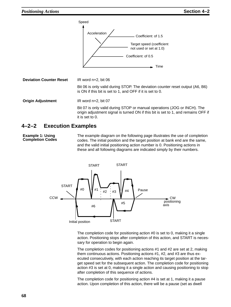

## **4–2–2 Execution Examples**

**Example 1: Using Completion Codes** The example diagram on the following page illustrates the use of completion codes. The initial position and the target position at bank end are the same, and the valid initial positioning action number is 0. Positioning actions in these and all following diagrams are indicated simply by their numbers.



The completion code for positioning action #0 is set to 0, making it a single action. Positioning stops after completion of this action, and START is necessary for operation to begin again.

The completion codes for positioning actions #1 and #2 are set at 2, making them continuous actions. Positioning actions #1, #2, and #3 are thus executed consecutively, with each action reaching its target position at the target speed set for the subsequent action. The completion code for positioning action #3 is set at 0, making it a single action and causing positioning to stop after completion of this sequence of actions.

The completion code for positioning action #4 is set at 1, making it a pause action. Upon completion of this action, there will be a pause (set as dwell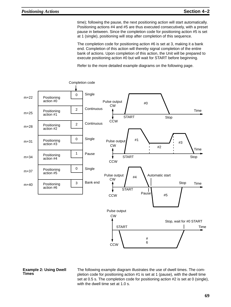time); following the pause, the next positioning action will start automatically. Positioning actions #4 and #5 are thus executed consecutively, with a preset pause in between. Since the completion code for positioning action #5 is set at 1 (single), positioning will stop after completion of this sequence.

The completion code for positioning action #6 is set at 3, making it a bank end. Completion of this action will thereby signal completion of the entire bank of actions. Upon completion of this action, the Unit will be prepared to execute positioning action #0 but will wait for START before beginning.

Refer to the more detailed example diagrams on the following page.



**Example 2: Using Dwell Times**

The following example diagram illustrates the use of dwell times. The completion code for positioning action #1 is set at 1 (pause), with the dwell time set at 0.5 s. The completion code for positioning action #2 is set at 0 (single), with the dwell time set at 1.0 s.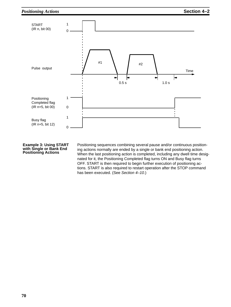

**Example 3: Using START with Single or Bank End Positioning Actions**

Positioning sequences combining several pause and/or continuous positioning actions normally are ended by a single or bank end positioning action. When the last positioning action is completed, including any dwell time designated for it, the Positioning Completed flag turns ON and Busy flag turns OFF. START is then required to begin further execution of positioning actions. START is also required to restart operation after the STOP command has been executed. (See Section 4-10.)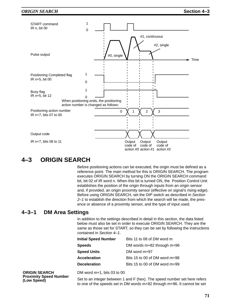

# **4–3 ORIGIN SEARCH**

Before positioning actions can be executed, the origin must be defined as a reference point. The main method for this is ORIGIN SEARCH. The program executes ORIGIN SEARCH by turning ON the ORIGIN SEARCH command bit, bit 02 of IR word n. When this bit is turned ON, the Position Control Unit establishes the position of the origin through inputs from an origin sensor and, if provided, an origin proximity sensor (effective on signal's rising edge). Before using ORIGIN SEARCH, set the DIP switch as described in Section  $2-1$  to establish the direction from which the search will be made, the presence or absence of a proximity sensor, and the type of input used.

## **4–3–1 DM Area Settings**

In addition to the settings described in detail in this section, the data listed below must also be set in order to execute ORIGIN SEARCH. They are the same as those set for START, so they can be set by following the instructions contained in Section 4–1.

| <b>Initial Speed Number</b> | Bits 11 to 08 of DM word m      |
|-----------------------------|---------------------------------|
| Speeds                      | DM words $m+82$ through $m+96$  |
| Speed Units                 | DM word $m+97$                  |
| Acceleration                | Bits 15 to 00 of DM word $m+98$ |
| <b>Deceleration</b>         | Bits 15 to 00 of DM word $m+99$ |

**ORIGIN SEARCH Proximity Speed Number (Low Speed)**

DM word m+1, bits 03 to 00

Set to an integer between 1 and F (hex). The speed number set here refers to one of the speeds set in DM words m+82 through m+96. It cannot be set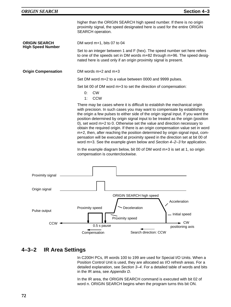higher than the ORIGIN SEARCH high speed number. If there is no origin proximity signal, the speed designated here is used for the entire ORIGIN SEARCH operation.

DM word m+1, bits 07 to 04 **ORIGIN SEARCH High Speed Number**

Set to an integer between 1 and F (hex). The speed number set here refers to one of the speeds set in DM words m+82 through m+96. The speed designated here is used only if an origin proximity signal is present.

DM words m+2 and m+3 **Origin Compensation**

Set DM word m+2 to a value between 0000 and 9999 pulses.

Set bit 00 of DM word m+3 to set the direction of compensation:

- $0^{\circ}$  CW
- 1: CCW

There may be cases where it is difficult to establish the mechanical origin with precision. In such cases you may want to compensate by establishing the origin a few pulses to either side of the origin signal input. If you want the position determined by origin signal input to be treated as the origin (position 0), set word m+2 to 0. Otherwise set the value and direction necessary to obtain the required origin. If there is an origin compensation value set in word m+2, then, after reaching the position determined by origin signal input, compensation will be executed at proximity speed in the direction set at bit 00 of word m+3. See the example given below and Section 4–2–3 for application.

In the example diagram below, bit 00 of DM word m+3 is set at 1, so origin compensation is counterclockwise.



# **4–3–2 IR Area Settings**

In C200H PCs, IR words 100 to 199 are used for Special I/O Units. When a Position Control Unit is used, they are allocated as I/O refresh areas. For a detailed explanation, see Section 3–4. For a detailed table of words and bits in the IR area, see Appendix D.

In the IR area, the ORIGIN SEARCH command is executed with bit 02 of word n. ORIGIN SEARCH begins when the program turns this bit ON.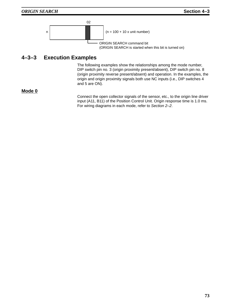

# **4–3–3 Execution Examples**

The following examples show the relationships among the mode number, DIP switch pin no. 3 (origin proximity present/absent), DIP switch pin no. 8 (origin proximity reverse present/absent) and operation. In the examples, the origin and origin proximity signals both use NC inputs (i.e., DIP switches 4 and 5 are ON).

## **Mode 0**

Connect the open collector signals of the sensor, etc., to the origin line driver input (A11, B11) of the Position Control Unit. Origin response time is 1.0 ms. For wiring diagrams in each mode, refer to Section 2–2.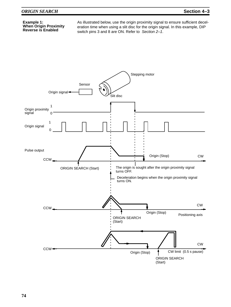#### **Example 1: When Origin Proximity Reverse is Enabled**

As illustrated below, use the origin proximity signal to ensure sufficient deceleration time when using a slit disc for the origin signal. In this example, DIP switch pins 3 and 8 are ON. Refer to Section 2–1.

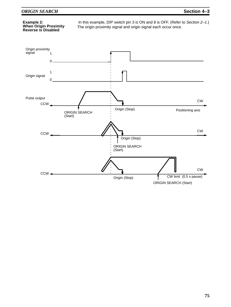#### **Example 2: When Origin Proximity Reverse is Disabled**

In this example, DIP switch pin 3 is ON and 8 is OFF. (Refer to Section 2-1.) The origin proximity signal and origin signal each occur once.

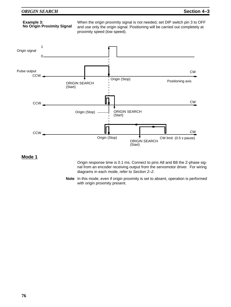**No Origin Proximity Signal**

**Example 3:**

## and use only the origin signal. Positioning will be carried out completely at proximity speed (low speed). Origin signal Pulse output 1  $\mathbf{0}$  $CCW$ CCW CCW<sub></sub> CW limit (0.5 s pause) CW CW ORIGIN SEARCH (Start) Origin (Stop) ORIGIN SEARCH<br>(Start) Origin (Stop) ORIGIN SEARCH (Start) Origin (Stop) Positioning axis CW

## **Mode 1**

Origin response time is 0.1 ms. Connect to pins A8 and B8 the Z-phase signal from an encoder receiving output from the servomotor driver. For wiring diagrams in each mode, refer to Section 2–2.

When the origin proximity signal is not needed, set DIP switch pin 3 to OFF

**Note** In this mode, even if origin proximity is set to absent, operation is performed with origin proximity present.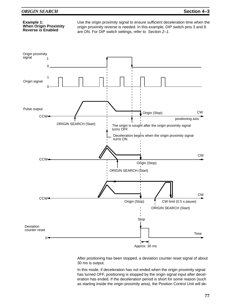#### **Example 1: When Origin Proximity Reverse is Enabled**

Use the origin proximity signal to ensure sufficient deceleration time when the origin proximity reverse is needed. In this example, DIP switch pins 3 and 8 are ON. For DIP switch settings, refer to Section 2–1.



After positioning has been stopped, a deviation counter reset signal of about 30 ms is output.

In this mode, if deceleration has not ended when the origin proximity signal has turned OFF, positioning is stopped by the origin signal input after deceleration has ended. If the deceleration period is short for some reason (such as starting inside the origin proximity area), the Position Control Unit will de-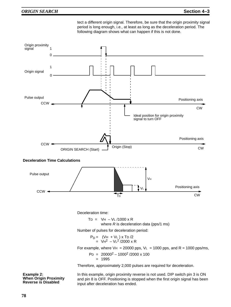tect a different origin signal. Therefore, be sure that the origin proximity signal period is long enough, i.e., at least as long as the deceleration period. The following diagram shows what can happen if this is not done.

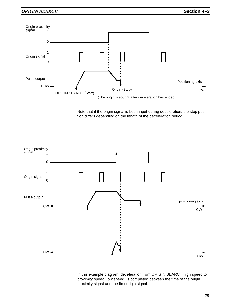

Note that if the origin signal is been input during deceleration, the stop position differs depending on the length of the deceleration period.



In this example diagram, deceleration from ORIGIN SEARCH high speed to proximity speed (low speed) is completed between the time of the origin proximity signal and the first origin signal.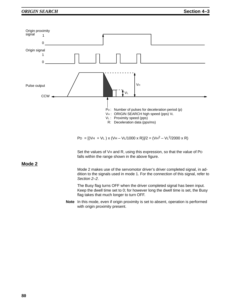

PD =  $[(VH + VL) \times (VH - VL/1000 \times R)]/2 = (VH^2 - VL^2/2000 \times R)$ 

Set the values of VH and R, using this expression, so that the value of PD falls within the range shown in the above figure.

#### **Mode 2**

Mode 2 makes use of the servomotor driver's driver completed signal, in addition to the signals used in mode 1. For the connection of this signal, refer to Section 2–2.

The Busy flag turns OFF when the driver completed signal has been input. Keep the dwell time set to 0; for however long the dwell time is set, the Busy flag takes that much longer to turn OFF.

**Note** In this mode, even if origin proximity is set to absent, operation is performed with origin proximity present.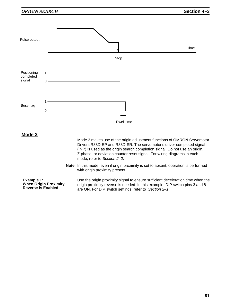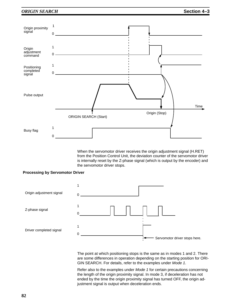

When the servomotor driver receives the origin adjustment signal (H.RET) from the Position Control Unit, the deviation counter of the servomotor driver is internally reset by the Z-phase signal (which is output by the encoder) and the servomotor driver stops.

#### **Processing by Servomotor Driver**



The point at which positioning stops is the same as in modes 1 and 2. There are some differences in operation depending on the starting position for ORI-GIN SEARCH. For details, refer to the examples under Mode 1.

Refer also to the examples under Mode 1 for certain precautions concerning the length of the origin proximity signal. In mode 3, if deceleration has not ended by the time the origin proximity signal has turned OFF, the origin adjustment signal is output when deceleration ends.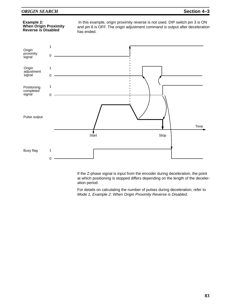## In this example, origin proximity reverse is not used. DIP switch pin 3 is ON and pin 8 is OFF. The origin adjustment command is output after deceleration has ended. Origin proximity **signal** Origin adjustment signal Positioning completed signal Pulse output Busy flag 1 0 1 0 1 0 Start Start Stop Time 1 0 **Example 2: When Origin Proximity Reverse is Disabled**

If the Z-phase signal is input from the encoder during deceleration, the point at which positioning is stopped differs depending on the length of the deceleration period.

For details on calculating the number of pulses during deceleration, refer to Mode 1, Example 2: When Origin Proximity Reverse is Disabled.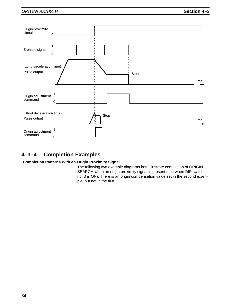

# **4–3–4 Completion Examples**

### **Completion Patterns With an Origin Proximity Signal**

The following two example diagrams both illustrate completion of ORIGIN SEARCH when an origin proximity signal is present (i.e., when DIP switch no. 3 is ON). There is an origin compensation value set in the second example, but not in the first.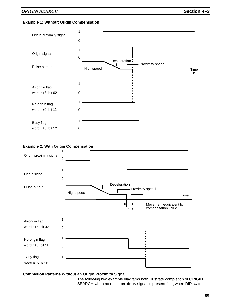## **Example 1: Without Origin Compensation**



#### **Example 2: With Origin Compensation**



#### **Completion Patterns Without an Origin Proximity Signal**

The following two example diagrams both illustrate completion of ORIGIN SEARCH when no origin proximity signal is present (i.e., when DIP switch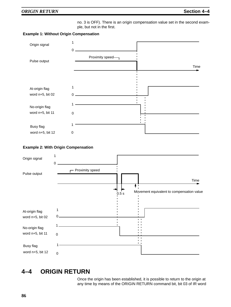## *ORIGIN RETURN* **Section 4–4**

no. 3 is OFF). There is an origin compensation value set in the second example, but not in the first.

#### **Example 1: Without Origin Compensation**



## **Example 2: With Origin Compensation**



# **4–4 ORIGIN RETURN**

Once the origin has been established, it is possible to return to the origin at any time by means of the ORIGIN RETURN command bit, bit 03 of IR word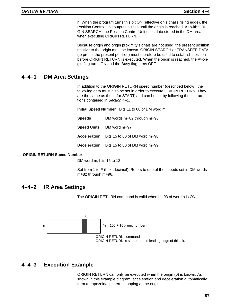n. When the program turns this bit ON (effective on signal's rising edge), the Position Control Unit outputs pulses until the origin is reached. As with ORI-GIN SEARCH, the Position Control Unit uses data stored in the DM area when executing ORIGIN RETURN.

Because origin and origin proximity signals are not used, the present position relative to the origin must be known. ORIGIN SEARCH or TRANSFER DATA (to preset the present position) must therefore be used to establish position before ORIGIN RETURN is executed. When the origin is reached, the At-origin flag turns ON and the Busy flag turns OFF.

## **4–4–1 DM Area Settings**

In addition to the ORIGIN RETURN speed number (described below), the following data must also be set in order to execute ORIGIN RETURN. They are the same as those for START, and can be set by following the instructions contained in Section 4–1.

**Initial Speed Number** Bits 11 to 08 of DM word m

**Speeds** DM words m+82 through m+96 **Speed Units** DM word m+97 **Acceleration** Bits 15 to 00 of DM word m+98 **Deceleration** Bits 15 to 00 of DM word m+99

#### **ORIGIN RETURN Speed Number**

DM word m, bits 15 to 12

Set from 1 to F (hexadecimal). Refers to one of the speeds set in DM words m+82 through m+96.

# **4–4–2 IR Area Settings**

The ORIGIN RETURN command is valid when bit 03 of word n is ON.



# **4–4–3 Execution Example**

ORIGIN RETURN can only be executed when the origin (0) is known. As shown in this example diagram, acceleration and deceleration automatically form a trapezoidal pattern, stopping at the origin.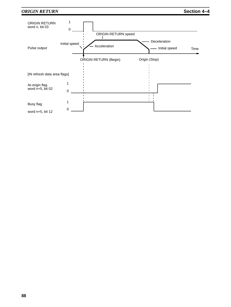## *ORIGIN RETURN* Section 4–4

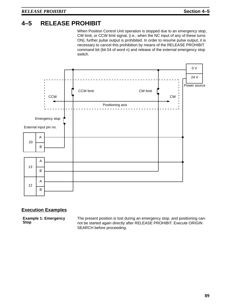# **4–5 RELEASE PROHIBIT**

When Position Control Unit operation is stopped due to an emergency stop, CW limit, or CCW limit signal, (i.e., when the NC input of any of these turns ON), further pulse output is prohibited. In order to resume pulse output, it is necessary to cancel this prohibition by means of the RELEASE PROHIBIT command bit (bit 04 of word n) and release of the external emergency stop switch.



## **Execution Examples**

**Example 1: Emergency Stop**

The present position is lost during an emergency stop, and positioning cannot be started again directly after RELEASE PROHIBIT. Execute ORIGIN SEARCH before proceeding.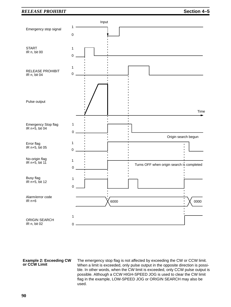## *RELEASE PROHIBIT* **Section 4–5**





**Example 2: Exceeding CW or CCW Limit**

The emergency stop flag is not affected by exceeding the CW or CCW limit. When a limit is exceeded, only pulse output in the opposite direction is possible. In other words, when the CW limit is exceeded, only CCW pulse output is possible. Although a CCW HIGH-SPEED JOG is used to clear the CW limit flag in the example, LOW-SPEED JOG or ORIGIN SEARCH may also be used.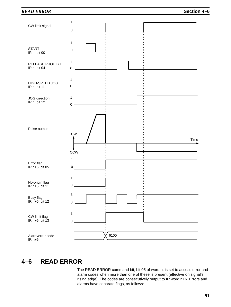## *READ ERROR* **Section 4–6**



# **4–6 READ ERROR**

The READ ERROR command bit, bit 05 of word n, is set to access error and alarm codes when more than one of these is present (effective on signal's rising edge). The codes are consecutively output to IR word n+6. Errors and alarms have separate flags, as follows: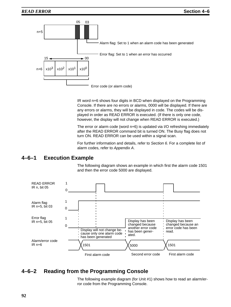

IR word n+6 shows four digits in BCD when displayed on the Programming Console. If there are no errors or alarms, 0000 will be displayed. If there are any errors or alarms, they will be displayed in code. The codes will be displayed in order as READ ERROR is executed. (If there is only one code, however, the display will not change when READ ERROR is executed.)

The error or alarm code (word n+6) is updated via I/O refreshing immediately after the READ ERROR command bit is turned ON. The Busy flag does not turn ON. READ ERROR can be used within a signal scan.

For further information and details, refer to Section 6. For a complete list of alarm codes, refer to Appendix A.

## **4–6–1 Execution Example**

The following diagram shows an example in which first the alarm code 1501 and then the error code 5000 are displayed.



# **4–6–2 Reading from the Programming Console**

The following example diagram (for Unit #1) shows how to read an alarm/error code from the Programming Console.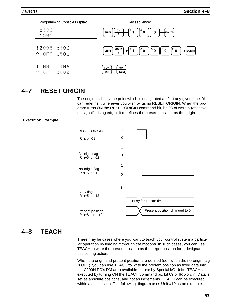

# **4–7 RESET ORIGIN**

The origin is simply the point which is designated as 0 at any given time. You can redefine it whenever you wish by using RESET ORIGIN. When the program turns ON the RESET ORIGIN command bit, bit 08 of word n (effective on signal's rising edge), it redefines the present position as the origin.

#### **Execution Example**



# **4–8 TEACH**

There may be cases where you want to teach your control system a particular operation by leading it through the motions. In such cases, you can use TEACH to write the present position as the target position for a designated positioning action.

When the origin and present position are defined (i.e., when the no-origin flag is OFF), you can use TEACH to write the present position as fixed data into the C200H PC's DM area available for use by Special I/O Units. TEACH is executed by turning ON the TEACH command bit, bit 09 of IR word n. Data is set as absolute positions, and not as increments. TEACH can be executed within a single scan. The following diagram uses Unit #10 as an example.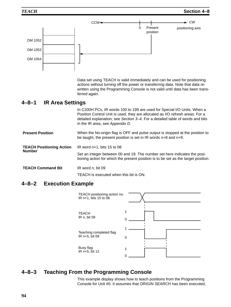

Data set using TEACH is valid immediately and can be used for positioning actions without turning off the power or transferring data. Note that data rewritten using the Programming Console is not valid until data has been transferred again.

## **4–8–1 IR Area Settings**

In C200H PCs, IR words 100 to 199 are used for Special I/O Units. When a Position Control Unit is used, they are allocated as I/O refresh areas. For a detailed explanation, see Section 3–4. For a detailed table of words and bits in the IR area, see Appendix D.

When the No-origin flag is OFF and pulse output is stopped at the position to be taught, the present position is set in IR words n+8 and n+9. **Present Position**

IR word n+1, bits 15 to 08 **TEACH Positioning Action**

Set an integer between 00 and 19. The number set here indicates the positioning action for which the present position is to be set as the target position. **Number**

IR word n, bit 09 **TEACH Command Bit**

TEACH is executed when this bit is ON.

## **4–8–2 Execution Example**



# **4–8–3 Teaching From the Programming Console**

This example display shows how to teach positions from the Programming Console for Unit #0. It assumes that ORIGIN SEARCH has been executed,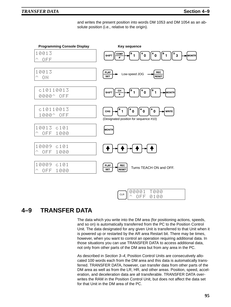and writes the present position into words DM 1053 and DM 1054 as an absolute position (i.e., relative to the origin).



# **4–9 TRANSFER DATA**

The data which you write into the DM area (for positioning actions, speeds, and so on) is automatically transferred from the PC to the Position Control Unit. The data designated for any given Unit is transferred to that Unit when it is powered up or restarted by the AR area Restart bit. There may be times, however, when you want to control an operation requiring additional data. In those situations you can use TRANSFER DATA to access additional data, not only from other parts of the DM area but from any area in the PC.

OFF

0100

As described in Section 3–4, Position Control Units are consecutively allocated 100 words each from the DM area and this data is automatically transferred. TRANSFER DATA, however, can transfer data from other parts of the DM area as well as from the LR, HR, and other areas. Position, speed, acceleration, and deceleration data are all transferable. TRANSFER DATA overwrites the RAM in the Position Control Unit, but does not affect the data set for that Unit in the DM area of the PC.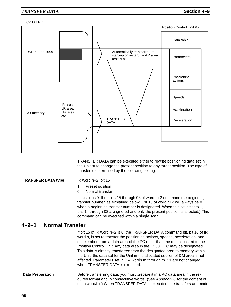

TRANSFER DATA can be executed either to rewrite positioning data set in the Unit or to change the present position to any target position. The type of transfer is determined by the following setting.

#### **TRANSFER DATA type**

- IR word n+2, bit 15
- 1: Preset position
- 0: Normal transfer

If this bit is 0, then bits 15 through 08 of word n+2 determine the beginning transfer number, as explained below. (Bit 15 of word n+2 will always be 0 when a beginning transfer number is designated. When this bit is set to 1, bits 14 through 08 are ignored and only the present position is affected.) This command can be executed within a single scan.

## **4–9–1 Normal Transfer**

If bit 15 of IR word n+2 is 0, the TRANSFER DATA command bit, bit 10 of IR word n, is set to transfer the positioning actions, speeds, acceleration, and deceleration from a data area of the PC other than the one allocated to the Position Control Unit. Any data area in the C200H PC may be designated. This data is directly transferred from the designated area to memory within the Unit; the data set for the Unit in the allocated section of DM area is not affected. Parameters set in DM words m through m+21 are not changed when TRANSFER DATA is executed.

#### Before transferring data, you must prepare it in a PC data area in the required format and in consecutive words. (See Appendix C for the content of each word/bit.) When TRANSFER DATA is executed, the transfers are made **Data Preparation**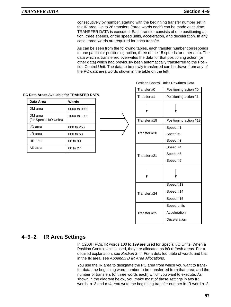consecutively by number, starting with the beginning transfer number set in the IR area. Up to 26 transfers (three words each) can be made each time TRANSFER DATA is executed. Each transfer consists of one positioning action, three speeds, or the speed units, acceleration, and deceleration. In any case, three words are required for each transfer.

As can be seen from the following tables, each transfer number corresponds to one particular positioning action, three of the 15 speeds, or other data. The data which is transferred overwrites the data for that positioning action (or other data) which had previously been automatically transferred to the Position Control Unit. The data to be newly transferred can be drawn from any of the PC data area words shown in the table on the left.

| Transfer #0  | Positioning action #0  |
|--------------|------------------------|
| Transfer #1  | Positioning action #1  |
|              |                        |
| Transfer #19 | Positioning action #19 |
|              | Speed #1               |
| Transfer #20 | Speed #2               |
|              | Speed #3               |
|              | Speed #4               |
| Transfer #21 | Speed #5               |
|              | Speed #6               |
|              |                        |
|              | Speed #13              |
| Transfer #24 | Speed #14              |
|              | Speed #15              |
|              | Speed units            |
| Transfer #25 | Acceleration           |
|              | Deceleration           |

Position Control Unit's Rewritten Data

#### **PC Data Areas Available for TRANSFER DATA**

| Data Area                          | Words        |
|------------------------------------|--------------|
| DM area                            | 0000 to 0999 |
| DM area<br>(for Special I/O Units) | 1000 to 1999 |
| I/O area                           | 000 to 255   |
| LR area                            | 000 to 63    |
| HR area                            | 00 to 99     |
| AR area                            | 00 to 27     |

# **4–9–2 IR Area Settings**

In C200H PCs, IR words 100 to 199 are used for Special I/O Units. When a Position Control Unit is used, they are allocated as I/O refresh areas. For a detailed explanation, see Section 3–4. For a detailed table of words and bits in the IR area, see Appendix D IR Area Allocations.

You use the IR area to designate the PC area from which you want to transfer data, the beginning word number to be transferred from that area, and the number of transfers (of three words each) which you want to execute. As shown in the diagram below, you make most of these settings in two IR words, n+3 and n+4. You write the beginning transfer number in IR word n+2.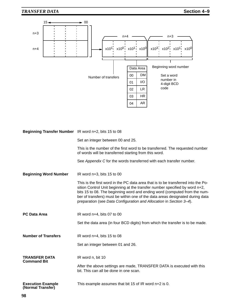

| Beginning Transfer Number IR word n+2, bits 15 to 08 |                                                                                                                                                                                                                                                                                                                                                                                                       |
|------------------------------------------------------|-------------------------------------------------------------------------------------------------------------------------------------------------------------------------------------------------------------------------------------------------------------------------------------------------------------------------------------------------------------------------------------------------------|
|                                                      | Set an integer between 00 and 25.                                                                                                                                                                                                                                                                                                                                                                     |
|                                                      | This is the number of the first word to be transferred. The requested number<br>of words will be transferred starting from this word.                                                                                                                                                                                                                                                                 |
|                                                      | See Appendix C for the words transferred with each transfer number.                                                                                                                                                                                                                                                                                                                                   |
| <b>Beginning Word Number</b>                         | IR word n+3, bits 15 to 00                                                                                                                                                                                                                                                                                                                                                                            |
|                                                      | This is the first word in the PC data area that is to be transferred into the Po-<br>sition Control Unit beginning at the transfer number specified by word n+2,<br>bits 15 to 08. The beginning word and ending word (computed from the num-<br>ber of transfers) must be within one of the data areas designated during data<br>preparation (see Data Configuration and Allocation in Section 3-4). |
| <b>PC Data Area</b>                                  | IR word n+4, bits 07 to 00                                                                                                                                                                                                                                                                                                                                                                            |
|                                                      | Set the data area (in four BCD digits) from which the transfer is to be made.                                                                                                                                                                                                                                                                                                                         |
| <b>Number of Transfers</b>                           | IR word n+4, bits 15 to 08                                                                                                                                                                                                                                                                                                                                                                            |
|                                                      | Set an integer between 01 and 26.                                                                                                                                                                                                                                                                                                                                                                     |
| <b>TRANSFER DATA</b><br><b>Command Bit</b>           | IR word n, bit 10                                                                                                                                                                                                                                                                                                                                                                                     |
|                                                      | After the above settings are made, TRANSFER DATA is executed with this<br>bit. This can all be done in one scan.                                                                                                                                                                                                                                                                                      |
| <b>Execution Example</b><br>(Normal Transfer)        | This example assumes that bit 15 of IR word $n+2$ is 0.                                                                                                                                                                                                                                                                                                                                               |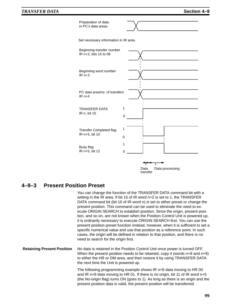

## **4–9–3 Present Position Preset**

You can change the function of the TRANSFER DATA command bit with a setting in the IR area. If bit 15 of IR word n+2 is set to 1, the TRANSFER DATA command bit (bit 10 of IR word n) is set to either preset or change the present position. This command can be used to eliminate the need to execute ORIGIN SEARCH to establish position. Since the origin, present position, and so on, are not known when the Position Control Unit is powered up, it is ordinarily necessary to execute ORIGIN SEARCH first. You can use the present position preset function instead, however, when it is sufficient to set a specific numerical value and use that position as a reference point. In such cases, the origin will be defined in relation to that position, and there is no need to search for the origin first.

No data is retained in the Position Control Unit once power is turned OFF. When the present position needs to be retained, copy it (words n+8 and n+9) to either the HR or DM area, and then restore it by using TRANSFER DATA the next time the Unit is powered up. **Retaining Present Position**

> The following programming example shows IR n+8 data moving to HR 00 and IR n+9 data moving to HR 01. If there is no origin, bit 11 of IR word n+5 (the No-origin flag) turns ON (goes to 1). As long as there is an origin and the present position data is valid, the present position will be transferred.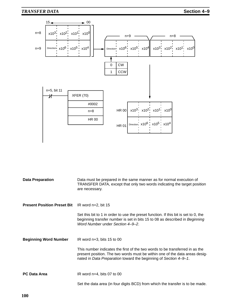

| <b>Data Preparation</b>            | Data must be prepared in the same manner as for normal execution of<br>TRANSFER DATA, except that only two words indicating the target position<br>are necessary.                                                               |
|------------------------------------|---------------------------------------------------------------------------------------------------------------------------------------------------------------------------------------------------------------------------------|
| <b>Present Position Preset Bit</b> | IR word n+2, bit 15                                                                                                                                                                                                             |
|                                    | Set this bit to 1 in order to use the preset function. If this bit is set to 0, the<br>beginning transfer number is set in bits 15 to 08 as described in Beginning<br>Word Number under Section 4-9-2.                          |
| <b>Beginning Word Number</b>       | IR word n+3, bits 15 to 00                                                                                                                                                                                                      |
|                                    | This number indicates the first of the two words to be transferred in as the<br>present position. The two words must be within one of the data areas desig-<br>nated in Data Preparation toward the beginning of Section 4-9-1. |
| <b>PC Data Area</b>                | IR word n+4, bits 07 to 00                                                                                                                                                                                                      |
|                                    | Set the data area (in four digits BCD) from which the transfer is to be made.                                                                                                                                                   |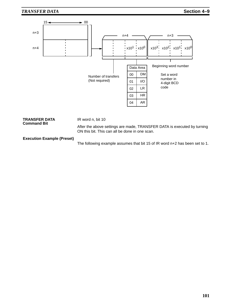

#### **TRANSFER DATA Command Bit**

IR word n, bit 10

After the above settings are made, TRANSFER DATA is executed by turning ON this bit. This can all be done in one scan.

#### **Execution Example (Preset)**

The following example assumes that bit 15 of IR word n+2 has been set to 1.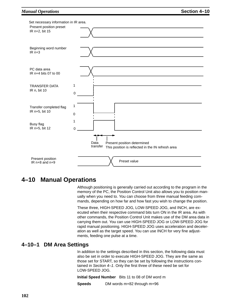| Set necessary information in IR area.<br>Present position preset |                                                                                                      |
|------------------------------------------------------------------|------------------------------------------------------------------------------------------------------|
| IR n+2, bit 15                                                   |                                                                                                      |
|                                                                  |                                                                                                      |
| Beginning word number<br>$IRn+3$                                 |                                                                                                      |
|                                                                  |                                                                                                      |
| PC data area<br>IR n+4 bits 07 to 00                             |                                                                                                      |
| TRANSFER DATA                                                    | 1                                                                                                    |
| IR n, bit 10                                                     | $\mathbf 0$                                                                                          |
|                                                                  |                                                                                                      |
| Transfer completed flag<br>IR n+5, bit 10                        | 1<br>0                                                                                               |
|                                                                  | 1                                                                                                    |
| Busy flag<br>IR n+5, bit 12                                      | $\Omega$                                                                                             |
|                                                                  |                                                                                                      |
|                                                                  | Present position determined<br>Data<br>transfer<br>This position is reflected in the IN refresh area |
| Present position<br>IR $n+8$ and $n+9$                           | Preset value                                                                                         |

# **4–10 Manual Operations**

Although positioning is generally carried out according to the program in the memory of the PC, the Position Control Unit also allows you to position manually when you need to. You can choose from three manual feeding commands, depending on how far and how fast you wish to change the position.

These three, HIGH-SPEED JOG, LOW-SPEED JOG, and INCH, are executed when their respective command bits turn ON in the IR area. As with other commands, the Position Control Unit makes use of the DM area data in carrying them out. You can use HIGH-SPEED JOG or LOW-SPEED JOG for rapid manual positioning. HIGH-SPEED JOG uses acceleration and deceleration as well as the target speed. You can use INCH for very fine adjustments, feeding one pulse at a time.

## **4–10–1 DM Area Settings**

In addition to the settings described in this section, the following data must also be set in order to execute HIGH-SPEED JOG. They are the same as those set for START, so they can be set by following the instructions contained in Section 4–1. Only the first three of these need be set for LOW-SPEED JOG.

**Initial Speed Number** Bits 11 to 08 of DM word m

**Speeds** DM words m+82 through m+96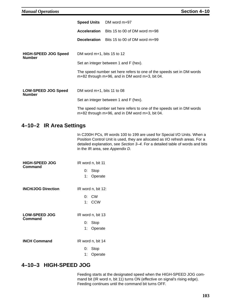|                                              |                               | Speed Units DM word m+97                                                                                                                                                 |
|----------------------------------------------|-------------------------------|--------------------------------------------------------------------------------------------------------------------------------------------------------------------------|
|                                              | <b>Acceleration</b>           | Bits 15 to 00 of DM word $m+98$                                                                                                                                          |
|                                              | <b>Deceleration</b>           | Bits 15 to 00 of DM word $m+99$                                                                                                                                          |
| <b>HIGH-SPEED JOG Speed</b><br><b>Number</b> | DM word $m+1$ , bits 15 to 12 | Set an integer between 1 and F (hex).<br>The speed number set here refers to one of the speeds set in DM words<br>$m+82$ through $m+96$ , and in DM word $m+3$ , bit 04. |
| <b>LOW-SPEED JOG Speed</b><br>Number         | DM word m+1, bits 11 to 08    | Set an integer between 1 and F (hex).<br>The speed number set here refers to one of the speeds set in DM words<br>$m+82$ through $m+96$ , and in DM word $m+3$ , bit 04. |

# **4–10–2 IR Area Settings**

In C200H PCs, IR words 100 to 199 are used for Special I/O Units. When a Position Control Unit is used, they are allocated as I/O refresh areas. For a detailed explanation, see Section 3–4. For a detailed table of words and bits in the IR area, see Appendix D.

| <b>HIGH-SPEED JOG</b><br>Command |      | IR word n, bit 11  |
|----------------------------------|------|--------------------|
|                                  |      | 0: Stop            |
|                                  |      | 1: Operate         |
| <b>INCH/JOG Direction</b>        |      | IR word n, bit 12: |
|                                  |      | 0: CW              |
|                                  |      | 1: CCW             |
| <b>LOW-SPEED JOG</b><br>Command  |      | IR word n, bit 13  |
|                                  |      | 0: Stop            |
|                                  |      | 1: Operate         |
| <b>INCH Command</b>              |      | IR word n, bit 14  |
|                                  |      | 0: Stop            |
|                                  | 1: 1 | Operate            |

# **4–10–3 HIGH-SPEED JOG**

Feeding starts at the designated speed when the HIGH-SPEED JOG command bit (IR word n, bit 11) turns ON (effective on signal's rising edge). Feeding continues until the command bit turns OFF.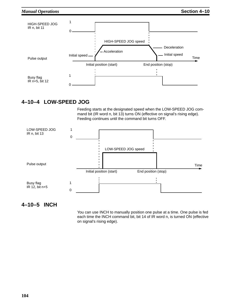## *Manual Operations* **Section 4–10**



# **4–10–4 LOW-SPEED JOG**

Feeding starts at the designated speed when the LOW-SPEED JOG command bit (IR word n, bit 13) turns ON (effective on signal's rising edge). Feeding continues until the command bit turns OFF.



# **4–10–5 INCH**

You can use INCH to manually position one pulse at a time. One pulse is fed each time the INCH command bit, bit 14 of IR word n, is turned ON (effective on signal's rising edge).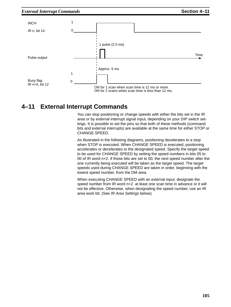#### *External Interrupt Commands* **Section 4–111 Section 4–111 Section 4–11**



# **4–11 External Interrupt Commands**

You can stop positioning or change speeds with either the bits set in the IR area or by external interrupt signal input, depending on your DIP switch settings. It is possible to set the pins so that both of these methods (command bits and external interrupts) are available at the same time for either STOP or CHANGE SPEED.

As illustrated in the following diagrams, positioning decelerates to a stop when STOP is executed. When CHANGE SPEED is executed, positioning accelerates or decelerates to the designated speed. Specify the target speed to be used for CHANGE SPEED by setting the speed numbers in bits 05 to 00 of IR word n+2. If those bits are set to 00, the next speed number after the one currently being executed will be taken as the target speed. The target speeds used during CHANGE SPEED are taken in order, beginning with the lowest speed number, from the DM area.

When executing CHANGE SPEED with an external input, designate the speed number from IR word n+2 at least one scan time in advance or it will not be effective. Otherwise, when designating the speed number, use an IR area work bit. (See IR Area Settings below).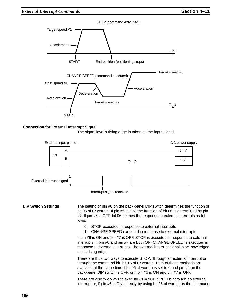



The signal level's rising edge is taken as the input signal.

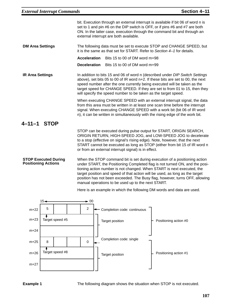|                                                           |                                                                                                                                                 | bit. Execution through an external interrupt is available if bit 06 of word n is<br>set to 1 and pin #6 on the DIP switch is OFF, or if pins #6 and #7 are both<br>ON. In the latter case, execution through the command bit and through an<br>external interrupt are both available.                                                                                                                                                                   |  |  |  |  |  |
|-----------------------------------------------------------|-------------------------------------------------------------------------------------------------------------------------------------------------|---------------------------------------------------------------------------------------------------------------------------------------------------------------------------------------------------------------------------------------------------------------------------------------------------------------------------------------------------------------------------------------------------------------------------------------------------------|--|--|--|--|--|
| <b>DM Area Settings</b>                                   | The following data must be set to execute STOP and CHANGE SPEED, but<br>it is the same as that set for START. Refer to Section 4–1 for details. |                                                                                                                                                                                                                                                                                                                                                                                                                                                         |  |  |  |  |  |
|                                                           | Acceleration                                                                                                                                    | Bits 15 to 00 of DM word $m+98$                                                                                                                                                                                                                                                                                                                                                                                                                         |  |  |  |  |  |
|                                                           | <b>Deceleration</b>                                                                                                                             | Bits 15 to 00 of DM word m+99                                                                                                                                                                                                                                                                                                                                                                                                                           |  |  |  |  |  |
| <b>IR Area Settings</b>                                   |                                                                                                                                                 | In addition to bits 15 and 06 of word n (described under DIP Switch Settings<br>above), set bits 05 to 00 of IR word n+2. If these bits are set to 00, the next<br>speed number after the one currently being executed will be taken as the<br>target speed for CHANGE SPEED. If they are set to from 01 to 15, then they<br>will specify the speed number to be taken as the target speed.                                                             |  |  |  |  |  |
|                                                           |                                                                                                                                                 | When executing CHANGE SPEED with an external interrupt signal, the data<br>from this area must be written in at least one scan time before the interrupt<br>signal. When executing CHANGE SPEED with a work bit (bit 06 of IR word<br>n), it can be written in simultaneously with the rising edge of the work bit.                                                                                                                                     |  |  |  |  |  |
| 4-11-1<br><b>STOP</b>                                     |                                                                                                                                                 |                                                                                                                                                                                                                                                                                                                                                                                                                                                         |  |  |  |  |  |
|                                                           |                                                                                                                                                 | STOP can be executed during pulse output for START, ORIGIN SEARCH,<br>ORIGIN RETURN, HIGH-SPEED JOG, and LOW-SPEED JOG to decelerate<br>to a stop (effective on signal's rising edge). Note, however, that the next<br>START cannot be executed as long as STOP (either from bit 15 of IR word n<br>or from an external interrupt signal) is in effect.                                                                                                 |  |  |  |  |  |
| <b>STOP Executed During</b><br><b>Positioning Actions</b> |                                                                                                                                                 | When the STOP command bit is set during execution of a positioning action<br>under START, the Positioning Completed flag is not turned ON, and the posi-<br>tioning action number is not changed. When START is next executed, the<br>target position and speed of that action will be used, as long as the target<br>position has not been exceeded. The Busy flag, however, turns OFF, allowing<br>manual operations to be used up to the next START. |  |  |  |  |  |

Here is an example in which the following DM words and data are used.



The following diagram shows the situation when STOP is not executed.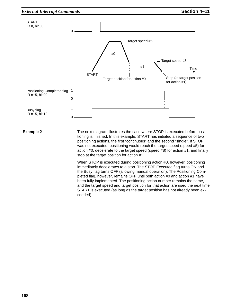

**Example 2**

The next diagram illustrates the case where STOP is executed before positioning is finished. In this example, START has initiated a sequence of two positioning actions, the first "continuous" and the second "single". If STOP was not executed, positioning would reach the target speed (speed #5) for action #0, decelerate to the target speed (speed #8) for action #1, and finally stop at the target position for action #1.

When STOP is executed during positioning action #0, however, positioning immediately decelerates to a stop. The STOP Executed flag turns ON and the Busy flag turns OFF (allowing manual operation). The Positioning Completed flag, however, remains OFF until both action #0 and action #1 have been fully implemented. The positioning action number remains the same, and the target speed and target position for that action are used the next time START is executed (as long as the target position has not already been exceeded).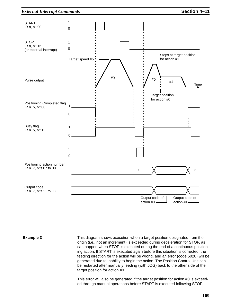





**Example 3**

This diagram shows execution when a target position designated from the origin (i.e., not an increment) is exceeded during deceleration for STOP, as can happen when STOP is executed during the end of a continuous positioning action. If START is executed again before this situation is corrected, the feeding direction for the action will be wrong, and an error (code 5020) will be generated due to inability to begin the action. The Position Control Unit can be restarted after manually feeding (with JOG) back to the other side of the target position for action #0.

This error will also be generated if the target position for action #0 is exceeded through manual operations before START is executed following STOP.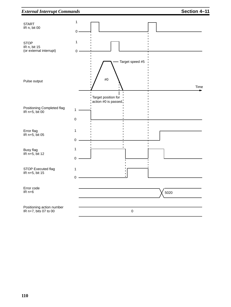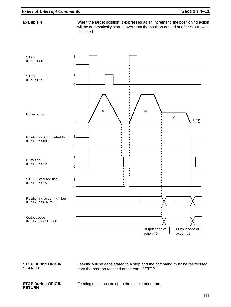#### **Example 4**

When the target position is expressed as an increment, the positioning action will be automatically started over from the position arrived at after STOP was executed.



#### **STOP During ORIGIN SEARCH**

Feeding will be decelerated to a stop and the command must be reexecuted from the position reached at the end of STOP.

#### **STOP During ORIGIN RETURN**

Feeding stops according to the deceleration rate.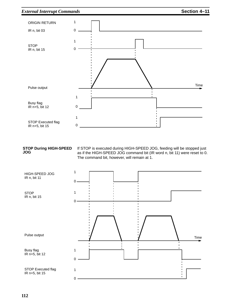

#### **STOP During HIGH-SPEED JOG**

If STOP is executed during HIGH-SPEED JOG, feeding will be stopped just as if the HIGH-SPEED JOG command bit (IR word n, bit 11) were reset to 0. The command bit, however, will remain at 1.

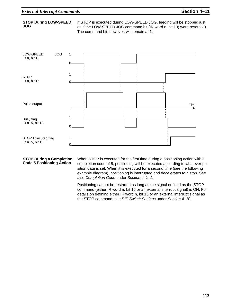#### **STOP During LOW-SPEED JOG**

If STOP is executed during LOW-SPEED JOG, feeding will be stopped just as if the LOW-SPEED JOG command bit (IR word n, bit 13) were reset to 0. The command bit, however, will remain at 1.



#### **STOP During a Completion Code 5 Positioning Action**

When STOP is executed for the first time during a positioning action with a completion code of 5, positioning will be executed according to whatever position data is set. When it is executed for a second time (see the following example diagram), positioning is interrupted and decelerates to a stop. See also Completion Code under Section 4–1–1.

Positioning cannot be restarted as long as the signal defined as the STOP command (either IR word n, bit 15 or an external interrupt signal) is ON. For details on defining either IR word n, bit 15 or an external interrupt signal as the STOP command, see DIP Switch Settings under Section 4-10.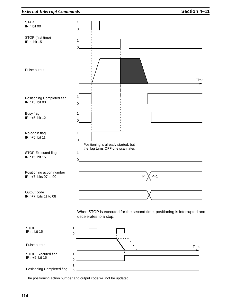

The positioning action number and output code will not be updated.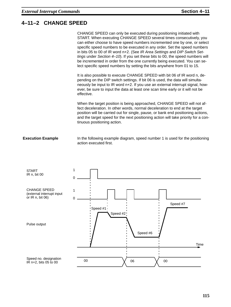# **4–11–2 CHANGE SPEED**

|                                                                      | CHANGE SPEED can only be executed during positioning initiated with<br>START. When executing CHANGE SPEED several times consecutively, you<br>can either choose to have speed numbers incremented one by one, or select<br>specific speed numbers to be executed in any order. Set the speed numbers<br>in bits 05 to 00 of IR word n+2. (See IR Area Settings and DIP Switch Set-<br>tings under Section 4-10). If you set these bits to 00, the speed numbers will<br>be incremented in order from the one currently being executed. You can se-<br>lect specific speed numbers by setting the bits anywhere from 01 to 15. |
|----------------------------------------------------------------------|-------------------------------------------------------------------------------------------------------------------------------------------------------------------------------------------------------------------------------------------------------------------------------------------------------------------------------------------------------------------------------------------------------------------------------------------------------------------------------------------------------------------------------------------------------------------------------------------------------------------------------|
|                                                                      | It is also possible to execute CHANGE SPEED with bit 06 of IR word n, de-<br>pending on the DIP switch settings. If bit 06 is used, the data will simulta-<br>neously be input to IR word n+2. If you use an external interrupt signal, how-<br>ever, be sure to input the data at least one scan time early or it will not be<br>effective.                                                                                                                                                                                                                                                                                  |
|                                                                      | When the target position is being approached, CHANGE SPEED will not af-<br>fect deceleration. In other words, normal deceleration to end at the target<br>position will be carried out for single, pause, or bank end positioning actions,<br>and the target speed for the next positioning action will take priority for a con-<br>tinuous positioning action.                                                                                                                                                                                                                                                               |
| <b>Execution Example</b>                                             | In the following example diagram, speed number 1 is used for the positioning<br>action executed first.                                                                                                                                                                                                                                                                                                                                                                                                                                                                                                                        |
| <b>START</b><br>IR n, bit 00                                         | 1<br>0                                                                                                                                                                                                                                                                                                                                                                                                                                                                                                                                                                                                                        |
| <b>CHANGE SPEED</b><br>(external interrupt input<br>or IR n, bit 06) | 1<br>0<br>Speed #7<br>Speed #1                                                                                                                                                                                                                                                                                                                                                                                                                                                                                                                                                                                                |
| Pulse output                                                         | Speed #2                                                                                                                                                                                                                                                                                                                                                                                                                                                                                                                                                                                                                      |

Speed #6

00 06 00

Speed no. designation IR n+2, bits 05 to 00

**115**

Time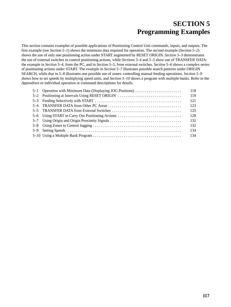# **SECTION 5 Programming Examples**

This section contains examples of possible applications of Positioning Control Unit commands, inputs, and outputs. The first example (see *Section 5–1*) shows the minimum data required for operation. The second example (*Section 5–2*) shows the use of only one positioning action under START augmented by RESET ORIGIN. *Section 5–3* demonstrates the use of external switches to control positioning actions, while *Sections 5–4* and *5–5* show use of TRANSFER DATA: the example in *Section 5–4*, from the PC, and in *Section 5–5*, from external switches. *Section 5–6* shows a complex series of positioning actions under START. The example in *Section 5–7* illustrates possible search patterns under ORIGIN SEARCH, while that in *5–8* illustrates one possible use of zones: controlling manual feeding operations. *Section 5–9* shows how to set speeds by multiplying speed units, and *Section 5–10* shows a program with multiple banks. Refer to the *Appendixes* or individual operation or command descriptions for details.

| 5–1 Operation with Minimum Data (Displaying JOG Positions) | 118  |
|------------------------------------------------------------|------|
| 5–2 Positioning at Intervals Using RESET ORIGIN            | 119  |
|                                                            | 121  |
|                                                            | 123  |
|                                                            | 125  |
| 5–6 Using START to Carry Out Positioning Actions           | 128  |
|                                                            | 132  |
|                                                            | 132  |
|                                                            | 134  |
|                                                            | -134 |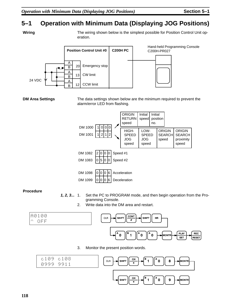# **5–1 Operation with Minimum Data (Displaying JOG Positions)**

**Wiring**

The wiring shown below is the simplest possible for Position Control Unit operation.



The data settings shown below are the minimum required to prevent the alarm/error LED from flashing. **DM Area Settings**



### **Procedure**

- **1, 2, 3...** 1. Set the PC to PROGRAM mode, and then begin operation from the Programming Console.
	- 2. Write data into the DM area and restart.



3. Monitor the present position words.

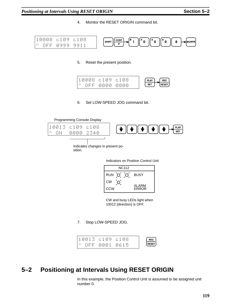4. Monitor the RESET ORIGIN command bit.





5. Reset the present position.



6. Set LOW-SPEED JOG command bit.

Programming Console Display



Indicators on Position Control Unit



CW and busy LEDs light when 10012 (direction) is OFF.

7. Stop LOW-SPEED JOG.



# **5–2 Positioning at Intervals Using RESET ORIGIN**

In this example, the Position Control Unit is assumed to be assigned unit number 0.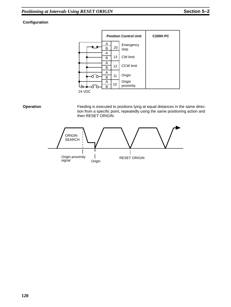## **Configuration**



### **Operation**

Feeding is executed to positions lying at equal distances in the same direction from a specific point, repeatedly using the same positioning action and then RESET ORIGIN.

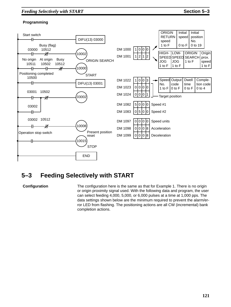## **Programming**



# **5–3 Feeding Selectively with START**

#### **Configuration**

The configuration here is the same as that for Example 1. There is no origin or origin proximity signal used. With the following data and program, the user can select feeding 4,000, 5,000, or 6,000 pulses at a time at 1,000 pps. The data settings shown below are the minimum required to prevent the alarm/error LED from flashing. The positioning actions are all CW (incremental) bank completion actions.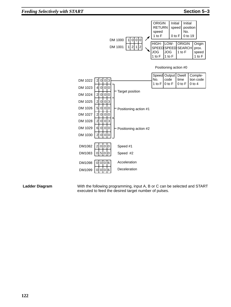

Positioning action #0



#### **Ladder Diagram**

With the following programming, input A, B or C can be selected and START executed to feed the desired target number of pulses.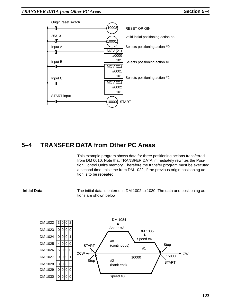## **TRANSFER DATA from Other PC Areas Section 5–4**



**5–4 TRANSFER DATA from Other PC Areas**

This example program shows data for three positioning actions transferred from DM 0010. Note that TRANSFER DATA immediately rewrites the Position Control Unit's memory. Therefore the transfer program must be executed a second time, this time from DM 1022, if the previous origin positioning action is to be repeated.

**Initial Data**

The initial data is entered in DM 1002 to 1030. The data and positioning actions are shown below.

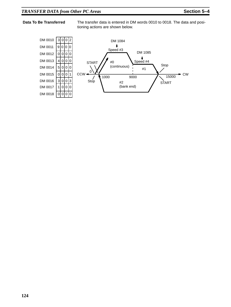## **Data To Be Transferred**

The transfer data is entered in DM words 0010 to 0018. The data and positioning actions are shown below.

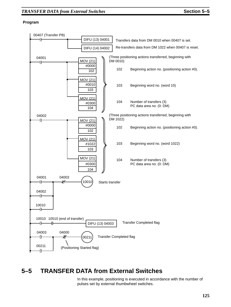## **Program**



# **5–5 TRANSFER DATA from External Switches**

In this example, positioning is executed in accordance with the number of pulses set by external thumbwheel switches.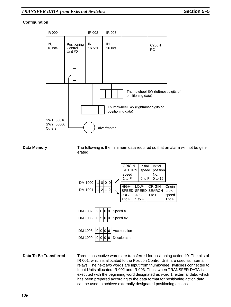## **Configuration**

**Data Memory**



The following is the minimum data required so that an alarm will not be generated.



## **Data To Be Transferred**

Three consecutive words are transferred for positioning action #0. The bits of IR 001, which is allocated to the Position Control Unit, are used as internal relays. The next two words are input from thumbwheel switches connected to Input Units allocated IR 002 and IR 003. Thus, when TRANSFER DATA is executed with the beginning word designated as word 1, external data, which has been prepared according to the data format for positioning action data, can be used to achieve externally designated positioning actions.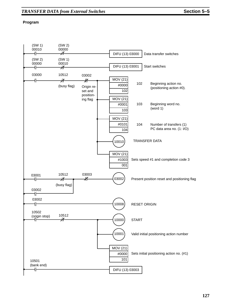### **Program**

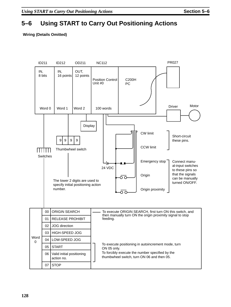# **5–6 Using START to Carry Out Positioning Actions**

**Wiring (Details Omitted)**

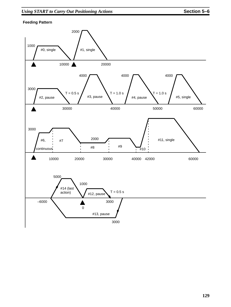# **Feeding Pattern**

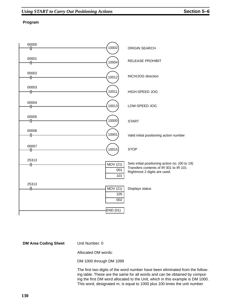## **Program**



**DM Area Coding Sheet**

Unit Number: 0

Allocated DM words:

DM 1000 through DM 1099

The first two digits of the word number have been eliminated from the following table. These are the same for all words and can be obtained by computing the first DM word allocated to the Unit, which in this example is DM 1000. This word, designated m, is equal to 1000 plus 100 times the unit number.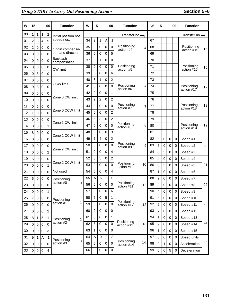# *Using START to Carry Out Positioning Actions* **Section 5–6**

| w  | 15             |                  |                  | 00                      | <b>Function</b>                 |                | w  | 15               |                 |             | 00             | <b>Function</b>             |                | W             |                | 15<br>00    |                |             | <b>Function</b>             |    |
|----|----------------|------------------|------------------|-------------------------|---------------------------------|----------------|----|------------------|-----------------|-------------|----------------|-----------------------------|----------------|---------------|----------------|-------------|----------------|-------------|-----------------------------|----|
| 00 | 1 <sup>1</sup> | $\mathbf{1}$     | $\mathbf{1}$     | 2                       | Initial position nos.;          |                |    |                  |                 |             |                | Transfer no.-               |                | Transfer no.- |                |             |                |             |                             |    |
| 01 | $\overline{c}$ | $\mathbf{3}$     | $\overline{4}$   | 5                       | speed nos.                      |                | 34 | $\boldsymbol{9}$ | 1               | A           | 1              |                             |                | 67            |                |             |                |             |                             |    |
| 02 | 2              | $\mathbf 0$      | $\pmb{0}$        | 0                       | Origin compensa-                |                | 35 | $\mathbf 0$      | 0               | $\Omega$    | $\mathbf 0$    | Positioning<br>action #4    | 4              | 68            |                |             |                |             | Positioning<br>action #15   | 15 |
| 03 | 0              | $\mathbf 0$      | $\mathbf 0$      | 0                       | tion and direction              |                | 36 | $\mathbf 0$      | $\mathbf 0$     | 0           | 5              |                             |                | 69            |                |             |                |             |                             |    |
| 04 | $\Omega$       | $\Omega$         | $\Omega$         | 0                       | <b>Backlash</b><br>compensation |                | 37 | 9                | $\mathbf{1}$    | 0           | $\Omega$       |                             |                | 70            |                |             |                |             |                             |    |
| 05 | 0              | $\mathbf 0$      | $\mathbf 0$      | 0                       | <b>CW limit</b>                 |                | 38 | 0                | 0               | 0           | $\Omega$       | Positioning<br>action #5    | 5              | 71            |                |             |                |             | Positioning<br>action $#16$ | 16 |
| 06 | 0              | 8                | $\mathbf 0$      | 0                       |                                 |                | 39 | 0                | $\mathbf 0$     | 0           | 6              |                             |                | 72            |                |             |                |             |                             |    |
| 07 | 0              | $\boldsymbol{0}$ | $\mathbf 0$      | 0                       |                                 |                | 40 | 8                | 1               | 0           | $\overline{c}$ |                             |                | 73            |                |             |                |             |                             |    |
| 08 | 0              | 8                | $\mathbf 0$      | 0                       | <b>CCW limit</b>                |                | 41 | 0                | 0               | 0           | $\mathbf 0$    | Positioning<br>action #6    | 6              | 74            |                |             |                |             | Positioning<br>action $#17$ | 17 |
| 09 | $\Omega$       | 5                | $\mathbf 0$      | 0                       |                                 |                | 42 | 0                | $\mathbf 0$     | 0           | $\mathbf{1}$   |                             |                | 75            |                |             |                |             |                             |    |
| 10 | $\mathbf 0$    | $\pmb{0}$        | $\mathbf 0$      | 0                       | Zone 0 CW limit                 |                | 43 | 9                | $\overline{2}$  | 0           | $\overline{2}$ |                             |                | 76            |                |             |                |             |                             |    |
| 11 | 0              | 5                | $\mathbf 0$      | 0                       |                                 |                | 44 | 0                | 0               | 0           | $\mathbf 0$    | Positioning<br>action #7    | $\overline{7}$ | 77            |                |             |                |             | Positioning<br>action $#18$ | 18 |
| 12 | 1              | 0                | $\mathbf 0$      | 0                       | Zone 0 CCW limit                |                | 45 | 0                | 0               | 0           | $\overline{2}$ |                             |                | 78            |                |             |                |             |                             |    |
| 13 | 0              | $\pmb{0}$        | $\boldsymbol{0}$ | 0                       |                                 |                | 46 | $\,6$            | 3               | 0           | $\overline{2}$ |                             |                | 79            |                |             |                |             |                             |    |
| 14 | $\Omega$       | $\Omega$         | $\mathbf 0$      | 1                       | Zone 1 CW limit                 |                | 47 | $\mathbf 0$      | $\overline{0}$  | $\Omega$    | $\overline{0}$ | Positioning<br>action #8    | 8              | 80            |                |             |                |             | Positioning<br>action $#19$ | 19 |
| 15 | 8              | $\mathbf 0$      | $\mathbf 0$      | 0                       |                                 |                | 48 | 0                | $\mathbf 0$     | 0           | 3              |                             |                | 81            |                |             |                |             |                             |    |
| 16 | 0              | $\mathbf 0$      | $\mathbf 0$      | 0                       | Zone 1 CCW limit                |                | 49 | $\overline{7}$   | 4               | 0           | $\overline{2}$ |                             |                | 82            | 5              | 0           | 0              | 0           | Speed #1                    |    |
| 17 | $\mathbf 0$    | $\mathbf 0$      | $\mathbf 0$      | 0                       | Zone 2 CW limit                 |                | 50 | $\mathbf 0$      | 0               | 0           | $\mathbf 0$    | Positioning<br>action #9    | 9              | 83            | 5              | 0           | $\mathbf 0$    | $\Omega$    | Speed #2                    | 20 |
| 18 | $\mathbf 0$    | $\mathbf 0$      | $\mathbf 0$      | $\overline{2}$          |                                 |                | 51 | 0                | 0               | 0           | 4              |                             |                | 84            | 0              | 5           | 0              | 0           | Speed #3                    |    |
| 19 | 5              | 0                | 0                | 0                       |                                 |                | 52 | 3                | 5               | $\Omega$    | $\overline{2}$ |                             |                | 85            | 4              | 0           | $\mathbf 0$    | 0           | Speed #4                    |    |
| 20 | $\mathbf 0$    | $\mathbf 0$      | $\mathbf 0$      | 1                       | Zone 2 CCW limit                |                | 53 | $\overline{2}$   | 0               | 0           | $\overline{0}$ | Positioning<br>action $#10$ | 10             | 86            | $\mathbf 0$    | 3           | $\mathbf 0$    | $\Omega$    | Speed #5                    | 21 |
| 21 | 0              | $\mathbf 0$      | $\mathbf 0$      | 0                       | Not used                        |                | 54 | 0                | 0               | 0           | 4              |                             |                | 87            | 1              | 0           | $\mathbf 0$    | $\Omega$    | Speed #6                    |    |
| 22 | 6              | $\mathbf 0$      | $\mathbf 0$      | 0                       | Positioning                     |                | 55 | A                | $6\phantom{1}6$ | 0           | 0              |                             |                | 88            | $\overline{2}$ | 0           | $\mathbf 0$    | 0           | Speed #7                    |    |
| 23 | 0              | $\mathbf 0$      | $\mathbf 0$      | 0                       | action #0                       | 0              | 56 | 0                | 0               | 0           | $\mathbf 0$    | Positioning<br>action #11   | 11             | 89            | 3              | $\mathbf 0$ | $\mathbf 0$    | 0           | Speed #8                    | 22 |
| 24 | 0              | 0                | 0                | 1                       |                                 |                | 57 | 0                | 0               | 0           | 6              |                             |                | 90            | 4              | 0           | 0              | 0           | Speed #9                    |    |
| 25 | 7 <sup>1</sup> | $\mathbf 0$      | $\mathbf 0$      | 0                       | Positioning                     |                | 58 | 6                | $\mathbf 0$     | 5           | $\mathbf{1}$   |                             |                | 91            | 5              | 0           | 0              | 0           | Speed #10                   |    |
| 26 | $\Omega$       | $\mathbf 0$      | $\mathbf 0$      | $\Omega$                | action #1                       | 1              | 59 | $\overline{3}$   | $\overline{0}$  | 0           | $\mathbf 0$    | Positioning<br>action #12   | 12             | 92            | $6\phantom{a}$ | $\mathbf 0$ | $\mathbf 0$    | $\Omega$    | Speed #11                   | 23 |
| 27 | 0              | $\mathbf 0$      | $\mathbf 0$      | $\overline{2}$          |                                 |                | 60 | $\mathbf 0$      | 0               | $\mathbf 0$ | $\Omega$       |                             |                | 93            | $\overline{7}$ | 0           | $\overline{0}$ | $\Omega$    | Speed #12                   |    |
| 28 | 8              | 1                | 5                | 1                       | Positioning                     | $\overline{2}$ | 61 | 8                | $\mathbf 0$     | $\mathbf 0$ | $\mathbf{1}$   |                             |                | 94            | 8              | 0           | $\mathbf 0$    | $\Omega$    | Speed #13                   |    |
| 29 | $\Omega$       | $\mathbf 0$      | $\mathbf 0$      | $\Omega$                | action #2                       |                | 62 | $\,6$            | 0               | 0           | $\mathbf 0$    | Positioning<br>action $#13$ | 13             | 95            | 9              | 0           | 0              | $\Omega$    | Speed #14                   | 24 |
| 30 | 0              | $\mathbf 0$      | $\boldsymbol{0}$ | 3                       |                                 |                | 63 | 1                | $\mathbf 0$     | $\Omega$    | $\Omega$       |                             |                | 96            | 1              | $\mathbf 0$ | $\mathbf 0$    | 0           | Speed #15                   |    |
| 31 | 9              | 1                | $\overline{A}$   | 1                       | Positioning                     |                | 64 | $\overline{A}$   | $\mathbf 0$     | 0           | $\overline{3}$ |                             |                | 97            | 8              | 0           | $\mathbf 0$    | $\Omega$    | Speed units                 |    |
| 32 | $\Omega$       | $\mathbf 0$      | $\mathbf 0$      | 0                       | action #3                       | 3              | 65 | $\mathbf 0$      | 0               | $\mathbf 0$ | $\overline{0}$ | Positioning<br>action $#14$ | 14             | 98            | $\mathbf 0$    | 1           | $\mathbf 0$    | $\Omega$    | Acceleration                | 25 |
| 33 | $\pmb{0}$      | $\,0\,$          | $\pmb{0}$        | $\overline{\mathbf{4}}$ |                                 |                | 66 | $\pmb{0}$        | $\pmb{0}$       | $\pmb{0}$   | $\mathbf 0$    |                             |                | 99            | $\pmb{0}$      | 0           | 5              | $\mathbf 0$ | Deceleration                |    |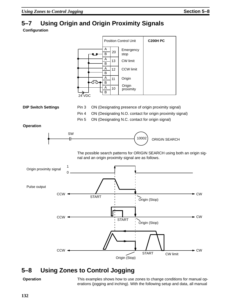# **5–7 Using Origin and Origin Proximity Signals**

## **Configuration**



# **5–8 Using Zones to Control Jogging**

**Operation**

This examples shows how to use zones to change conditions for manual operations (jogging and inching). With the following setup and data, all manual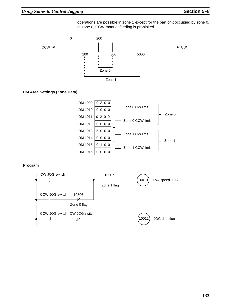operations are possible in zone 1 except for the part of it occupied by zone 0. In zone 0, CCW manual feeding is prohibited.



### **DM Area Settings (Zone Data)**



### **Program**

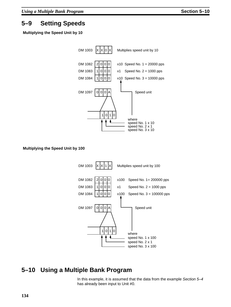# **5–9 Setting Speeds**

**Multiplying the Speed Unit by 10**



**Multiplying the Speed Unit by 100**



# **5–10 Using a Multiple Bank Program**

In this example, it is assumed that the data from the example Section 5–4 has already been input to Unit #0.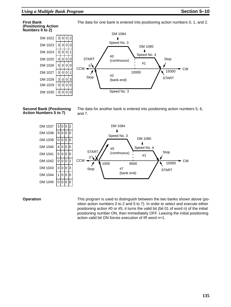

The data for one bank is entered into positioning action numbers 0, 1, and 2.



**Second Bank (Positioning Action Numbers 5 to 7)**

The data for another bank is entered into positioning action numbers 5, 6, and 7.



### **Operation**

This program is used to distinguish between the two banks shown above (position action numbers 0 to 2 and 5 to 7). In order to select and execute either positioning action #0 or #5, it turns the valid bit (bit 01 of word n) of the initial positioning number ON, then immediately OFF. Leaving the initial positioning action valid bit ON forces execution of IR word n+1.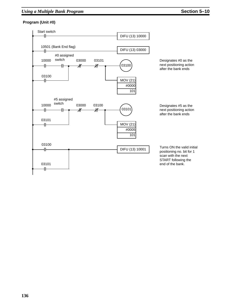## **Program (Unit #0)**

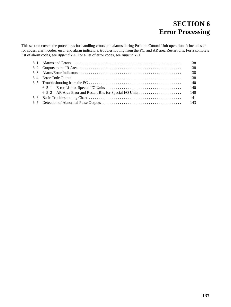# **SECTION 6 Error Processing**

This section covers the procedures for handling errors and alarms during Position Control Unit operation. It includes error codes, alarm codes, error and alarm indicators, troubleshooting from the PC, and AR area Restart bits. For a complete list of alarm codes, see *Appendix A*. For a list of error codes, see *Appendix B*.

|  | 138 |  |  |  |  |  |
|--|-----|--|--|--|--|--|
|  | 138 |  |  |  |  |  |
|  | 138 |  |  |  |  |  |
|  | 138 |  |  |  |  |  |
|  |     |  |  |  |  |  |
|  | 140 |  |  |  |  |  |
|  |     |  |  |  |  |  |
|  | 141 |  |  |  |  |  |
|  |     |  |  |  |  |  |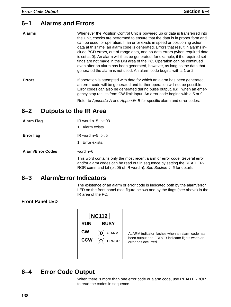# **6–1 Alarms and Errors**

| <b>Alarms</b> | Whenever the Position Control Unit is powered up or data is transferred into<br>the Unit, checks are performed to ensure that the data is in proper form and<br>can be used for operation. If an error exists in speed or positioning action<br>data at this time, an alarm code is generated. Errors that result in alarms in-<br>clude BCD errors, out-of-range data, and no-data errors (when required data<br>is set at 0). An alarm will thus be generated, for example, if the required set-<br>tings are not made in the DM area of the PC. Operation can be continued<br>even after an alarm has been generated, however, as long as the data that<br>generated the alarm is not used. An alarm code begins with a 1 or 2. |
|---------------|------------------------------------------------------------------------------------------------------------------------------------------------------------------------------------------------------------------------------------------------------------------------------------------------------------------------------------------------------------------------------------------------------------------------------------------------------------------------------------------------------------------------------------------------------------------------------------------------------------------------------------------------------------------------------------------------------------------------------------|
| <b>Errors</b> | If operation is attempted with data for which an alarm has been generated,<br>an error code will be generated and further operation will not be possible.<br>Error codes can also be generated during pulse output, e.g., when an emer-<br>gency stop results from CW limit input. An error code begins with a 5 or 9.                                                                                                                                                                                                                                                                                                                                                                                                             |
|               | Refer to Appendix A and Appendix B for specific alarm and error codes.                                                                                                                                                                                                                                                                                                                                                                                                                                                                                                                                                                                                                                                             |

# **6–2 Outputs to the IR Area**

| Alarm Flag               | IR word n+5, bit 03                      |
|--------------------------|------------------------------------------|
|                          | 1: Alarm exists.                         |
| <b>Error flag</b>        | IR word $n+5$ , bit 5                    |
|                          | 1: Error exists.                         |
| <b>Alarm/Error Codes</b> | word $n+6$                               |
|                          | This word contains<br>and/or alarm codes |

ns only the most recent alarm or error code. Several error les can be read out in sequence by setting the READ ER-ROR command bit (bit 05 of IR word n). See Section 4–5 for details.

# **6–3 Alarm/Error Indicators**

The existence of an alarm or error code is indicated both by the alarm/error LED on the front panel (see figure below) and by the flags (see above) in the IR area of the PC.

# **Front Panel LED**



ALARM indicator flashes when an alarm code has been output and ERROR indicator lights when an error has occurred.

# **6–4 Error Code Output**

When there is more than one error code or alarm code, use READ ERROR to read the codes in sequence.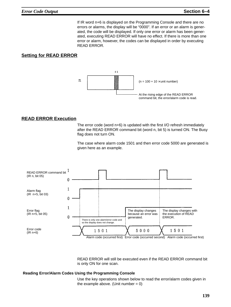If IR word n+6 is displayed on the Programming Console and there are no errors or alarms, the display will be "0000". If an error or an alarm is generated, the code will be displayed. If only one error or alarm has been generated, executing READ ERROR will have no effect. If there is more than one error or alarm, however, the codes can be displayed in order by executing READ ERROR.

### **Setting for READ ERROR**



#### **READ ERROR Execution**

The error code (word n+6) is updated with the first I/O refresh immediately after the READ ERROR command bit (word n, bit 5) is turned ON. The Busy flag does not turn ON.

The case where alarm code 1501 and then error code 5000 are generated is given here as an example.



READ ERROR will still be executed even if the READ ERROR command bit is only ON for one scan.

#### **Reading Error/Alarm Codes Using the Programming Console**

Use the key operations shown below to read the error/alarm codes given in the example above. (Unit number  $= 0$ )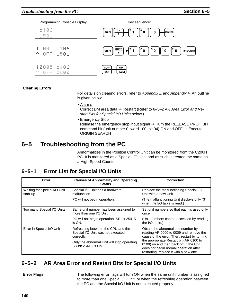### *Troubleshooting from the PC* **Section 6–5**



#### **Clearing Errors**

For details on clearing errors, refer to Appendix E and Appendix F. An outline is given below.

- Alarms Correct DM area data  $\rightarrow$  Restart (Refer to 6–5–2 AR Area Error and Restart Bits for Special I/O Units below.)
- **Emergency Stop** Release the emergency stop input signal  $\rightarrow$  Turn the RELEASE PROHIBIT command bit (unit number 0: word 100, bit 04) ON and OFF  $\rightarrow$  Execute ORIGIN SEARCH

# **6–5 Troubleshooting from the PC**

Abnormalities in the Position Control Unit can be monitored from the C200H PC. It is monitored as a Special I/O Unit, and as such is treated the same as a High-Speed Counter.

## **6–5–1 Error List for Special I/O Units**

| Error                                    | <b>Causes of Abnormality and Operating</b><br><b>Status</b>                           | <b>Correction</b>                                                                                                                                                       |
|------------------------------------------|---------------------------------------------------------------------------------------|-------------------------------------------------------------------------------------------------------------------------------------------------------------------------|
| Waiting for Special I/O Unit<br>start-up | Special I/O Unit has a hardware<br>malfunction                                        | Replace the malfunctioning Special I/O<br>Unit with a new Unit.                                                                                                         |
|                                          | PC will not begin operation.                                                          | (The malfunctioning Unit displays only "\$")<br>when the I/O table is read.)                                                                                            |
| Too many Special I/O Units               | Same unit number has been assigned to<br>more than one I/O Unit.                      | Set unit numbers so that each is used only<br>once.                                                                                                                     |
|                                          | PC will not begin operation. SR bit 25415<br>is ON.                                   | (Unit numbers can be accessed by reading<br>the I/O table.)                                                                                                             |
| Error in Special I/O Unit                | Refreshing between the CPU and the<br>Special I/O Unit was not executed<br>correctly. | Obtain the abnormal unit number by<br>reading AR 0000 to 0009 and remove the<br>cause of the error. Then, restart by turning<br>the appropriate Restart bit (AR 0100 to |
|                                          | Only the abnormal Unit will stop operating.<br>SR bit 25415 is ON.                    | 0109) on and then back off. If the Unit<br>does not begin normal operation after<br>restarting, replace it with a new one.                                              |

## **6–5–2 AR Area Error and Restart Bits for Special I/O Units**

**Error Flags**

The following error flags will turn ON when the same unit number is assigned to more than one Special I/O Unit, or when the refreshing operation between the PC and the Special I/O Unit is not executed properly.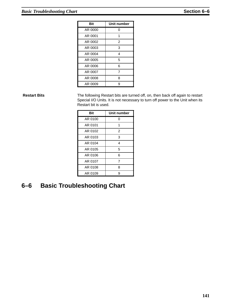| Bit     | Unit number    |
|---------|----------------|
| AR 0000 | O              |
| AR 0001 | 1              |
| AR 0002 | $\overline{2}$ |
| AR 0003 | 3              |
| AR 0004 | 4              |
| AR 0005 | 5              |
| AR 0006 | 6              |
| AR 0007 | 7              |
| AR 0008 | 8              |
| AR 0009 | g              |

#### **Restart Bits**

The following Restart bits are turned off, on, then back off again to restart Special I/O Units. It is not necessary to turn off power to the Unit when its Restart bit is used.

| <b>Bit</b> | Unit number    |
|------------|----------------|
| AR 0100    | O              |
| AR 0101    | 1              |
| AR 0102    | $\overline{2}$ |
| AR 0103    | 3              |
| AR 0104    | 4              |
| AR 0105    | 5              |
| AR 0106    | 6              |
| AR 0107    | 7              |
| AR 0108    | 8              |
| AR 0109    | g              |

# **6–6 Basic Troubleshooting Chart**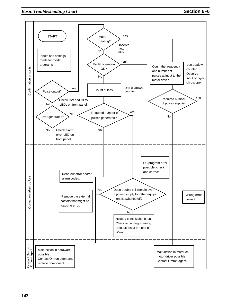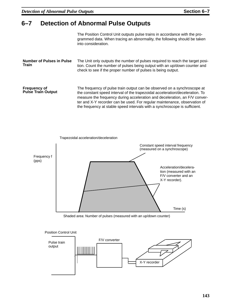## **6–7 Detection of Abnormal Pulse Outputs**

The Position Control Unit outputs pulse trains in accordance with the programmed data. When tracing an abnormality, the following should be taken into consideration.

The Unit only outputs the number of pulses required to reach the target position. Count the number of pulses being output with an up/down counter and check to see if the proper number of pulses is being output. **Number of Pulses in Pulse Train**

The frequency of pulse train output can be observed on a synchroscope at the constant speed interval of the trapezoidal acceleration/deceleration. To measure the frequency during acceleration and deceleration, an F/V converter and X-Y recorder can be used. For regular maintenance, observation of the frequency at stable speed intervals with a synchroscope is sufficient. **Frequency of Pulse Train Output**



Shaded area: Number of pulses (measured with an up/down counter)

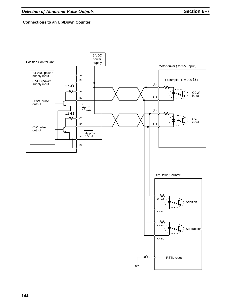#### **Connections to an Up/Down Counter**

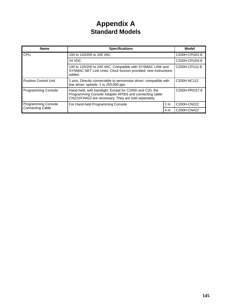# **Appendix A Standard Models**

| <b>Name</b>                  | <b>Specifications</b>                                                                                                                                                      | Model |               |
|------------------------------|----------------------------------------------------------------------------------------------------------------------------------------------------------------------------|-------|---------------|
| CPU                          | 100 to 120/200 to 240 VAC                                                                                                                                                  |       | C200H-CPU01-E |
|                              | 24 VDC                                                                                                                                                                     |       | C200H-CPU03-E |
|                              | 100 to 120/200 to 240 VAC. Compatible with SYSMAC LINK and<br>SYSMAC NET Link Units; Clock funcion provided; new instrucitons<br>added.                                    |       | C200H-CPU11-E |
| <b>Position Control Unit</b> | axis. Directly connectable to servomotor driver; compatible with<br>line driver; speeds: 1 to 250,000 pps                                                                  |       | C200H-NC112   |
| <b>Programming Console</b>   | Hand-held, with backlight. Except for C200H and C20, the<br>Programming Console Adapter AP003 and connecting cable<br>CN222/CN422 are necessary. They are sold separately. |       | C200H-PRO27-E |
| <b>Programming Console</b>   | For Hand-held Programming Console<br>2 <sub>m</sub><br>4 m                                                                                                                 |       | C200H-CN222   |
| <b>Connecting Cable</b>      |                                                                                                                                                                            |       | C200H-CN422   |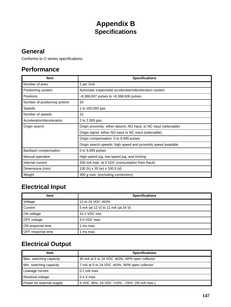# **Appendix B Specifications**

# **General**

Conforms to C-series specifications.

# **Performance**

| <b>Item</b>                   | <b>Specifications</b>                                               |  |
|-------------------------------|---------------------------------------------------------------------|--|
| Number of axes                | 1 per Unit                                                          |  |
| Positioning system            | Automatic trapezoidal acceleration/deceleration system              |  |
| Positions                     | $-8,388,607$ pulses to $+8,388,606$ pulses                          |  |
| Number of positioning actions | 20                                                                  |  |
| Speeds                        | 1 to 250,000 pps                                                    |  |
| Number of speeds              | 15                                                                  |  |
| Acceleration/deceleration     | 2 to 2,000 pps                                                      |  |
| Origin search                 | Origin proximity: either absent, NO input, or NC input (selectable) |  |
|                               | Origin signal: either NO input or NC input (selectable)             |  |
|                               | Origin compensation: 0 to 9,999 pulses                              |  |
|                               | Origin search speeds: high speed and proximity speed available      |  |
| Backlash compensation         | 0 to 9,999 pulses                                                   |  |
| Manual operation              | High-speed jog, low-speed jog, and inching                          |  |
| Internal current              | 200 mA max. at 5 VDC (consumption from Rack)                        |  |
| Dimensions (mm)               | 130 (h) x 35 (w) x 100.5 (d)                                        |  |
| Weight                        | 400 g max. (excluding connectors)                                   |  |

# **Electrical Input**

| <b>Item</b>       | <b>Specifications</b>             |
|-------------------|-----------------------------------|
| Voltage           | 12 to 24 VDC ±10%                 |
| Current           | 5 mA (at 12 V) to 11 mA (at 24 V) |
| ON voltage        | 10.2 VDC min.                     |
| OFF voltage       | 3.0 VDC max.                      |
| ON response time  | 1 ms max.                         |
| OFF response time | ms max.                           |

# **Electrical Output**

| <b>Item</b>               | <b>Specifications</b>                              |
|---------------------------|----------------------------------------------------|
| Max. switching capacity   | 30 mA at 5 to 24 VDC $\pm$ 10%, NPN open collector |
| Min. switching capacity   | 7 mA at 5 to 24 VDC ±10%, NPN open collector       |
| Leakage current           | $0.1 \text{ mA max}$ .                             |
| Residual voltage          | $0.4$ V max.                                       |
| Power for external supply | 5 VDC $\pm$ 5%, 24 VDC +10%, -25% (30 mA max.)     |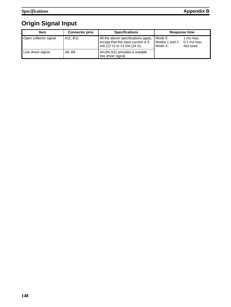# **Origin Signal Input**

| <b>Item</b>           | <b>Connector pins</b> | <b>Specifications</b>                                                                                   |                                      | Response time                          |
|-----------------------|-----------------------|---------------------------------------------------------------------------------------------------------|--------------------------------------|----------------------------------------|
| Open collector signal | A11, B11              | All the above specifications apply,<br>except that the input current is 6<br>mA (12 V) to 13 mA (24 V). | Mode 0:<br>Modes 1 and 2:<br>Mode 3: | 1 ms max.<br>$0.1$ ms max.<br>Not used |
| Line driver signal    | A8. B8                | Am26LS31 provides a suitable<br>line driver signal.                                                     |                                      |                                        |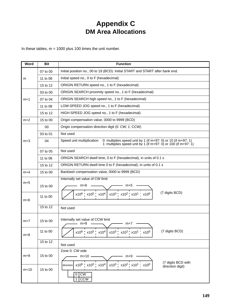# **Appendix C DM Area Allocations**

In these tables,  $m = 1000$  plus 100 times the unit number.

| Word   | <b>Bit</b> | <b>Function</b>                                                                                                                                                        |  |  |
|--------|------------|------------------------------------------------------------------------------------------------------------------------------------------------------------------------|--|--|
|        | 07 to 00   | Initial position no., 00 to 19 (BCD): Initial START and START after bank end.                                                                                          |  |  |
| m      | 11 to 08   | Initial speed no., 0 to F (hexadecimal)<br>ORIGIN RETURN speed no., 1 to F (hexadecimal)                                                                               |  |  |
|        | 15 to 12   |                                                                                                                                                                        |  |  |
|        | 03 to 00   | ORIGIN SEARCH proximity speed no., 1 to F (hexadecimal)                                                                                                                |  |  |
| $m+1$  | 07 to 04   | ORIGIN SEARCH high speed no., 1 to F (hexadecimal)                                                                                                                     |  |  |
|        | 11 to 08   | LOW-SPEED JOG speed no., 1 to F (hexadecimal)                                                                                                                          |  |  |
|        | 15 to 12   | HIGH-SPEED JOG speed no., 1 to F (hexadecimal)                                                                                                                         |  |  |
| $m+2$  | 15 to 00   | Origin compensation value, 0000 to 9999 (BCD)                                                                                                                          |  |  |
|        | 00         | Origin compensation direction digit (0: CW; 1: CCW)                                                                                                                    |  |  |
|        | 03 to 01   | Not used                                                                                                                                                               |  |  |
| $m+3$  | 04         | 0: multiplies speed unit by 1 (if $m+97$ : 0) or 10 (if $m+97$ : 1)<br>Speed unit multiplication<br>1: multiplies speed unit by 1 (if $m+97:0$ ) or 100 (if $m+97:1$ ) |  |  |
|        | 07 to 05   | Not used                                                                                                                                                               |  |  |
|        | 11 to 08   | ORIGIN SEARCH dwell time, 0 to F (hexadecimal), in units of 0.1 s                                                                                                      |  |  |
|        | 15 to 12   | ORIGIN RETURN dwell time 0 to F (hexadecimal), in units of 0.1 s                                                                                                       |  |  |
| $m+4$  | 15 to 00   | Backlash compensation value, 0000 to 9999 (BCD)                                                                                                                        |  |  |
| $m+5$  |            | Internally set value of CW limit                                                                                                                                       |  |  |
|        | 15 to 00   | m+6<br>$m+5$                                                                                                                                                           |  |  |
| m+6    | 11 to 00   | $x10^6$ $\times 10^5$ $\times 10^4$ $\times 10^3$ $\times 10^2$ $\times 10^1$ $\times 10^0$<br>(7 digits BCD)                                                          |  |  |
|        | 15 to 12   | Not used                                                                                                                                                               |  |  |
|        |            |                                                                                                                                                                        |  |  |
| $m+7$  | 15 to 00   | Internally set value of CCW limit<br>$m+8$<br>$m+7$                                                                                                                    |  |  |
| m+8    | 11 to 00   | $x10^6$ $\cdot$ $x10^5$ $\cdot$ $x10^4$ $\cdot$ $x10^3$ $\cdot$ $x10^2$ $\cdot$ $x10^1$ $\cdot$ $x10^0$<br>(7 digits BCD)                                              |  |  |
|        | 15 to 12   | Not used                                                                                                                                                               |  |  |
|        |            | Zone 0: CW side                                                                                                                                                        |  |  |
| $m+9$  | 15 to 00   | $m+10$ .<br>$m+9$                                                                                                                                                      |  |  |
|        |            | (7 digits BCD with<br>$x10^6$ $\mid$ $x10^5$ $\mid$ $x10^4$ $\mid$ $x10^3$ $\mid$ $x10^2$ $\mid$ $x10^1$ $\mid$ $x10^0$<br>direction<br>direction digit)               |  |  |
| $m+10$ | 15 to 00   | $0$ CW<br><b>CCW</b><br>1.                                                                                                                                             |  |  |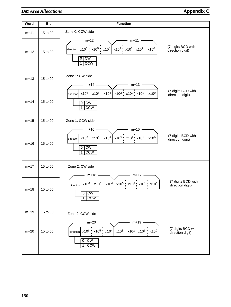| Word   | <b>Bit</b> | <b>Function</b>                                                                                                                                                                                                                                                                                                                                                                      |                                        |
|--------|------------|--------------------------------------------------------------------------------------------------------------------------------------------------------------------------------------------------------------------------------------------------------------------------------------------------------------------------------------------------------------------------------------|----------------------------------------|
| $m+11$ | 15 to 00   | Zone 0: CCW side                                                                                                                                                                                                                                                                                                                                                                     |                                        |
| $m+12$ | 15 to 00   | $\begin{array}{ c c c c c c }\n\hline\nm+12 & m+11 & m+11 & \hline\n\end{array}$<br>direction x10 <sup>6</sup> x10 <sup>5</sup> x10 <sup>4</sup> x10 <sup>4</sup> x10 <sup>3</sup> x10 <sup>2</sup> x10 <sup>1</sup> x10 <sup>0</sup><br>$0$ CW<br><b>CCW</b><br>1                                                                                                                   | (7 digits BCD with<br>direction digit) |
| $m+13$ | 15 to 00   | Zone 1: CW side                                                                                                                                                                                                                                                                                                                                                                      |                                        |
| $m+14$ | 15 to 00   | $0$ CW<br><b>CCW</b><br>1                                                                                                                                                                                                                                                                                                                                                            | (7 digits BCD with<br>direction digit) |
| $m+15$ | 15 to 00   | Zone 1: CCW side                                                                                                                                                                                                                                                                                                                                                                     |                                        |
| $m+16$ | 15 to 00   | m+16 $\overline{$ m+16 $\overline{}$ m+15 $\overline{}$ m+15 $\overline{}$ m+15 $\overline{}$ m+15 $\overline{}$ $\overline{}$ x10 <sup>6</sup> $\overline{}$ x10 <sup>5</sup> $\overline{}$ x10 <sup>4</sup> $\overline{}$ x10 <sup>3</sup> $\overline{}$ x10 <sup>2</sup> $\overline{}$ x10 <sup>1</sup> $\overline{}$ x10 <sup>0</sup> $\overline{}$<br>$0$ CW<br><b>CCW</b><br>1 | (7 digits BCD with<br>direction digit) |
| $m+17$ | 15 to 00   | Zone 2: CW side                                                                                                                                                                                                                                                                                                                                                                      |                                        |
| $m+18$ | 15 to 00   | $\begin{array}{ c c c c c c }\n\hline\nm+18 & m+17 & m+17 \hline\n\text{direction} & x10^6 & x10^5 & x10^4 & x10^3 & x10^2 & x10^1 & x10^0\n\end{array}$<br>$0$ CW<br><b>CCW</b>                                                                                                                                                                                                     | (7 digits BCD with<br>direction digit) |
| $m+19$ | 15 to 00   | Zone 2: CCW side                                                                                                                                                                                                                                                                                                                                                                     |                                        |
| $m+20$ | 15 to 00   | $m+20$<br>$m+19$<br>$x10^6$ $\mid$ $x10^5$ $\mid$ $x10^4$ $\mid$ $x10^3$ $\mid$ $x10^2$ $\mid$ $x10^1$ $\mid$ $x10^0$<br>direction<br>  <sub>cm</sub><br>0<br><b>CCW</b>                                                                                                                                                                                                             | (7 digits BCD with<br>direction digit) |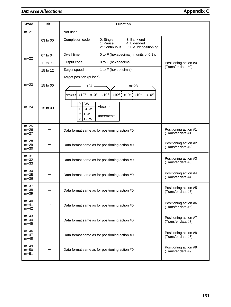## *DM Area Allocations* **Appendix C**

| Word                       | <b>Bit</b>    | <b>Function</b>                                                                                                             |                                             |  |
|----------------------------|---------------|-----------------------------------------------------------------------------------------------------------------------------|---------------------------------------------|--|
| $m+21$                     |               | Not used                                                                                                                    |                                             |  |
|                            | 03 to 00      | Completion code<br>0: Single<br>3: Bank end<br>1: Pause<br>4: Extended<br>2: Continuous<br>5: Ext. w/ positioning           |                                             |  |
| $m+22$                     | 07 to 04      | Dwell time<br>0 to F (hexadecimal) in units of 0.1 s                                                                        |                                             |  |
|                            | 11 to 08      | 0 to F (hexadecimal)<br>Output code                                                                                         | Positioning action #0                       |  |
|                            | 15 to 12      | Target speed no.<br>1 to F (hexadecimal)                                                                                    | (Transfer data #0)                          |  |
|                            |               | Target position (pulses)                                                                                                    |                                             |  |
| $m+23$                     | 15 to 00      | $m+24$ $m+23$ $m+23$<br>$x10^6$ $\times 10^5$ $\times 10^4$ $\times 10^3$ $\times 10^2$ $\times 10^1$ $\times 10^0$         |                                             |  |
| $m+24$                     | 15 to 00      | direction<br>$\overline{\text{CW}}$<br>0<br>Absolute<br><b>CCW</b><br>1<br>2<br><b>CW</b><br>Incremental<br>3<br><b>CCW</b> |                                             |  |
| $m+25$<br>$m+26$<br>$m+27$ | $\rightarrow$ | Data format same as for positioning action #0                                                                               | Positioning action #1<br>(Transfer data #1) |  |
| $m+28$<br>$m+29$<br>$m+30$ | $\rightarrow$ | Data format same as for positioning action #0                                                                               | Positioning action #2<br>(Transfer data #2) |  |
| $m+31$<br>$m+32$<br>$m+33$ | $\rightarrow$ | Data format same as for positioning action #0                                                                               | Positioning action #3<br>(Transfer data #3) |  |
| $m+34$<br>$m+35$<br>$m+36$ | $\rightarrow$ | Data format same as for positioning action #0                                                                               | Positioning action #4<br>(Transfer data #4) |  |
| $m+37$<br>$m+38$<br>$m+39$ | $\rightarrow$ | Data format same as for positioning action #0                                                                               | Positioning action #5<br>(Transfer data #5) |  |
| m+40<br>m+41<br>$m+42$     | $\rightarrow$ | Data format same as for positioning action #0                                                                               | Positioning action #6<br>(Transfer data #6) |  |
| $m+43$<br>$m+44$<br>$m+45$ | $\rightarrow$ | Data format same as for positioning action #0                                                                               | Positioning action #7<br>(Transfer data #7) |  |
| $m+46$<br>$m+47$<br>$m+48$ | $\rightarrow$ | Data format same as for positioning action #0                                                                               | Positioning action #8<br>(Transfer data #8) |  |
| $m+49$<br>$m+50$<br>$m+51$ | $\rightarrow$ | Data format same as for positioning action #0                                                                               | Positioning action #9<br>(Transfer data #9) |  |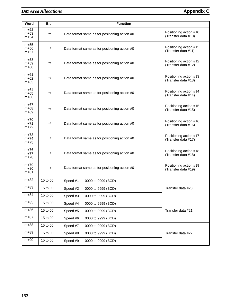## *DM Area Allocations* **Appendix C**

| Word                         | <b>Bit</b>    | <b>Function</b>                               |                                               |  |
|------------------------------|---------------|-----------------------------------------------|-----------------------------------------------|--|
| $m+52$<br>$m+53$<br>m+54     | $\rightarrow$ | Data format same as for positioning action #0 | Positioning action #10<br>(Transfer data #10) |  |
| $m+55$<br>$m+56$<br>$m+57$   | $\rightarrow$ | Data format same as for positioning action #0 | Positioning action #11<br>(Transfer data #11) |  |
| m+58<br>$m+59$<br>$m+60$     | $\rightarrow$ | Data format same as for positioning action #0 | Positioning action #12<br>(Transfer data #12) |  |
| $m + 61$<br>m+62<br>$m+63$   | $\rightarrow$ | Data format same as for positioning action #0 | Positioning action #13<br>(Transfer data #13) |  |
| $m + 64$<br>m+65<br>$m + 66$ | $\rightarrow$ | Data format same as for positioning action #0 | Positioning action #14<br>(Transfer data #14) |  |
| $m+67$<br>m+68<br>$m+69$     | $\rightarrow$ | Data format same as for positioning action #0 | Positioning action #15<br>(Transfer data #15) |  |
| m+70<br>m+71<br>m+72         | $\rightarrow$ | Data format same as for positioning action #0 | Positioning action #16<br>(Transfer data #16) |  |
| m+73<br>m+74<br>m+75         | $\rightarrow$ | Data format same as for positioning action #0 | Positioning action #17<br>(Transfer data #17) |  |
| m+76<br>m+77<br>$m+78$       | $\rightarrow$ | Data format same as for positioning action #0 | Positioning action #18<br>(Transfer data #18) |  |
| m+79<br>$m+80$<br>$m + 81$   | $\rightarrow$ | Data format same as for positioning action #0 | Positioning action #19<br>(Transfer data #19) |  |
| $m+82$                       | 15 to 00      | Speed #1<br>0000 to 9999 (BCD)                |                                               |  |
| $m+83$                       | 15 to 00      | Speed #2<br>0000 to 9999 (BCD)                | Transfer data #20                             |  |
| $m + 84$                     | 15 to 00      | Speed #3<br>0000 to 9999 (BCD)                |                                               |  |
| $m+85$                       | 15 to 00      | Speed #4<br>0000 to 9999 (BCD)                |                                               |  |
| m+86                         | 15 to 00      | Speed #5<br>0000 to 9999 (BCD)                | Transfer data #21                             |  |
| $m+87$                       | 15 to 00      | Speed #6<br>0000 to 9999 (BCD)                |                                               |  |
| $m + 88$                     | 15 to 00      | Speed #7<br>0000 to 9999 (BCD)                |                                               |  |
| m+89                         | 15 to 00      | Speed #8<br>0000 to 9999 (BCD)                | Transfer data #22                             |  |
| $m+90$                       | 15 to 00      | Speed #9<br>0000 to 9999 (BCD)                |                                               |  |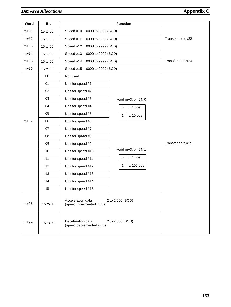| <b>Word</b> | <b>Bit</b> | <b>Function</b>                                                    |                   |
|-------------|------------|--------------------------------------------------------------------|-------------------|
| $m + 91$    | 15 to 00   | Speed #10<br>0000 to 9999 (BCD)                                    |                   |
| $m+92$      | 15 to 00   | 0000 to 9999 (BCD)<br>Speed #11                                    | Transfer data #23 |
| $m+93$      | 15 to 00   | Speed #12<br>0000 to 9999 (BCD)                                    |                   |
| $m + 94$    | 15 to 00   | Speed #13<br>0000 to 9999 (BCD)                                    |                   |
| $m+95$      | 15 to 00   | Speed #14<br>0000 to 9999 (BCD)                                    | Transfer data #24 |
| $m+96$      | 15 to 00   | Speed #15<br>0000 to 9999 (BCD)                                    |                   |
|             | 00         | Not used                                                           |                   |
|             | 01         | Unit for speed #1                                                  |                   |
|             | 02         | Unit for speed #2                                                  |                   |
|             | 03         | Unit for speed #3<br>word m+3, bit 04: 0                           |                   |
|             | 04         | Unit for speed #4<br>$\pmb{0}$<br>x 1 pps                          |                   |
|             | 05         | Unit for speed #5<br>1<br>x 10 pps                                 |                   |
| $m+97$      | 06         | Unit for speed #6                                                  |                   |
|             | 07         | Unit for speed #7                                                  |                   |
|             | 08         | Unit for speed #8                                                  |                   |
|             | 09         | Unit for speed #9                                                  | Transfer data #25 |
|             | 10         | word m+3, bit 04: 1<br>Unit for speed #10                          |                   |
|             | 11         | $\pmb{0}$<br>x 1 pps<br>Unit for speed #11                         |                   |
|             | 12         | x 100 pps<br>$\mathbf{1}$<br>Unit for speed #12                    |                   |
|             | 13         | Unit for speed #13                                                 |                   |
|             | 14         | Unit for speed #14                                                 |                   |
|             | 15         | Unit for speed #15                                                 |                   |
| $m+98$      | 15 to 00   | Acceleration data<br>2 to 2,000 (BCD)<br>(speed incremented in ms) |                   |
| m+99        | 15 to 00   | Deceleration data<br>2 to 2,000 (BCD)<br>(speed decremented in ms) |                   |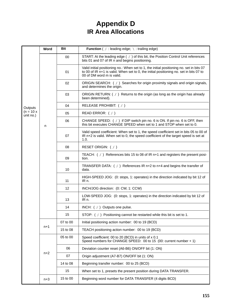# **Appendix D IR Area Allocations**

|                           | Word  | <b>Bit</b> | <b>Function</b> ( $f$ : leading edge; $f$ : trailing edge)                                                                                                                                                      |
|---------------------------|-------|------------|-----------------------------------------------------------------------------------------------------------------------------------------------------------------------------------------------------------------|
|                           |       | $00\,$     | START: At the leading edge ( $\pm$ ) of this bit, the Position Control Unit references<br>bits 01 and 07 of IR n and begins positioning.                                                                        |
|                           |       | 01         | Valid initial positioning no.: When set to 1, the initial positioning no. set in bits 07<br>to 00 of IR n+1 is valid. When set to 0, the initial positioning no. set in bits 07 to<br>00 of DM word m is valid. |
|                           |       | 02         | ORIGIN SEARCH: ( $\pm$ ) Searches for origin proximity signals and origin signals,<br>and determines the origin.                                                                                                |
|                           |       | 03         | ORIGIN RETURN: $( \cdot \text{F})$ Returns to the origin (as long as the origin has already<br>been determined).                                                                                                |
| Outputs                   |       | 04         | RELEASE PROHIBIT: $(f)$                                                                                                                                                                                         |
| $(n = 10 x)$<br>unit no.) |       | 05         | READ ERROR: $(f)$                                                                                                                                                                                               |
|                           | n     | 06         | CHANGE SPEED: $(\,\cdot\,)$ if DIP switch pin no. 6 is ON. If pin no. 6 is OFF, then<br>this bit executes CHANGE SPEED when set to 1 and STOP when set to 0.                                                    |
|                           |       | 07         | Valid speed coefficient: When set to 1, the speed coefficient set in bits 05 to 00 of<br>IR n+2 is valid. When set to 0, the speed coefficient of the target speed is set at<br>1.0.                            |
|                           |       | 08         | RESET ORIGIN: $(f)$                                                                                                                                                                                             |
|                           |       | 09         | TEACH: $(\text{F})$ References bits 15 to 08 of IR n+1 and registers the present posi-<br>tion.                                                                                                                 |
|                           |       | 10         | TRANSFER DATA: $(\text{F})$ References IR n+2 to n+4 and begins the transfer of<br>data.                                                                                                                        |
|                           |       | 11         | HIGH-SPEED JOG: (0: stops, 1: operates) in the direction indicated by bit 12 of<br>IR n.                                                                                                                        |
|                           |       | 12         | INCH/JOG direction: (0: CW, 1: CCW)                                                                                                                                                                             |
|                           |       | 13         | LOW-SPEED JOG: (0: stops, 1: operates) in the direction indicated by bit 12 of<br>IR n.                                                                                                                         |
|                           |       | 14         | INCH: $(f)$ Outputs one pulse.                                                                                                                                                                                  |
|                           |       | 15         | STOP: $(\text{F})$ Positioning cannot be restarted while this bit is set to 1.                                                                                                                                  |
|                           |       | 07 to 00   | Initial positioning action number: 00 to 19 (BCD)                                                                                                                                                               |
|                           | $n+1$ | 15 to 08   | TEACH positioning action number: 00 to 19 (BCD)                                                                                                                                                                 |
|                           |       | 05 to 00   | Speed coefficient: 00 to 20 (BCD) in units of x 0.1<br>Speed numbers for CHANGE SPEED: 00 to 15 (00: current number + 1)                                                                                        |
|                           |       | 06         | Deviation counter reset (A6-B6) ON/OFF bit (1: ON)                                                                                                                                                              |
|                           | $n+2$ | 07         | Origin adjustment (A7-B7) ON/OFF bit (1: ON)                                                                                                                                                                    |
|                           |       | 14 to 08   | Beginning transfer number: 00 to 25 (BCD)                                                                                                                                                                       |
|                           |       | 15         | When set to 1, presets the present position during DATA TRANSFER.                                                                                                                                               |
|                           | $n+3$ | 15 to 00   | Beginning word number for DATA TRANSFER (4 digits BCD)                                                                                                                                                          |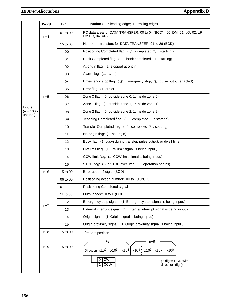# *IR Area Allocations* **Appendix D**

|                            | Word  | <b>Bit</b> | <b>Function</b> ( $f$ : leading edge; $f$ : trailing edge)                                                                                                                                                                     |
|----------------------------|-------|------------|--------------------------------------------------------------------------------------------------------------------------------------------------------------------------------------------------------------------------------|
|                            | $n+4$ | 07 to 00   | PC data area for DATA TRANSFER: 00 to 04 (BCD) (00: DM, 01: I/O, 02: LR,<br>03: HR, 04: AR)                                                                                                                                    |
|                            |       | 15 to 08   | Number of transfers for DATA TRANSFER: 01 to 26 (BCD)                                                                                                                                                                          |
|                            |       | 00         | Positioning Completed flag: ( f : completed, $\top$ : starting )                                                                                                                                                               |
|                            |       | 01         | Bank Completed flag: $(f \text{ :} \text{bank completed}, \exists \text{ : starting})$                                                                                                                                         |
|                            |       | 02         | At-origin flag: (1: stopped at origin)                                                                                                                                                                                         |
|                            |       | 03         | Alarm flag: (1: alarm)                                                                                                                                                                                                         |
|                            |       | 04         | Emergency stop flag: $(f : \text{Energy stop}, \exists : \text{pulse output enabled})$                                                                                                                                         |
|                            |       | 05         | Error flag: (1: error)                                                                                                                                                                                                         |
|                            | $n+5$ | 06         | Zone 0 flag: (0: outside zone 0, 1: inside zone 0)                                                                                                                                                                             |
| Inputs                     |       | 07         | Zone 1 flag: (0: outside zone 1, 1: inside zone 1)                                                                                                                                                                             |
| $(n = 100 x)$<br>unit no.) |       | 08         | Zone 2 flag: (0: outside zone 2, 1: inside zone 2)                                                                                                                                                                             |
|                            |       | 09         | Teaching Completed flag: $(f \cdot f : \text{completed}, \tau : \text{starting})$                                                                                                                                              |
|                            |       | 10         | Transfer Completed flag: $(f : \text{completed}, \t + \t : \text{starting})$                                                                                                                                                   |
|                            |       | 11         | No-origin flag: (1: no origin)                                                                                                                                                                                                 |
|                            |       | 12         | Busy flag: (1: busy) during transfer, pulse output, or dwell time                                                                                                                                                              |
|                            |       | 13         | CW limit flag: (1: CW limit signal is being input.)                                                                                                                                                                            |
|                            |       | 14         | CCW limit flag: (1: CCW limit signal is being input.)                                                                                                                                                                          |
|                            |       | 15         | STOP flag: $(f : STOP$ executed, $\top$ : operation begins)                                                                                                                                                                    |
|                            | $n+6$ | 15 to 00   | Error code: 4 digits (BCD)                                                                                                                                                                                                     |
|                            |       | 06 to 00   | Positioning action number: 00 to 19 (BCD)                                                                                                                                                                                      |
|                            |       | 07         | Positioning Completed signal                                                                                                                                                                                                   |
|                            |       | 11 to 08   | Output code: 0 to F (BCD)                                                                                                                                                                                                      |
|                            | $n+7$ | 12         | Emergency stop signal: (1: Emergency stop signal is being input.)                                                                                                                                                              |
|                            |       | 13         | External interrupt signal: (1: External interrupt signal is being input.)                                                                                                                                                      |
|                            |       | 14         | Origin signal: (1: Origin signal is being input.)                                                                                                                                                                              |
|                            |       | 15         | Origin proximity signal: (1: Origin proximity signal is being input.)                                                                                                                                                          |
|                            | $n+8$ | 15 to 00   | Present position                                                                                                                                                                                                               |
|                            | $n+9$ | 15 to 00   | $n+9$<br>n+8<br>$x10^3$ $\frac{1}{1}$ $x10^2$ $\frac{1}{1}$ $x10^1$ $\frac{1}{1}$ $x10^0$<br>$x10^6$ $x10^5$ $x10^4$<br>Direction<br>$\overline{CW}$<br>$\overline{0}$<br>(7 digits BCD with<br><b>CCW</b><br>direction digit) |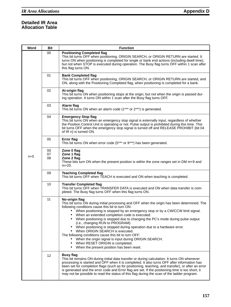#### **Detailed IR Area Allocation Table**

| Word  | <b>Bit</b>     | <b>Function</b>                                                                                                                                                                                                                                                                                                                                                                                                                                                                                                                                                                                                                                                                                                                                                         |
|-------|----------------|-------------------------------------------------------------------------------------------------------------------------------------------------------------------------------------------------------------------------------------------------------------------------------------------------------------------------------------------------------------------------------------------------------------------------------------------------------------------------------------------------------------------------------------------------------------------------------------------------------------------------------------------------------------------------------------------------------------------------------------------------------------------------|
|       | 00             | <b>Positioning Completed flag</b><br>This bit turns OFF when positioning, ORIGIN SEARCH, or ORIGIN RETURN are started. It<br>turns ON when positioning is completed for single or bank end actions (including dwell time),<br>but not when STOP is executed during operation. The Busy flag turns OFF within 1 scan after<br>this flag turns ON.                                                                                                                                                                                                                                                                                                                                                                                                                        |
|       | 01             | <b>Bank Completed flag</b><br>This bit turns OFF when positioning, ORIGIN SEARCH, or ORIGIN RETURN are started, and<br>ON, along with the Positioning Completed flag, when positioning is completed for a bank.                                                                                                                                                                                                                                                                                                                                                                                                                                                                                                                                                         |
|       | 02             | At-origin flag<br>This bit turns ON when positioning stops at the origin, but not when the origin is passed dur-<br>ing operation. It turns ON within 1 scan after the Busy flag turns OFF.                                                                                                                                                                                                                                                                                                                                                                                                                                                                                                                                                                             |
|       | 03             | Alarm flag<br>This bit turns ON when an alarm code (1*** or 2***) is generated.                                                                                                                                                                                                                                                                                                                                                                                                                                                                                                                                                                                                                                                                                         |
|       | 04             | <b>Emergency Stop flag</b><br>This bit turns ON when an emergency stop signal is externally input, regardless of whether<br>the Position Control Unit is operating or not. Pulse output is prohibited during this time. This<br>bit turns OFF when the emergency stop signal is turned off and RELEASE PROHIBIT (bit 04<br>of IR n) is turned ON.                                                                                                                                                                                                                                                                                                                                                                                                                       |
|       | 05             | <b>Error flag</b><br>This bit turns ON when error code (5*** or 9***) has been generated.                                                                                                                                                                                                                                                                                                                                                                                                                                                                                                                                                                                                                                                                               |
| $n+5$ | 00<br>07<br>08 | Zone 0 flag<br>Zone 1 flag<br>Zone 2 flag<br>These bits turn ON when the present position is within the zone ranges set in DM m+9 and<br>$m+20.$                                                                                                                                                                                                                                                                                                                                                                                                                                                                                                                                                                                                                        |
|       | 09             | <b>Teaching Completed flag</b><br>This bit turns OFF when TEACH is executed and ON when teaching is completed.                                                                                                                                                                                                                                                                                                                                                                                                                                                                                                                                                                                                                                                          |
|       | 10             | <b>Transfer Completed flag</b><br>This bit turns OFF when TRANSFER DATA is executed and ON when data transfer is com-<br>pleted. The Busy flag turns OFF when this flag turns ON.                                                                                                                                                                                                                                                                                                                                                                                                                                                                                                                                                                                       |
|       | 11             | No-origin flag<br>This bit turns ON during initial processing and OFF when the origin has been determined. The<br>following conditions cause this bit to turn ON:<br>• When positioning is stopped by an emergency stop or by a CW/CCW limit signal.<br>When an extended completion code is executed.<br>$\bullet$<br>When positioning is stopped due to changing the PC's mode during pulse output.<br>٠<br>(i.e., changing RUN to PROGRAM).<br>When positioning is stopped during operation due to a hardware error.<br>When ORIGIN SEARCH is executed.<br>$\bullet$<br>The following conditions cause this bit to turn OFF:<br>When the origin signal is input during ORIGIN SEARCH.<br>When RESET ORIGIN is completed.<br>When the present position has been reset. |
|       | 12             | <b>Busy flag</b><br>This bit remains ON during initial data transfer or during calculation. It turns ON whenever<br>processing is started and OFF when it is completed. It also turns OFF after information has<br>been set for completion flags (such as for positioning, teaching, and transfer), or after an error<br>is generated and the error code and Error flag are set. If the positioning time is too short, it<br>may not be possible to read the status of this flag during the scan of the ladder program.                                                                                                                                                                                                                                                 |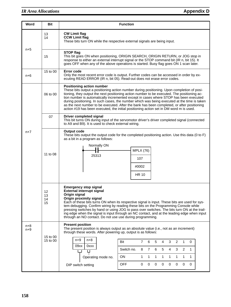| Word         | Bit                  | <b>Function</b>                                                                                                                                                                                                                                                                                                                                                                                                                                                                                                                                                                                               |  |  |  |  |  |  |
|--------------|----------------------|---------------------------------------------------------------------------------------------------------------------------------------------------------------------------------------------------------------------------------------------------------------------------------------------------------------------------------------------------------------------------------------------------------------------------------------------------------------------------------------------------------------------------------------------------------------------------------------------------------------|--|--|--|--|--|--|
|              | 13<br>14             | <b>CW Limit flag</b><br><b>CCW Limit flag</b><br>These bits turn ON while the respective external signals are being input.                                                                                                                                                                                                                                                                                                                                                                                                                                                                                    |  |  |  |  |  |  |
| $n+5$        | 15                   | <b>STOP flag</b><br>This bit goes ON when positioning, ORIGIN SEARCH, ORIGIN RETURN, or JOG stop in<br>response to either an external interrupt signal or the STOP command bit (IR n, bit 15). It<br>goes OFF when any of the above operations is started. Busy flag goes ON 1 scan later.                                                                                                                                                                                                                                                                                                                    |  |  |  |  |  |  |
| $n+6$        | 15 to 00             | <b>Error code</b><br>Only the most recent error code is output. Further codes can be accessed in order by ex-<br>ecuting READ ERROR (IR n, bit 05). Read-out does not erase error codes.                                                                                                                                                                                                                                                                                                                                                                                                                      |  |  |  |  |  |  |
|              | 06 to 00             | <b>Positioning action number</b><br>These bits output a positioning action number during positioning. Upon completion of posi-<br>tioning, they output the next positioning action number to be executed. The positioning ac-<br>tion number is automatically incremented except in cases where STOP has been executed<br>during positioning. In such cases, the number which was being executed at the time is taken<br>as the next number to be executed. After the bank has been completed, or after positioning<br>action #19 has been executed, the initial positioning action set in DM word m is used. |  |  |  |  |  |  |
|              | 07                   | Driver completed signal<br>This bit turns ON during input of the servomotor driver's driver completed signal (connected<br>to A9 and B9). It is used to check external wiring.                                                                                                                                                                                                                                                                                                                                                                                                                                |  |  |  |  |  |  |
| $n+7$        | 11 to 08             | <b>Output code</b><br>These bits output the output code for the completed positioning action. Use this data (0 to F)<br>as a bit in a program as follows:<br>Normally ON<br><b>MPLX (76)</b><br>25313<br>107<br>#0002<br><b>HR 10</b>                                                                                                                                                                                                                                                                                                                                                                         |  |  |  |  |  |  |
|              | 12<br>13<br>14<br>15 | <b>Emergency stop signal</b><br><b>External interrupt signal</b><br>Origin signal<br>Origin proximity signal<br>Each of these bits turns ON when its respective signal is input. These bits are used for sys-<br>tem debugging. Confirm wiring by reading these bits on the Programming Console while<br>pressing switches by hand or using JOG to pass over switches. The bits turn ON at the trail-<br>ing edge when the signal is input through an NC contact, and at the leading edge when input<br>through an NO contact. Do not use use during programming.                                             |  |  |  |  |  |  |
| n+8<br>$n+9$ | 15 to 00             | <b>Present position</b><br>The present position is always output as an absolute value (i.e., not as an increment)<br>through these words. After powering up, output is as follows:                                                                                                                                                                                                                                                                                                                                                                                                                            |  |  |  |  |  |  |
|              | 15 to 00             | $n+9$<br>$n+8$<br>Bit<br>7<br>6<br>5<br>4<br>3<br>$\overline{2}$<br>1<br>0                                                                                                                                                                                                                                                                                                                                                                                                                                                                                                                                    |  |  |  |  |  |  |
|              |                      | 09xx<br>0xxx<br>$\overline{7}$<br>6<br>5<br>3<br>$\overline{2}$<br>$\mathbf{1}$<br>Switch no.<br>8<br>4<br>П                                                                                                                                                                                                                                                                                                                                                                                                                                                                                                  |  |  |  |  |  |  |
|              |                      | ON<br>1<br>$\mathbf{1}$<br>$\mathbf{1}$<br>$\mathbf{1}$<br>$\mathbf{1}$<br>$\mathbf{1}$<br>$\mathbf{1}$<br>$\mathbf{1}$<br>Operating mode no.                                                                                                                                                                                                                                                                                                                                                                                                                                                                 |  |  |  |  |  |  |
|              |                      | OFF<br>0<br>0<br>0<br>0<br>0<br>0<br>0<br>0<br>DIP switch setting                                                                                                                                                                                                                                                                                                                                                                                                                                                                                                                                             |  |  |  |  |  |  |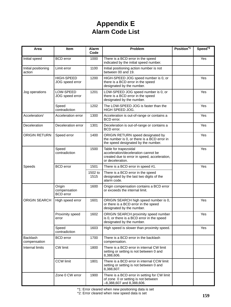# **Appendix E Alarm Code List**

| Area                          | Item                                       | Alarm<br>Code   | Problem                                                                                                                          | Position*1 | Speed <sup>*2</sup> |
|-------------------------------|--------------------------------------------|-----------------|----------------------------------------------------------------------------------------------------------------------------------|------------|---------------------|
| Initial speed                 | <b>BCD</b> error                           | 1000            | There is a BCD error in the speed<br>indicated by the initial speed number.                                                      |            | Yes                 |
| Initial positioning<br>action | Limit error                                | 1100            | Initial positioning action number is not<br>between 00 and 19.                                                                   |            |                     |
|                               | HIGH-SPEED<br>JOG speed error              | 1200            | HIGH-SPEED JOG speed number is 0, or<br>there is a BCD error in the speed<br>designated by the number.                           |            | Yes                 |
| Jog operations                | LOW-SPEED<br>JOG speed error               | 1201            | LOW-SPEED JOG speed number is 0, or<br>there is a BCD error in the speed<br>designated by the number.                            |            | Yes                 |
|                               | Speed<br>contradiction                     | 1202            | The LOW-SPEED JOG is faster than the<br>HIGH SPEED JOG.                                                                          |            | Yes                 |
| Acceleration/                 | Acceleration error                         | 1300            | Acceleration is out-of-range or contains a<br>BCD error.                                                                         |            | Yes                 |
| Deceleration                  | Deceleration error                         | 1301            | Deceleration is out-of-range or contains a<br><b>BCD</b> error.                                                                  |            | Yes                 |
| <b>ORIGIN RETURN</b>          | Speed error                                | 1400            | ORIGIN RETURN speed designated by<br>the number is 0, or there is a BCD error in<br>the speed designated by the number.          |            | Yes                 |
|                               | Speed<br>contradiction                     | 1500            | Table for trapezoidal<br>acceleration/deceleration cannot be<br>created due to error in speed, acceleration,<br>or deceleration. |            | Yes                 |
| Speeds                        | <b>BCD</b> error                           | 1501            | There is a BCD error in speed #1.                                                                                                |            | Yes                 |
|                               |                                            | 1502 to<br>1515 | There is a BCD error in the speed<br>designated by the last two digits of the<br>alarm code.                                     |            |                     |
|                               | Origin<br>compensation<br><b>BCD</b> error | 1600            | Origin compensation contains a BCD error<br>or exceeds the internal limit.                                                       |            |                     |
| <b>ORIGIN SEARCH</b>          | High speed error                           | 1601            | ORIGIN SEARCH high speed number is 0,<br>or there is a BCD error in the speed<br>designated by the number.                       |            | Yes                 |
|                               | Proximity speed<br>error                   | 1602            | ORIGIN SEARCH proximity speed number<br>is 0, or there is a BCD error in the speed<br>designated by the number.                  |            | Yes                 |
|                               | Speed<br>contradiction                     | 1603            | High speed is slower than proximity speed.                                                                                       |            | Yes                 |
| Backlash<br>compensation      | <b>BCD</b> error                           | 1700            | There is a BCD error in the backlash<br>compensation.                                                                            |            |                     |
| Internal limits               | <b>CW limit</b>                            | 1800            | There is a BCD error in internal CW limit<br>setting or setting is not between 0 and<br>8,388,606.                               |            |                     |
|                               | <b>CCW limit</b>                           | 1801            | There is a BCD error in internal CCW limit<br>setting or setting is not between 0 and<br>8,388,607.                              |            |                     |
|                               | Zone 0 CW error                            | 1900            | There is a BCD error in setting for CW limit<br>of zone 0 or setting is not between<br>-8,388,607 and 8,388,606.                 |            |                     |

\*1: Error cleared when new positioning data is set

\*2: Error cleared when new speed data is set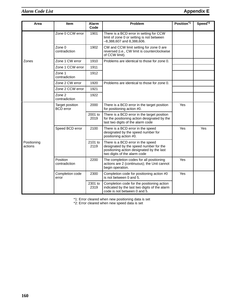| Area                   | Item                                | Alarm<br>Code   | Problem                                                                                                                                                  | Position*1 | Speed <sup>*2</sup> |
|------------------------|-------------------------------------|-----------------|----------------------------------------------------------------------------------------------------------------------------------------------------------|------------|---------------------|
|                        | Zone 0 CCW error                    | 1901            | There is a BCD error in setting for CCW<br>limit of zone 0 or setting is not between<br>$-8,388,607$ and $8,388,606$ .                                   |            |                     |
|                        | Zone $0$<br>contradiction           | 1902            | CW and CCW limit setting for zone 0 are<br>reversed (i.e., CW limit is counterclockwise<br>of CCW limit).                                                |            |                     |
| Zones                  | Zone 1 CW error                     | 1910            | Problems are identical to those for zone 0.                                                                                                              |            |                     |
|                        | Zone 1 CCW error                    | 1911            |                                                                                                                                                          |            |                     |
|                        | Zone 1<br>contradiction             | 1912            |                                                                                                                                                          |            |                     |
|                        | Zone 2 CW error                     | 1920            | Problems are identical to those for zone 0.                                                                                                              |            |                     |
|                        | Zone 2 CCW error                    | 1921            |                                                                                                                                                          |            |                     |
|                        | Zone 2<br>contradiction             | 1922            |                                                                                                                                                          |            |                     |
|                        | Target position<br><b>BCD</b> error | 2000            | There is a BCD error in the target position<br>for positioning action #0.                                                                                | Yes        |                     |
|                        |                                     | 2001 to<br>2019 | There is a BCD error in the target position<br>for the positioning action designated by the<br>last two digits of the alarm code                         |            |                     |
|                        | Speed BCD error                     | 2100            | There is a BCD error in the speed<br>designated by the speed number for<br>positioning action #0.                                                        | Yes        | Yes                 |
| Positioning<br>actions |                                     | 2101 to<br>2119 | There is a BCD error in the speed<br>designated by the speed number for the<br>positioning action designated by the last<br>two digits of the alarm code |            |                     |
|                        | Position<br>contradiction           | 2200            | The completion codes for all positioning<br>actions are 2 (continuous); the Unit cannot<br>begin operation.                                              | Yes        |                     |
|                        | Completion code<br>error            | 2300            | Completion code for positioning action #0<br>is not between 0 and 5.                                                                                     | Yes        |                     |
|                        |                                     | 2301 to<br>2319 | Completion code for the positioning action<br>indicated by the last two digits of the alarm<br>code is not between 0 and 5.                              |            |                     |

\*1: Error cleared when new positioning data is set

\*2: Error cleared when new speed data is set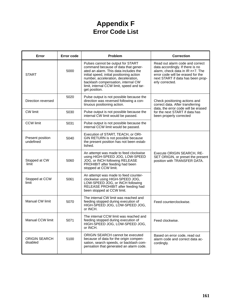# **Appendix F Error Code List**

| Error                            | <b>Error code</b> | <b>Problem</b>                                                                                                                                                                                                                                                                                            | <b>Correction</b>                                                                                                                                                                                    |
|----------------------------------|-------------------|-----------------------------------------------------------------------------------------------------------------------------------------------------------------------------------------------------------------------------------------------------------------------------------------------------------|------------------------------------------------------------------------------------------------------------------------------------------------------------------------------------------------------|
| <b>START</b>                     | 5000              | Pulses cannot be output for START<br>command because of data that gener-<br>ated an alarm. This data includes the<br>initial speed, initial positioning action<br>number, acceleration, deceleration,<br>backlash compensation, internal CW<br>limit, internal CCW limit, speed and tar-<br>get position. | Read out alarm code and correct<br>data accordingly. If there is no<br>alarm, check data in IR n+7. The<br>error code will be erased for the<br>next START if data has been prop-<br>erly corrected. |
| Direction reversed               | 5020              | Pulse output is not possible because the<br>direction was reversed following a con-<br>tinuous positioning action.                                                                                                                                                                                        | Check positioning actions and<br>correct data. After transferring<br>data, the error code will be erased                                                                                             |
| CW limit                         | 5030              | Pulse output is not possible because the<br>internal CW limit would be passed.                                                                                                                                                                                                                            | for the next START if data has<br>been properly corrected                                                                                                                                            |
| <b>CCW limit</b>                 | 5031              | Pulse output is not possible because the<br>internal CCW limit would be passed.                                                                                                                                                                                                                           |                                                                                                                                                                                                      |
| Present position<br>undefined    | 5040              | Execution of START, TEACH, or ORI-<br>GIN RETURN is not possible because<br>the present position has not been estab-<br>lished.                                                                                                                                                                           |                                                                                                                                                                                                      |
| Stopped at CW<br>limit           | 5060              | An attempt was made to feed clockwise<br>using HIGH-SPEED JOG, LOW-SPEED<br>JOG, or INCH following RELEASE<br>PROHIBIT after feeding had been<br>stopped at CCW limit.                                                                                                                                    | Execute ORIGIN SEARCH, RE-<br>SET ORIGIN, or preset the present<br>position with TRANSFER DATA.                                                                                                      |
| Stopped at CCW<br>limit          | 5061              | An attempt was made to feed counter-<br>clockwise using HIGH-SPEED JOG,<br>LOW-SPEED JOG, or INCH following<br>RELEASE PROHIBIT after feeding had<br>been stopped at CCW limit.                                                                                                                           |                                                                                                                                                                                                      |
| Manual CW limit                  | 5070              | The internal CW limit was reached and<br>feeding stopped during execution of<br>HIGH-SPEED JOG, LOW-SPEED JOG,<br>or INCH.                                                                                                                                                                                | Feed counterclockwise.                                                                                                                                                                               |
| Manual CCW limit                 | 5071              | The internal CCW limit was reached and<br>feeding stopped during execution of<br>HIGH-SPEED JOG, LOW-SPEED JOG,<br>or INCH.                                                                                                                                                                               | Feed clockwise.                                                                                                                                                                                      |
| <b>ORIGIN SEARCH</b><br>disabled | 5100              | ORIGIN SEARCH cannot be executed<br>because of data for the origin compen-<br>sation, search speeds, or backlash com-<br>pensation that generated an alarm code.                                                                                                                                          | Based on error code, read out<br>alarm code and correct data ac-<br>cordingly.                                                                                                                       |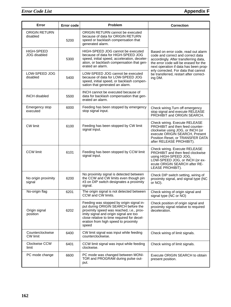| Error                            | <b>Error code</b> | Problem                                                                                                                                                                                                                                                              | <b>Correction</b>                                                                                                                                                                                      |
|----------------------------------|-------------------|----------------------------------------------------------------------------------------------------------------------------------------------------------------------------------------------------------------------------------------------------------------------|--------------------------------------------------------------------------------------------------------------------------------------------------------------------------------------------------------|
| <b>ORIGIN RETURN</b><br>disabled | 5200              | ORIGIN RETURN cannot be executed<br>because of data for ORIGIN RETURN<br>speed or backlash compensation that<br>generated alarm.                                                                                                                                     |                                                                                                                                                                                                        |
| HIGH-SPEED<br>JOG disabled       | 5300              | HIGH-SPEED JOG cannot be executed<br>because of data for HIGH-SPEED JOG<br>speed, initial speed, acceleration, deceler-<br>ation, or backlash compensation that gen-<br>erated an alarm.                                                                             | Based on error code, read out alarm<br>code and correct and correct data<br>accordingly. After transferring data,<br>the error code will be erased for the<br>next operation if data has been prop-    |
| LOW-SPEED JOG<br>disabled        | 5400              | LOW-SPEED JOG cannot be executed<br>because of data for LOW-SPEED JOG<br>speed, initial speed, or backlash compen-<br>sation that generated an alarm.                                                                                                                | erly corrected. For data that cannot<br>be transferred, restart after correct-<br>ing DM.                                                                                                              |
| <b>INCH</b> disabled             | 5500              | INCH cannot be executed because of<br>data for backlash compensation that gen-<br>erated an alarm.                                                                                                                                                                   |                                                                                                                                                                                                        |
| Emergency stop<br>executed       | 6000              | Feeding has been stopped by emergency<br>stop signal input.                                                                                                                                                                                                          | Check wiring. Turn off emergency<br>stop signal and execute RELEASE<br>PROHIBIT and ORIGIN SEARCH.                                                                                                     |
| <b>CW limit</b>                  | 6100              | Feeding has been stopped by CW limit<br>signal input.                                                                                                                                                                                                                | Check wiring. Execute RELEASE<br>PROHIBIT and then feed counter-<br>clockwise using JOG, or INCH (or<br>execute ORIGIN SEARCH, Present<br>Position Reset, or TRANSFER DATA<br>after RELEASE PROHIBIT). |
| <b>CCW limit</b>                 | 6101              | Feeding has been stopped by CCW limit<br>signal input.                                                                                                                                                                                                               | Check wiring. Execute RELEASE<br>PROHIBIT and then feed clockwise<br>using HIGH-SPEED JOG,<br>LOW-SPEED JOG, or INCH (or ex-<br>ecute ORIGIN SEARCH after RE-<br>LEASE PROHIBIT).                      |
| No origin proximity<br>signal    | 6200              | No proximity signal is detected between<br>the CCW and CW limits even though pin<br>#3 on DIP switch designates a proximity<br>signal.                                                                                                                               | Check DIP switch setting, wiring of<br>proximity signal, and signal type (NC<br>or NO).                                                                                                                |
| No-origin flag                   | 6201              | The origin signal is not detected between<br>CCW and CW limits.                                                                                                                                                                                                      | Check wiring of origin signal and<br>signal type (NC or NO)                                                                                                                                            |
| Origin signal<br>position        | 6202              | Feeding was stopped by origin signal in-<br>put during ORIGIN SEARCH before the<br>proximity speed was reached, i.e., prox-<br>imity signal and origin signal are too<br>close relative to time required for decel-<br>eration from high speed to proximity<br>speed | Check position of origin signal and<br>proximity signal relative to required<br>deceleration.                                                                                                          |
| Counterclockwise<br>CW limit     | 6400              | CW limit signal was input while feeding<br>counterclockwise.                                                                                                                                                                                                         | Check wiring of limit signals.                                                                                                                                                                         |
| Clockwise CCW<br>limit           | 6401              | CCW limit signal was input while feeding<br>clockwise.                                                                                                                                                                                                               | Check wiring of limit signals.                                                                                                                                                                         |
| PC mode change                   | 6600              | PC mode was changed between MONI-<br>TOR and PROGRAM during pulse out-<br>put.                                                                                                                                                                                       | Execute ORIGIN SEARCH to obtain<br>present position.                                                                                                                                                   |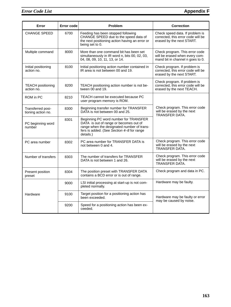| Error                                   | <b>Error code</b> | <b>Problem</b>                                                                                                                                                                          | <b>Correction</b>                                                                                    |
|-----------------------------------------|-------------------|-----------------------------------------------------------------------------------------------------------------------------------------------------------------------------------------|------------------------------------------------------------------------------------------------------|
| <b>CHANGE SPEED</b>                     | 6700              | Feeding has been stopped following<br>CHANGE SPEED due to the speed data of<br>the next positioning action having an error or<br>being set to 0.                                        | Check speed data. If problem is<br>corrected, this error code will be<br>erased by the next START.   |
| Multiple command                        | 8000              | More than one command bit has been set<br>simultaneously in IR word n, bits 00, 02, 03,<br>04, 08, 09, 10, 11, 13, or 14.                                                               | Check program. This error code<br>will be erased when every com-<br>mand bit in channel n goes to 0. |
| Initial positioning<br>action no.       | 8100              | Initial positioning action number contained in<br>IR area is not between 00 and 19.                                                                                                     | Check program. If problem is<br>corrected, this error code will be<br>erased by the next START.      |
| <b>TEACH</b> positioning<br>action no.  | 8200              | TEACH positioning action number is not be-<br>tween 00 and 19.                                                                                                                          | Check program. If problem is<br>corrected, this error code will be<br>erased by the next TEACH.      |
| ROM in PC                               | 8210              | TEACH cannot be executed because PC<br>user program memory is ROM.                                                                                                                      |                                                                                                      |
| Transferred posi-<br>tioning action no. | 8300              | Beginning transfer number for TRANSFER<br>DATA is not between 00 and 25.                                                                                                                | Check program. This error code<br>will be erased by the next<br><b>TRANSFER DATA.</b>                |
| PC beginning word<br>number             | 8301              | Beginning PC word number for TRANSFER<br>DATA is out of range or becomes out of<br>range when the designated number of trans-<br>fers is added. (See Section 4-8 for range<br>details.) |                                                                                                      |
| PC area number                          | 8302              | PC area number for TRANSFER DATA is<br>not between 0 and 4.                                                                                                                             | Check program. This error code<br>will be erased by the next<br><b>TRANSFER DATA.</b>                |
| Number of transfers                     | 8303              | The number of transfers for TRANSFER<br>DATA is not between 1 and 26.                                                                                                                   | Check program. This error code<br>will be erased by the next<br>TRANSFER DATA.                       |
| Present position<br>preset              | 8304              | The position preset with TRANSFER DATA<br>contains a BCD error or is out of range.                                                                                                      | Check program and data in PC.                                                                        |
|                                         | 9000              | LSI initial processing at start-up is not com-<br>pleted normally.                                                                                                                      | Hardware may be faulty.                                                                              |
| Hardware                                | 9100              | Target position for a positioning action has<br>been exceeded.                                                                                                                          | Hardware may be faulty or error<br>may be caused by noise.                                           |
|                                         | 9200              | Speed for a positioning action has been ex-<br>ceeded.                                                                                                                                  |                                                                                                      |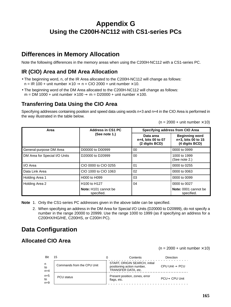# **Appendix G Using the C200H-NC112 with CS1-series PCs**

# **Differences in Memory Allocation**

Note the following differences in the memory areas when using the C200H-NC112 with a CS1-series PC.

## **IR (CIO) Area and DM Area Allocation**

- The beginning word, n, of the IR Area allocated to the C200H-NC112 will change as follows:  $n = IR$  100 + unit number  $\times$  10  $\rightarrow$  n = CIO 2000 + unit number  $\times$  10.
- The beginning word of the DM Area allocated to the C200H-NC112 will change as follows:  $m = DM 1000 + unit number \times 100 \rightarrow m = D20000 + unit number \times 100$ .

## **Transferring Data Using the CIO Area**

Specifying addresses containing position and speed data using words n+3 and n+4 in the CIO Area is performed in the way illustrated in the table below.

 $(n = 2000 + \text{unit number} \times 10)$ 

| Area                          | <b>Address in CS1 PC</b>                       |                                                   | Specifying address from CIO Area                              |  |  |
|-------------------------------|------------------------------------------------|---------------------------------------------------|---------------------------------------------------------------|--|--|
|                               | (See note 1.)                                  | Data area<br>n+4, bits 00 to 07<br>(2 digits BCD) | <b>Beginning word</b><br>n+3, bits 00 to 15<br>(4 digits BCD) |  |  |
| General-purpose DM Area       | D00000 to D00999                               | $00\,$                                            | 0000 to 0999                                                  |  |  |
| DM Area for Special I/O Units | D20000 to D20999                               | $00\,$                                            | 1000 to 1999<br>(See note 2.)                                 |  |  |
| I/O Area                      | CIO 0000 to CIO 0255                           | 01                                                | 0000 to 0255                                                  |  |  |
| Data Link Area                | CIO 1000 to CIO 1063                           | 02                                                | 0000 to 0063                                                  |  |  |
| Holding Area 1                | H000 to H099                                   | 03                                                | 0000 to 0099                                                  |  |  |
| Holding Area 2                | H <sub>100</sub> to H <sub>127</sub>           | 04                                                | 0000 to 0027                                                  |  |  |
|                               | Note: H <sub>101</sub> cannot be<br>specified. |                                                   | Note: 0001 cannot be<br>specified.                            |  |  |

**Note** 1. Only the CS1-series PC addresses given in the above table can be specified.

2. When specifying an address in the DM Area for Special I/O Units (D20000 to D20999), do not specify a number in the range 20000 to 20999. Use the range 1000 to 1999 (as if specifying an address for a C200HX/HG/HE, C200HS, or C200H PC).

# **Data Configuration**

## **Allocated CIO Area**

 $(n = 2000 + \text{unit number} \times 10)$ 

| Bit                  | 15                         | Contents                                                                           | <b>Direction</b>           |
|----------------------|----------------------------|------------------------------------------------------------------------------------|----------------------------|
| n<br>to<br>$n+4$     | Commands from the CPU Unit | START, ORIGIN SEARCH, initial<br>positioning action number,<br>TRANSFER DATA, etc. | CPU Unit $\rightarrow$ PCU |
| $n+5$<br>to<br>$n+9$ | <b>PCU</b> status          | Present position, zones, error<br>flags, etc.                                      | $PCU \rightarrow CPU$ Unit |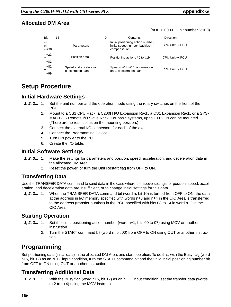## **Allocated DM Area**

 $(m = D20000 + unit number \times 100)$ 

| Bit                      | 15                                           | Contents                                                                             | Direction                  |
|--------------------------|----------------------------------------------|--------------------------------------------------------------------------------------|----------------------------|
| m<br>to<br>$m+20$        | Parameters                                   | Initial positioning action number,<br>initial speed number, backlash<br>compensation | CPU Unit $\rightarrow$ PCU |
| $m+22$<br>to<br>$m + 81$ | Position data                                | Positioning actions #0 to #19                                                        | CPU Unit $\rightarrow$ PCU |
| $m+82$<br>to<br>$m+99$   | Speed and acceleration/<br>deceleration data | Speeds #0 to #15, acceleration<br>data, deceleration data                            | CPU Unit $\rightarrow$ PCU |

# **Setup Procedure**

### **Initial Hardware Settings**

- **1, 2, 3...** 1. Set the unit number and the operation mode using the rotary switches on the front of the PCU.
	- 2. Mount to a CS1 CPU Rack, a C200H I/O Expansion Rack, a CS1 Expansion Rack, or a SYS-MAC BUS Remote I/O Slave Rack. For basic systems, up to 10 PCUs can be mounted. (There are no restrictions on the mounting position.)
	- 3. Connect the external I/O connectors for each of the axes.
	- 4. Connect the Programming Device.
	- 5. Turn ON power to the PC.
	- 6. Create the I/O table.

### **Initial Software Settings**

- **1, 2, 3...** 1. Make the settings for parameters and position, speed, acceleration, and deceleration data in the allocated DM Area.
	- 2. Reset the power, or turn the Unit Restart flag from OFF to ON.

## **Transferring Data**

Use the TRANSFER DATA command to send data in the case where the above settings for position, speed, acceleration, and deceleration data are insufficient, or to change initial settings for this data.

**1, 2, 3...** 1. When the TRANSFER DATA command bit (word n, bit 10) is turned from OFF to ON, the data at the address in I/O memory specified with words n+3 and n+4 in the CIO Area is transferred to the address (transfer number) in the PCU specified with bits 08 to 14 in word n+2 in the CIO Area.

## **Starting Operation**

- **1, 2, 3...** 1. Set the initial positioning action number (word n+1, bits 00 to 07) using MOV or another instruction.
	- 2. Turn the START command bit (word n, bit 00) from OFF to ON using OUT or another instruction.

# **Programming**

Set positioning data (initial data) in the allocated DM Area, and start operation. To do this, with the Busy flag (word n+5, bit 12) as an N. C. input condition, turn the START command bit and the valid initial positioning number bit from OFF to ON using OUT or another instruction.

### **Transferring Additional Data**

**1, 2, 3...** 1. With the Busy flag (word n+5, bit 12) as an N. C. input condition, set the transfer data (words n+2 to n+4) using the MOV instruction.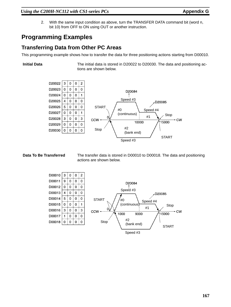- 
- 2. With the same input condition as above, turn the TRANSFER DATA command bit (word n, bit 10) from OFF to ON using OUT or another instruction.

# **Programming Examples**

# **Transferring Data from Other PC Areas**

This programming example shows how to transfer the data for three positioning actions starting from D00010.

**Initial Data**

The initial data is stored in D20022 to D20030. The data and positioning actions are shown below.



#### **Data To Be Transferred**

The transfer data is stored in D00010 to D00018. The data and positioning actions are shown below.



Speed #3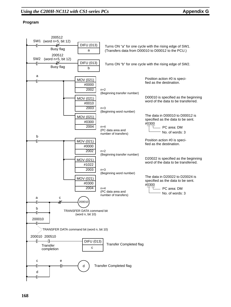#### **Program**

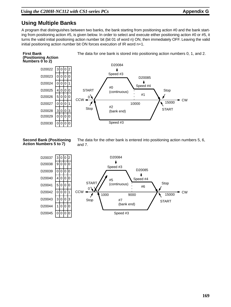# **Using Multiple Banks**

A program that distinguishes between two banks, the bank starting from positioning action #0 and the bank starting from positioning action #5, is given below. In order to select and execute either positioning action #0 or #5, it turns the valid initial positioning action number bit (bit 01 of word n) ON, then immediately OFF. Leaving the valid initial positioning action number bit ON forces execution of IR word n+1.





#### **Second Bank (Positioning Action Numbers 5 to 7)**



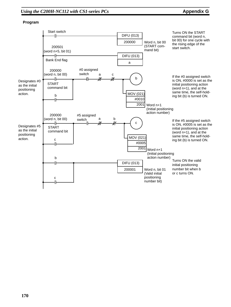#### **Program**

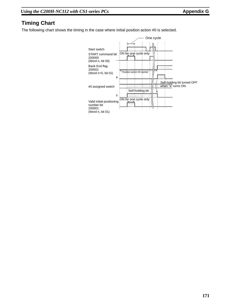## **Timing Chart**

The following chart shows the timing in the case where initial position action #0 is selected.

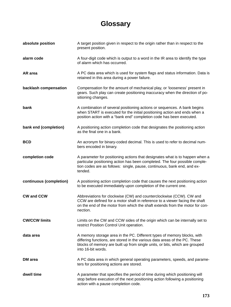# **Glossary**

| absolute position       | A target position given in respect to the origin rather than in respect to the<br>present position.                                                                                                                                                        |
|-------------------------|------------------------------------------------------------------------------------------------------------------------------------------------------------------------------------------------------------------------------------------------------------|
| alarm code              | A four-digit code which is output to a word in the IR area to identify the type<br>of alarm which has occurred.                                                                                                                                            |
| AR area                 | A PC data area which is used for system flags and status information. Data is<br>retained in this area during a power failure.                                                                                                                             |
| backlash compensation   | Compensation for the amount of mechanical play, or 'looseness' present in<br>gears. Such play can create positioning inaccuracy when the direction of po-<br>sitioning changes.                                                                            |
| bank                    | A combination of several positioning actions or sequences. A bank begins<br>when START is executed for the initial positioning action and ends when a<br>position action with a "bank end" completion code has been executed.                              |
| bank end (completion)   | A positioning action completion code that designates the positioning action<br>as the final one in a bank.                                                                                                                                                 |
| <b>BCD</b>              | An acronym for binary-coded decimal. This is used to refer to decimal num-<br>bers encoded in binary.                                                                                                                                                      |
| completion code         | A parameter for positioning actions that designates what is to happen when a<br>particular positioning action has been completed. The four possible comple-<br>tion codes are as follows: single, pause, continuous, bank end, and ex-<br>tended.          |
| continuous (completion) | A positioning action completion code that causes the next positioning action<br>to be executed immediately upon completion of the current one.                                                                                                             |
| <b>CW and CCW</b>       | Abbreviations for clockwise (CW) and counterclockwise (CCW). CW and<br>CCW are defined for a motor shaft in reference to a viewer facing the shaft<br>on the end of the motor from which the shaft extends from the motor for con-<br>nection.             |
| <b>CW/CCW limits</b>    | Limits on the CW and CCW sides of the origin which can be internally set to<br>restrict Position Control Unit operation.                                                                                                                                   |
| data area               | A memory storage area in the PC. Different types of memory blocks, with<br>differing functions, are stored in the various data areas of the PC. These<br>blocks of memory are built up from single units, or bits, which are grouped<br>into 16-bit words. |
| DM area                 | A PC data area in which general operating parameters, speeds, and parame-<br>ters for positioning actions are stored.                                                                                                                                      |
| dwell time              | A parameter that specifies the period of time during which positioning will<br>stop before execution of the next positioning action following a positioning<br>action with a pause completion code.                                                        |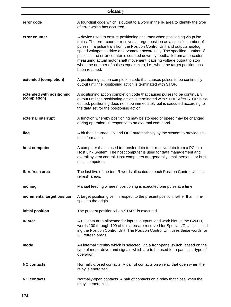|                                           | <b>Glossary</b>                                                                                                                                                                                                                                                                                                                                                                                                                                                                                                                                                     |
|-------------------------------------------|---------------------------------------------------------------------------------------------------------------------------------------------------------------------------------------------------------------------------------------------------------------------------------------------------------------------------------------------------------------------------------------------------------------------------------------------------------------------------------------------------------------------------------------------------------------------|
| error code                                | A four-digit code which is output to a word in the IR area to identify the type<br>of error which has occurred.                                                                                                                                                                                                                                                                                                                                                                                                                                                     |
| error counter                             | A device used to ensure positioning accuracy when positioning via pulse<br>trains. The error counter receives a target position as a specific number of<br>pulses in a pulse train from the Position Control Unit and outputs analog<br>speed voltages to drive a servomotor accordingly. The specified number of<br>pulses in the error counter is counted down by feedback from an encoder<br>measuring actual motor shaft movement, causing voltage output to stop<br>when the number of pulses equals zero, i.e., when the target position has<br>been reached. |
| extended (completion)                     | A positioning action completion code that causes pulses to be continually<br>output until the positioning action is terminated with STOP.                                                                                                                                                                                                                                                                                                                                                                                                                           |
| extended with positioning<br>(completion) | A positioning action completion code that causes pulses to be continually<br>output until the positioning action is terminated with STOP. After STOP is ex-<br>ecuted, positioning does not stop immediately but is executed according to<br>the data set for the positioning action.                                                                                                                                                                                                                                                                               |
| external interrupt                        | A function whereby positioning may be stopped or speed may be changed,<br>during operation, in response to an external command.                                                                                                                                                                                                                                                                                                                                                                                                                                     |
| flag                                      | A bit that is turned ON and OFF automatically by the system to provide sta-<br>tus information.                                                                                                                                                                                                                                                                                                                                                                                                                                                                     |
| host computer                             | A computer that is used to transfer data to or receive data from a PC in a<br>Host Link System. The host computer is used for data management and<br>overall system control. Host computers are generally small personal or busi-<br>ness computers.                                                                                                                                                                                                                                                                                                                |
| <b>IN refresh area</b>                    | The last five of the ten IR words allocated to each Position Control Unit as<br>refresh areas.                                                                                                                                                                                                                                                                                                                                                                                                                                                                      |
| inching                                   | Manual feeding wherein positioning is executed one pulse at a time.                                                                                                                                                                                                                                                                                                                                                                                                                                                                                                 |
| incremental target position               | A target position given in respect to the present position, rather than in re-<br>spect to the origin.                                                                                                                                                                                                                                                                                                                                                                                                                                                              |
| initial position                          | The present position when START is executed.                                                                                                                                                                                                                                                                                                                                                                                                                                                                                                                        |
| IR area                                   | A PC data area allocated for inputs, outputs, and work bits. In the C200H,<br>words 100 through 199 of this area are reserved for Special I/O Units, includ-<br>ing the Position Control Unit. The Position Control Unit uses these words for<br>I/O refresh areas.                                                                                                                                                                                                                                                                                                 |
| mode                                      | An internal circuitry which is selected, via a front-panel switch, based on the<br>type of motor driver and signals which are to be used for a particular type of<br>operation.                                                                                                                                                                                                                                                                                                                                                                                     |
| <b>NC contacts</b>                        | Normally-closed contacts. A pair of contacts on a relay that open when the<br>relay is energized.                                                                                                                                                                                                                                                                                                                                                                                                                                                                   |
| <b>NO contacts</b>                        | Normally-open contacts. A pair of contacts on a relay that close when the<br>relay is energized.                                                                                                                                                                                                                                                                                                                                                                                                                                                                    |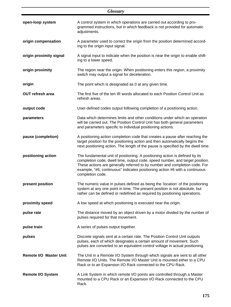| <b>Glossary</b>               |                                                                                                                                                                                                                                                                                                                                              |  |
|-------------------------------|----------------------------------------------------------------------------------------------------------------------------------------------------------------------------------------------------------------------------------------------------------------------------------------------------------------------------------------------|--|
| open-loop system              | A control system in which operations are carried out according to pro-<br>grammed instructions, but in which feedback is not provided for automatic<br>adjustments.                                                                                                                                                                          |  |
| origin compensation           | A parameter used to correct the origin from the position determined accord-<br>ing to the origin input signal.                                                                                                                                                                                                                               |  |
| origin proximity signal       | A signal input to indicate when the position is near the origin to enable shift-<br>ing to a lower speed.                                                                                                                                                                                                                                    |  |
| origin proximity              | The region near the origin. When positioning enters this region, a proximity<br>switch may output a signal for deceleration.                                                                                                                                                                                                                 |  |
| origin                        | The point which is designated as 0 at any given time.                                                                                                                                                                                                                                                                                        |  |
| <b>OUT refresh area</b>       | The first five of the ten IR words allocated to each Position Control Unit as<br>refresh areas.                                                                                                                                                                                                                                              |  |
| output code                   | User-defined codes output following completion of a positioning action.                                                                                                                                                                                                                                                                      |  |
| parameters                    | Data which determines limits and other conditions under which an operation<br>will be carried out. The Position Control Unit has both general parameters<br>and parameters specific to individual positioning actions.                                                                                                                       |  |
| pause (completion)            | A positioning action completion code that creates a pause after reaching the<br>target position for the positioning action and then automatically begins the<br>next positioning action. The length of the pause is specified by the dwell time.                                                                                             |  |
| positioning action            | The fundamental unit of positioning. A positioning action is defined by its<br>completion code, dwell time, output code, speed number, and target position.<br>These actions are generally referred to by number and completion code. For<br>example, "#6, continuous" indicates positioning action #6 with a continuous<br>completion code. |  |
| present position              | The numeric value in pulses defined as being the 'location' of the positioning<br>system at any one point in time. The present position is not absolute, but<br>rather can be defined or redefined as required by positioning operations.                                                                                                    |  |
| proximity speed               | A low speed at which positioning is executed near the origin.                                                                                                                                                                                                                                                                                |  |
| pulse rate                    | The distance moved by an object driven by a motor divided by the number of<br>pulses required for that movement.                                                                                                                                                                                                                             |  |
| pulse train                   | A series of pulses output together.                                                                                                                                                                                                                                                                                                          |  |
| pulses                        | Discrete signals sent at a certain rate. The Position Control Unit outputs<br>pulses, each of which designates a certain amount of movement. Such<br>pulses are converted to an equivalent control voltage in actual positioning.                                                                                                            |  |
| <b>Remote I/O Master Unit</b> | The Unit in a Remote I/O System through which signals are sent to all other<br>Remote I/O Units. The Remote I/O Master Unit is mounted either to a CPU<br>Rack or to an Expansion I/O Rack connected to the CPU Rack.                                                                                                                        |  |
| <b>Remote I/O System</b>      | A Link System in which remote I/O points are controlled through a Master<br>mounted to a CPU Rack or an Expansion I/O Rack connected to the CPU<br>Rack.                                                                                                                                                                                     |  |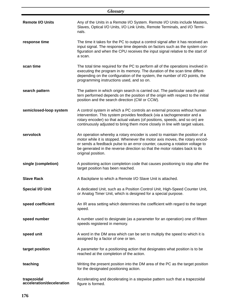| <b>Glossary</b>                          |                                                                                                                                                                                                                                                                                                                                                 |  |
|------------------------------------------|-------------------------------------------------------------------------------------------------------------------------------------------------------------------------------------------------------------------------------------------------------------------------------------------------------------------------------------------------|--|
| <b>Remote I/O Units</b>                  | Any of the Units in a Remote I/O System. Remote I/O Units include Masters,<br>Slaves, Optical I/O Units, I/O Link Units, Remote Terminals, and I/O Termi-<br>nals.                                                                                                                                                                              |  |
| response time                            | The time it takes for the PC to output a control signal after it has received an<br>input signal. The response time depends on factors such as the system con-<br>figuration and when the CPU receives the input signal relative to the start of<br>a scan.                                                                                     |  |
| scan time                                | The total time required for the PC to perform all of the operations involved in<br>executing the program in its memory. The duration of the scan time differs<br>depending on the configuration of the system, the number of I/O points, the<br>programming instructions used, and so on.                                                       |  |
| search pattern                           | The pattern in which origin search is carried out. The particular search pat-<br>tern performed depends on the position of the origin with respect to the initial<br>position and the search direction (CW or CCW).                                                                                                                             |  |
| semiclosed-loop system                   | A control system in which a PC controls an external process without human<br>intervention. This system provides feedback (via a tachogenerator and a<br>rotary encoder) so that actual values (of positions, speeds, and so on) are<br>continuously adjusted to bring them more closely in line with target values.                             |  |
| servolock                                | An operation whereby a rotary encoder is used to maintain the position of a<br>motor while it is stopped. Whenever the motor axis moves, the rotary encod-<br>er sends a feedback pulse to an error counter, causing a rotation voltage to<br>be generated in the reverse direction so that the motor rotates back to its<br>original position. |  |
| single (completion)                      | A positioning action completion code that causes positioning to stop after the<br>target position has been reached.                                                                                                                                                                                                                             |  |
| <b>Slave Rack</b>                        | A Backplane to which a Remote I/O Slave Unit is attached.                                                                                                                                                                                                                                                                                       |  |
| <b>Special I/O Unit</b>                  | A dedicated Unit, such as a Position Control Unit, High-Speed Counter Unit,<br>or Analog Timer Unit, which is designed for a special purpose.                                                                                                                                                                                                   |  |
| speed coefficient                        | An IR area setting which determines the coefficient with regard to the target<br>speed.                                                                                                                                                                                                                                                         |  |
| speed number                             | A number used to designate (as a parameter for an operation) one of fifteen<br>speeds registered in memory.                                                                                                                                                                                                                                     |  |
| speed unit                               | A word in the DM area which can be set to multiply the speed to which it is<br>assigned by a factor of one or ten.                                                                                                                                                                                                                              |  |
| target position                          | A parameter for a positioning action that designates what position is to be<br>reached at the completion of the action.                                                                                                                                                                                                                         |  |
| teaching                                 | Writing the present position into the DM area of the PC as the target position<br>for the designated positioning action.                                                                                                                                                                                                                        |  |
| trapezoidal<br>acceleration/deceleration | Accelerating and decelerating in a stepwise pattern such that a trapezoidal<br>figure is formed.                                                                                                                                                                                                                                                |  |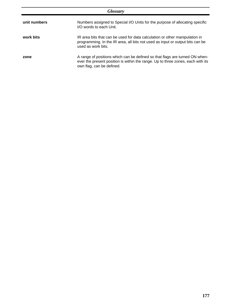| <b>Glossary</b> |                                                                                                                                                                                             |  |
|-----------------|---------------------------------------------------------------------------------------------------------------------------------------------------------------------------------------------|--|
| unit numbers    | Numbers assigned to Special I/O Units for the purpose of allocating specific<br>I/O words to each Unit.                                                                                     |  |
| work bits       | IR area bits that can be used for data calculation or other manipulation in<br>programming. In the IR area, all bits not used as input or output bits can be<br>used as work bits.          |  |
| zone            | A range of positions which can be defined so that flags are turned ON when-<br>ever the present position is within the range. Up to three zones, each with its<br>own flag, can be defined. |  |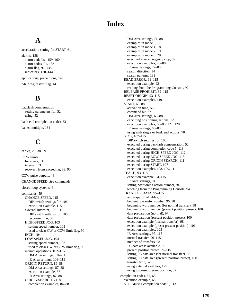# **Index**

## **A**

acceleration, setting for START, 61 alarms, 138 alarm code list, 159–160 alarm codes, 91, 138 alarm flag, 91, 138 indicators, 138–144

applications, precautions, xiii

AR Area, restart flag, 44

## **B**

backlash compensation setting parameters for, 52 using, 52 bank end (completion code), 63 banks, multiple, 134

# **C**

cables, 23, 38, 39 CCW limits for zones, 51 internal, 53 recovery from exceeding, 89, 90 CCW pulse outputs, 44 CHANGE SPEED. *See* commands closed-loop systems, 6 commands, 59 CHANGE SPEED, 115 DIP switch settings for, 106 execution example, 115 external interrupt, 105–115 DIP switch settings for, 106 response time, 56 HIGH-SPEED JOG, 103 setting speed number, 103 used to clear CW or CCW limit flag, 90 INCH, 104 LOW-SPEED JOG, 104 setting speed number, 103 used to clear CW or CCW limit flag, 90 manual operations, 102–115 DM Area settings, 102–115 IR Area settings, 103–115 ORIGIN RETURN, 86–88 DM Area settings, 87–88 execution example, 87 IR Area settings, 87–88 ORIGIN SEARCH, 71–88 completion examples, 84–88

DM Area settings, 71–88 examples in mode 0, 17 examples in mode 1, 18 examples in mode 2, 19 examples in mode 3, 20 executed after emergency stop, 89 execution examples, 73–88 IR Area settings, 72–88 search direction, 14 search patterns, 132 READ ERROR, 91–115 execution example, 92 reading from the Programming Console, 92 RELEASE PROHIBIT, 89–115 RESET ORIGIN, 93–115 execution examples, 119 START, 60–88 activation time, 56 command bit, 67 DM Area settings, 60–88 executing positioning actions, 128 execution examples, 68–88, 121, 128 IR Area settings, 66–88 using with single or bank end actions, 70 STOP, 107–115 DIP switch settings for, 106 executed during backlash compensation, 52 executed during completion code 5, 113 executed during HIGH-SPEED JOG, 112 executed during LOW-SPEED JOG, 113 executed during ORIGIN SEARCH, 111 executed during START, 107 execution examples, 108, 109, 111 TEACH, 93–115 execution example, 94–115 IR Area settings, 94 setting positioning action number, 94 teaching from the Programming Console, 94 TRANSFER DATA, 95–115 and trapezoidal tables, 55 beginning transfer number, 96, 98 beginning word number (for normal transfer), 98 beginning word number (present position preset), 100 data preparation (normal), 97 data preparation (present position preset), 100 execution example (normal transfer), 98 execution example (preset present position), 101 execution examples, 123 IR Area settings, 97–115 normal transfer, 96–115 number of transfers, 98 PC data areas available, 96 present position preset, 99–115 setting PC data area (for normal transfer), 98 setting PC data area (present position preset), 100 transfer time, 57 using external switches, 125 using to preset present position, 87 completion codes, 62, 63 execution example, 68 STOP during completion code 5, 113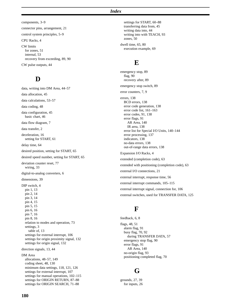*Index*

components, 3–9

connector pins, arrangement, 21 control system principles, 5–9 CPU Racks, 4 CW limits for zones, 51 internal, 53 recovery from exceeding, 89, 90 CW pulse outputs, 44

### **D**

data, writing into DM Area, 44–57 data allocation, 45 data calculations, 53–57 data coding, 48 data configuration, 45 basic chart, 46 data flow diagram, 7 data transfer, 2 deceleration, 16 setting for START, 61 delay time, 64 desired position, setting for START, 65 desired speed number, setting for START, 65 deviation counter reset, 77 wiring, 33 digital-to-analog converters, 6 dimensions, 39 DIP switch, 4 pin 1, 13 pin 2, 14 pin 3, 14 pin 4, 15 pin 5, 15 pin 6, 16 pin 7, 16 pin 8, 16 relation to modes and operation, 73 settings, 3 table of, 13 settings for external interrupt, 106 settings for origin proximity signal, 132 settings for origin signal, 132 direction signals, 13, 44 DM Area allocations, 48–57, 149 coding sheet, 48, 130

minimum data settings, 118, 121, 126 settings for external interrupt, 107 settings for manual operations, 102–115 settings for ORIGIN RETURN, 87–88 settings for ORIGIN SEARCH, 71–88

settings for START, 60–88 transferring data from, 45 writing data into, 44 writing into with TEACH, 93 zones, 50

dwell time, 65, 80 execution example, 69

#### **E**

emergency stop, 89 flag, 90 recovery after, 89 emergency stop switch, 89 error counters, 7, 9 errors, 138 BCD errors, 138 error code generation, 138 error code list, 161–163 error codes, 91, 138 error flags, 91 AR Area, 140 IR area, 138 error list for Special I/O Units, 140–144 error processing, 137 indicators, 138 no-data errors, 138 out-of-range data errors, 138 Expansion I/O Racks, 4 extended (completion code), 63 extended with positioning (completion code), 63 external I/O connections, 21 external interrupt, response time, 56 external interrupt commands, 105–115 external interrupt signal, connection for, 106 external switches, used for TRANSFER DATA, 125

### **F**

feedback, 6, 8 flags, 48, 51 alarm flag, 91 busy flag, 70, 92 during TRANSFER DATA, 57 emergency stop flag, 90 error flags, 91 AR Area, 140 no-origin flag, 93 positioning completed flag, 70

#### **G**

grounds, 27, 39 for inputs, 26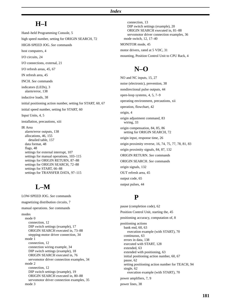# **H–I**

Hand–held Programming Console, 5

high speed number, setting for ORIGIN SEARCH, 72

HIGH-SPEED JOG. *See* commands

host computers, 4

I/O circuits, 24

I/O connections, external, 21

I/O refresh areas, 45, 67

IN refresh area, 45

INCH. *See* commands

indicators (LEDs), 3 alarm/error, 138

inductive loads, 38

initial positioning action number, setting for START, 60, 67

initial speed number, setting for START, 60

Input Units, 4, 5

installation, precautions, xiii

IR Area alarm/error outputs, 138 allocations, 46, 155 detailed table, 157 data format, 48 flags, 48 settings for external interrupt, 107 settings for manual operations, 103–115 settings for ORIGIN RETURN, 87–88 settings for ORIGIN SEARCH, 72–88 settings for START, 66–88 settings for TRANSFER DATA, 97–115

# **L–M**

LOW-SPEED JOG. *See* commands magnetizing distribution circuits, 7 manual operations. *See* commands modes mode 0 connection, 12 DIP switch settings (example), 17 ORIGIN SEARCH executed in, 73–88 stepping-motor driver connection, 34 mode 1 connection, 12 connection wiring example, 34 DIP switch settings (example), 18 ORIGIN SEARCH executed in, 76 servomotor driver connection examples, 34 mode 2 connection, 12 DIP switch settings (example), 19 ORIGIN SEARCH executed in, 80–88 servomotor driver connection examples, 35 mode 3

connection, 13 DIP switch settings (example), 20 ORIGIN SEARCH executed in, 81–88 servomotor driver connection examples, 36 mode switch, 12, 17–40 MONITOR mode, 45 motor drivers, rated at 5 VDC, 31 mounting, Position Control Unit to CPU Rack, 4

## **N–O**

NO and NC inputs, 15, 27 noise (electronic), prevention, 38 nondirectional pulse outputs, 44 open-loop systems, 4, 5, 7–9 operating environment, precautions, xii operation, flowchart, 42 origin, 4 origin adjustment command, 83 wiring, 33 origin compensation, 84, 85, 86 setting for ORIGIN SEARCH, 72 origin input, response time, 26 origin proximity reverse, 16, 74, 75, 77, 78, 81, 83 origin proximity signals, 84, 87, 132 ORIGIN RETURN. *See* commands ORIGIN SEARCH. *See* commands origin signals, 132 OUT refresh area, 45 output code, 65 output pulses, 44

### **P**

pause (completion code), 62 Position Control Unit, starting the, 45 positioning accuracy, computation of, 8 positioning actions bank end, 60, 63 execution example (with START), 70 continuous, 63 errors in data, 138 executed with START, 128 extended, 63 extended with positioning, 63 initial positioning action number, 60, 67 pause, 62 setting positioning action number for TEACH, 94 single, 62 execution example (with START), 70 power amplifiers, 7, 9 power lines, 38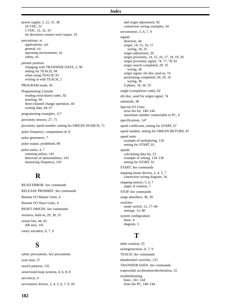power supply, 5, 22, 31, 38 24 VDC, 31 5 VDC, 31, 32, 33 for deviation counter reset output, 33

precautions, xi applications, xiii general, xii operating environment, xii safety, xii

present position changing with TRANSFER DATA, 2, 96 setting for TEACH, 94 when using TEACH, 93 writing in with TEACH, 2

PROGRAM mode, 45

Programming Console reading error/alarm codes, 92 teaching, 94 three-channel change operation, 44 writing data, 44–57

programming examples, 117

proximity sensors, 27, 71

proximity speed number, setting for ORIGIN SEARCH, 71

pulse frequency, computation of, 8

pulse generators, 7

pulse output, prohibited, 89

pulse trains, 4, 7 counting pulses, 143 detection of abnormalities, 143 measuring frequency, 143

### **R**

READ ERROR. *See* commands RELEASE PROHIBIT. *See* commands Remote I/O Master Units, 4 Remote I/O Slave Units, 4 RESET ORIGIN. *See* commands resistors, built-in, 29, 30, 31 restart bits, 44, 45 AR area, 141 rotary encoders, 6, 7, 9

### **S**

safety precautions. *See* precautions scan time, 57 search patterns, 132 semiclosed-loop systems, 4, 6, 8–9 servolock, 9 servomotor drivers, 2, 4, 5, 6, 7, 9, 20

and origin adjustment, 82 connection wiring examples, 34 servomotors, 5, 6, 7, 9 signals direction, 44 origin, 14, 15, 16, 17 wiring, 34, 35 origin adjustment, 20 origin proximity, 14, 15, 16, 17, 18, 19, 20 origin proximity signal, 74, 77, 78, 81 origin search completed, 29, 35 wiring, 36 origin signal, slit disc used as, 74 positioning completed, 20, 29, 35 wiring, 36 Z-phase, 18, 34, 35 single (completion code), 62 slit disc, used for origin signal, 74 solenoids, 38 Special I/O Units error list for, 140–144 maximum number connectable to PC, 4 specifications, 147 speed coefficient, setting for START, 67 speed number, setting for ORIGIN RETURN, 87 speed units example of multiplying, 134 setting for START, 61 speeds calculating data for, 53 example of setting, 134–136 setting for START, 61 START. *See* commands stepping motor drivers, 2, 4, 5, 7 connection wiring diagram, 34 stepping motors, 5, 6, 7 angle of rotation, 7 STOP. *See* commands surge absorbers, 38, 39 switches mode switch, 12, 17–40 settings, 12–40 system configuration basic, 4 diagram, 5 **T** table creation, 55

tachogenerators, 6, 7, 9 TEACH. *See* commands thumbwheel switches, 125 TRANSFER DATA. *See* commands trapezoidal acceleration/deceleration, 55 troubleshooting basic, 141–144 from the PC, 140–144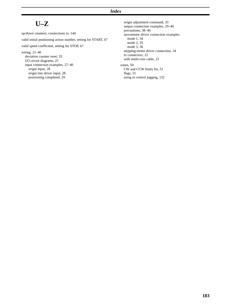# **U–Z**

up/down counters, connections to, 144

valid initial positioning action number, setting for START, 67

valid speed coefficient, setting for STOP, 67

wiring, 21–40

deviation counter reset, 33 I/O circuit diagrams, 25 input connection examples, 27–40 origin input, 28 origin line driver input, 28 positioning completed, 29

origin adjustment command, 33 output connection examples, 29–40 precautions, 38–40 servomotor driver connection examples mode 1, 34 mode 2, 35 mode 3, 36 stepping-motor driver connection, 34 to connectors, 22 with multi-core cable, 22 zones, 50 CW and CCW limits for, 51 flags, 51

using to control jogging, 132